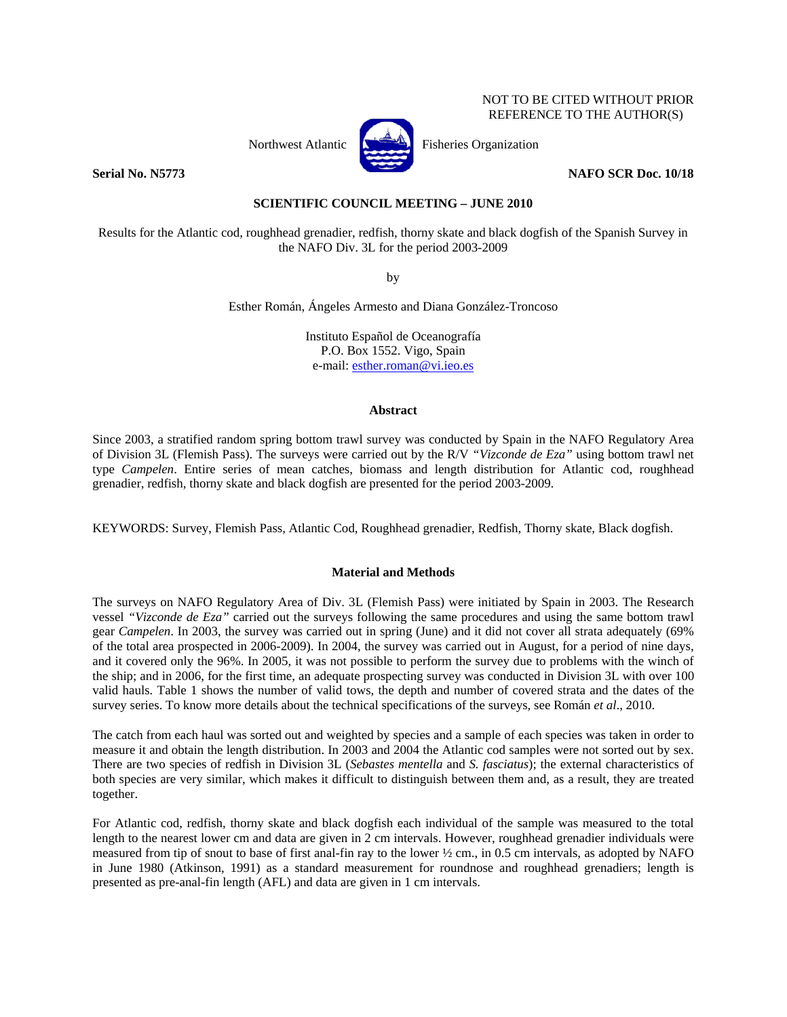# NOT TO BE CITED WITHOUT PRIOR REFERENCE TO THE AUTHOR(S)



Northwest Atlantic **Kernet** Fisheries Organization

## **Serial No. N5773** NAFO SCR Doc. 10/18

**SCIENTIFIC COUNCIL MEETING – JUNE 2010** 

Results for the Atlantic cod, roughhead grenadier, redfish, thorny skate and black dogfish of the Spanish Survey in the NAFO Div. 3L for the period 2003-2009

by

Esther Román, Ángeles Armesto and Diana González-Troncoso

Instituto Español de Oceanografía P.O. Box 1552. Vigo, Spain e-mail: esther.roman@vi.ieo.es

## **Abstract**

Since 2003, a stratified random spring bottom trawl survey was conducted by Spain in the NAFO Regulatory Area of Division 3L (Flemish Pass). The surveys were carried out by the R/V *"Vizconde de Eza"* using bottom trawl net type *Campelen*. Entire series of mean catches, biomass and length distribution for Atlantic cod, roughhead grenadier, redfish, thorny skate and black dogfish are presented for the period 2003-2009.

KEYWORDS: Survey, Flemish Pass, Atlantic Cod, Roughhead grenadier, Redfish, Thorny skate, Black dogfish.

# **Material and Methods**

The surveys on NAFO Regulatory Area of Div. 3L (Flemish Pass) were initiated by Spain in 2003. The Research vessel *"Vizconde de Eza"* carried out the surveys following the same procedures and using the same bottom trawl gear *Campelen*. In 2003, the survey was carried out in spring (June) and it did not cover all strata adequately (69% of the total area prospected in 2006-2009). In 2004, the survey was carried out in August, for a period of nine days, and it covered only the 96%. In 2005, it was not possible to perform the survey due to problems with the winch of the ship; and in 2006, for the first time, an adequate prospecting survey was conducted in Division 3L with over 100 valid hauls. Table 1 shows the number of valid tows, the depth and number of covered strata and the dates of the survey series. To know more details about the technical specifications of the surveys, see Román *et al*., 2010.

The catch from each haul was sorted out and weighted by species and a sample of each species was taken in order to measure it and obtain the length distribution. In 2003 and 2004 the Atlantic cod samples were not sorted out by sex. There are two species of redfish in Division 3L (*Sebastes mentella* and *S. fasciatus*); the external characteristics of both species are very similar, which makes it difficult to distinguish between them and, as a result, they are treated together.

For Atlantic cod, redfish, thorny skate and black dogfish each individual of the sample was measured to the total length to the nearest lower cm and data are given in 2 cm intervals. However, roughhead grenadier individuals were measured from tip of snout to base of first anal-fin ray to the lower ½ cm., in 0.5 cm intervals, as adopted by NAFO in June 1980 (Atkinson, 1991) as a standard measurement for roundnose and roughhead grenadiers; length is presented as pre-anal-fin length (AFL) and data are given in 1 cm intervals.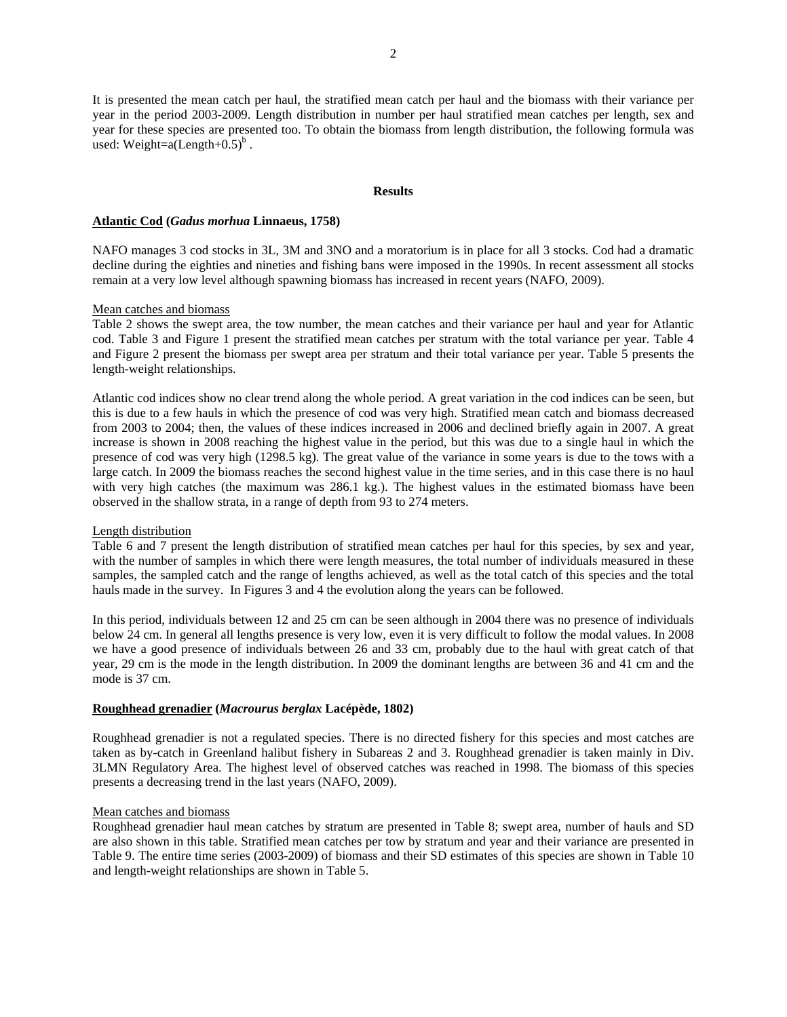It is presented the mean catch per haul, the stratified mean catch per haul and the biomass with their variance per year in the period 2003-2009. Length distribution in number per haul stratified mean catches per length, sex and year for these species are presented too. To obtain the biomass from length distribution, the following formula was used: Weight= $a(Length+0.5)^b$ .

### **Results**

### **Atlantic Cod (***Gadus morhua* **Linnaeus, 1758)**

NAFO manages 3 cod stocks in 3L, 3M and 3NO and a moratorium is in place for all 3 stocks. Cod had a dramatic decline during the eighties and nineties and fishing bans were imposed in the 1990s. In recent assessment all stocks remain at a very low level although spawning biomass has increased in recent years (NAFO, 2009).

### Mean catches and biomass

Table 2 shows the swept area, the tow number, the mean catches and their variance per haul and year for Atlantic cod. Table 3 and Figure 1 present the stratified mean catches per stratum with the total variance per year. Table 4 and Figure 2 present the biomass per swept area per stratum and their total variance per year. Table 5 presents the length-weight relationships.

Atlantic cod indices show no clear trend along the whole period. A great variation in the cod indices can be seen, but this is due to a few hauls in which the presence of cod was very high. Stratified mean catch and biomass decreased from 2003 to 2004; then, the values of these indices increased in 2006 and declined briefly again in 2007. A great increase is shown in 2008 reaching the highest value in the period, but this was due to a single haul in which the presence of cod was very high (1298.5 kg). The great value of the variance in some years is due to the tows with a large catch. In 2009 the biomass reaches the second highest value in the time series, and in this case there is no haul with very high catches (the maximum was 286.1 kg.). The highest values in the estimated biomass have been observed in the shallow strata, in a range of depth from 93 to 274 meters.

#### Length distribution

Table 6 and 7 present the length distribution of stratified mean catches per haul for this species, by sex and year, with the number of samples in which there were length measures, the total number of individuals measured in these samples, the sampled catch and the range of lengths achieved, as well as the total catch of this species and the total hauls made in the survey. In Figures 3 and 4 the evolution along the years can be followed.

In this period, individuals between 12 and 25 cm can be seen although in 2004 there was no presence of individuals below 24 cm. In general all lengths presence is very low, even it is very difficult to follow the modal values. In 2008 we have a good presence of individuals between 26 and 33 cm, probably due to the haul with great catch of that year, 29 cm is the mode in the length distribution. In 2009 the dominant lengths are between 36 and 41 cm and the mode is 37 cm.

### **Roughhead grenadier (***Macrourus berglax* **Lacépède, 1802)**

Roughhead grenadier is not a regulated species. There is no directed fishery for this species and most catches are taken as by-catch in Greenland halibut fishery in Subareas 2 and 3. Roughhead grenadier is taken mainly in Div. 3LMN Regulatory Area. The highest level of observed catches was reached in 1998. The biomass of this species presents a decreasing trend in the last years (NAFO, 2009).

### Mean catches and biomass

Roughhead grenadier haul mean catches by stratum are presented in Table 8; swept area, number of hauls and SD are also shown in this table. Stratified mean catches per tow by stratum and year and their variance are presented in Table 9. The entire time series (2003-2009) of biomass and their SD estimates of this species are shown in Table 10 and length-weight relationships are shown in Table 5.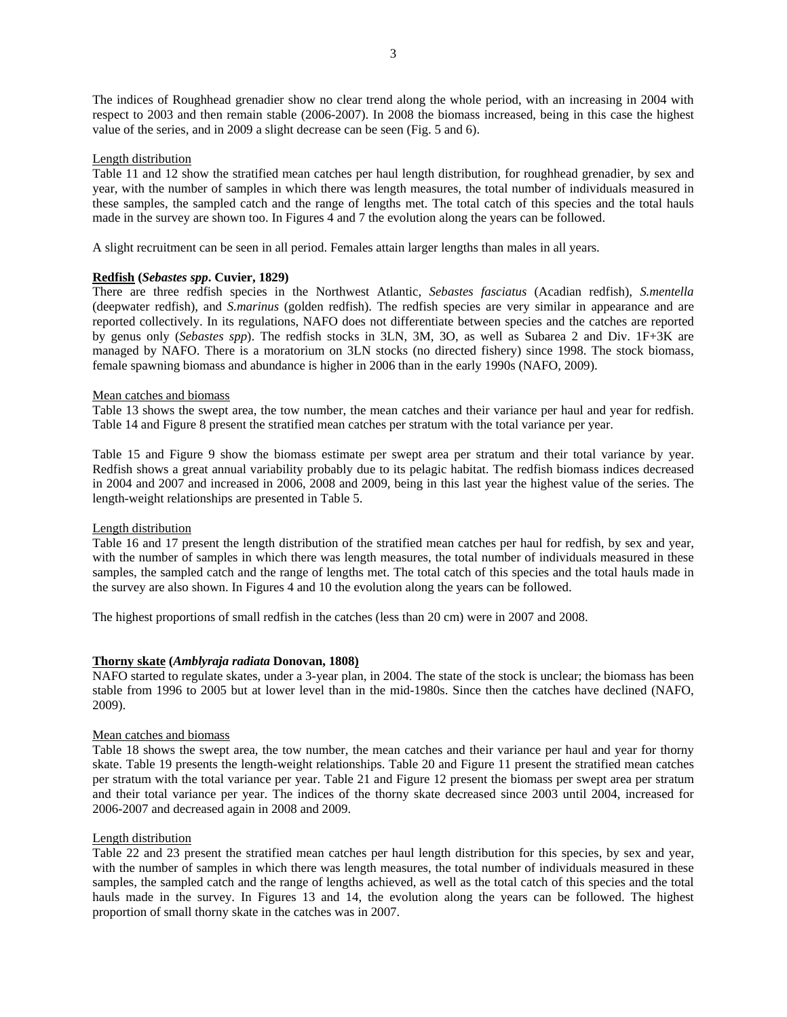The indices of Roughhead grenadier show no clear trend along the whole period, with an increasing in 2004 with respect to 2003 and then remain stable (2006-2007). In 2008 the biomass increased, being in this case the highest value of the series, and in 2009 a slight decrease can be seen (Fig. 5 and 6).

## Length distribution

Table 11 and 12 show the stratified mean catches per haul length distribution, for roughhead grenadier, by sex and year, with the number of samples in which there was length measures, the total number of individuals measured in these samples, the sampled catch and the range of lengths met. The total catch of this species and the total hauls made in the survey are shown too. In Figures 4 and 7 the evolution along the years can be followed.

A slight recruitment can be seen in all period. Females attain larger lengths than males in all years.

# **Redfish (***Sebastes spp***. Cuvier, 1829)**

There are three redfish species in the Northwest Atlantic, *Sebastes fasciatus* (Acadian redfish), *S.mentella* (deepwater redfish), and *S.marinus* (golden redfish). The redfish species are very similar in appearance and are reported collectively. In its regulations, NAFO does not differentiate between species and the catches are reported by genus only (*Sebastes spp*). The redfish stocks in 3LN, 3M, 3O, as well as Subarea 2 and Div. 1F+3K are managed by NAFO. There is a moratorium on 3LN stocks (no directed fishery) since 1998. The stock biomass, female spawning biomass and abundance is higher in 2006 than in the early 1990s (NAFO, 2009).

## Mean catches and biomass

Table 13 shows the swept area, the tow number, the mean catches and their variance per haul and year for redfish. Table 14 and Figure 8 present the stratified mean catches per stratum with the total variance per year.

Table 15 and Figure 9 show the biomass estimate per swept area per stratum and their total variance by year. Redfish shows a great annual variability probably due to its pelagic habitat. The redfish biomass indices decreased in 2004 and 2007 and increased in 2006, 2008 and 2009, being in this last year the highest value of the series. The length-weight relationships are presented in Table 5.

## Length distribution

Table 16 and 17 present the length distribution of the stratified mean catches per haul for redfish, by sex and year, with the number of samples in which there was length measures, the total number of individuals measured in these samples, the sampled catch and the range of lengths met. The total catch of this species and the total hauls made in the survey are also shown. In Figures 4 and 10 the evolution along the years can be followed.

The highest proportions of small redfish in the catches (less than 20 cm) were in 2007 and 2008.

## **Thorny skate (***Amblyraja radiata* **Donovan, 1808)**

NAFO started to regulate skates, under a 3-year plan, in 2004. The state of the stock is unclear; the biomass has been stable from 1996 to 2005 but at lower level than in the mid-1980s. Since then the catches have declined (NAFO, 2009).

## Mean catches and biomass

Table 18 shows the swept area, the tow number, the mean catches and their variance per haul and year for thorny skate. Table 19 presents the length-weight relationships. Table 20 and Figure 11 present the stratified mean catches per stratum with the total variance per year. Table 21 and Figure 12 present the biomass per swept area per stratum and their total variance per year. The indices of the thorny skate decreased since 2003 until 2004, increased for 2006-2007 and decreased again in 2008 and 2009.

## Length distribution

Table 22 and 23 present the stratified mean catches per haul length distribution for this species, by sex and year, with the number of samples in which there was length measures, the total number of individuals measured in these samples, the sampled catch and the range of lengths achieved, as well as the total catch of this species and the total hauls made in the survey. In Figures 13 and 14, the evolution along the years can be followed. The highest proportion of small thorny skate in the catches was in 2007.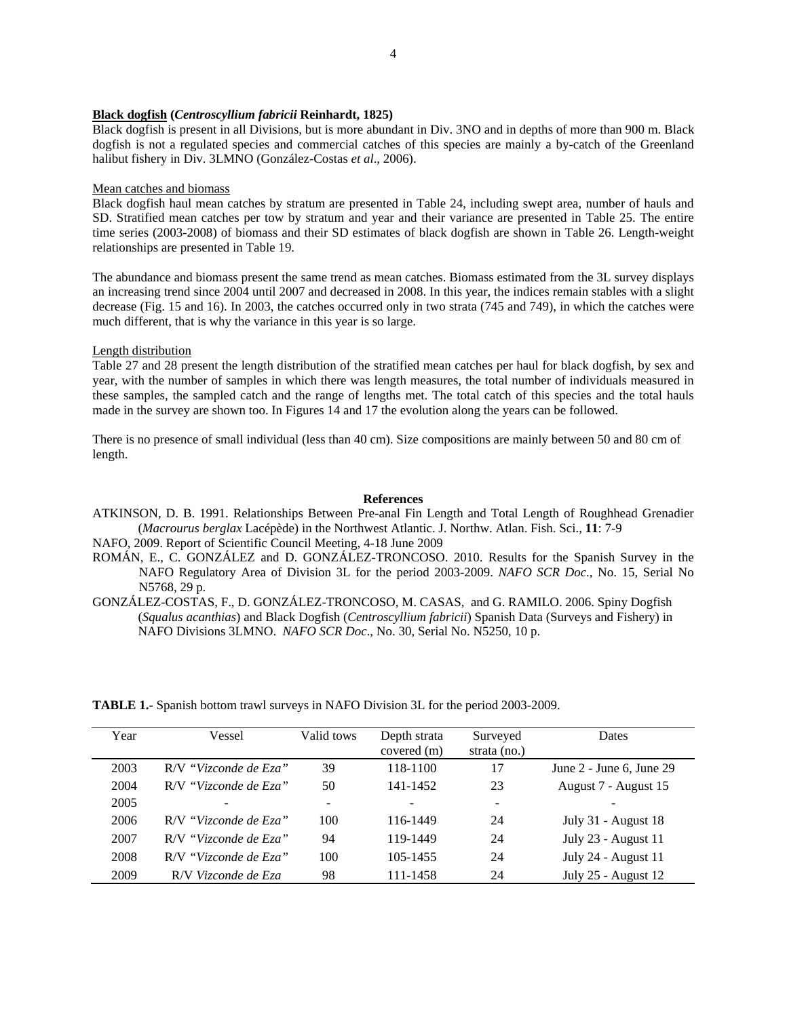### **Black dogfish (***Centroscyllium fabricii* **Reinhardt, 1825)**

Black dogfish is present in all Divisions, but is more abundant in Div. 3NO and in depths of more than 900 m. Black dogfish is not a regulated species and commercial catches of this species are mainly a by-catch of the Greenland halibut fishery in Div. 3LMNO (González-Costas *et al*., 2006).

### Mean catches and biomass

Black dogfish haul mean catches by stratum are presented in Table 24, including swept area, number of hauls and SD. Stratified mean catches per tow by stratum and year and their variance are presented in Table 25. The entire time series (2003-2008) of biomass and their SD estimates of black dogfish are shown in Table 26. Length-weight relationships are presented in Table 19.

The abundance and biomass present the same trend as mean catches. Biomass estimated from the 3L survey displays an increasing trend since 2004 until 2007 and decreased in 2008. In this year, the indices remain stables with a slight decrease (Fig. 15 and 16). In 2003, the catches occurred only in two strata (745 and 749), in which the catches were much different, that is why the variance in this year is so large.

### Length distribution

Table 27 and 28 present the length distribution of the stratified mean catches per haul for black dogfish, by sex and year, with the number of samples in which there was length measures, the total number of individuals measured in these samples, the sampled catch and the range of lengths met. The total catch of this species and the total hauls made in the survey are shown too. In Figures 14 and 17 the evolution along the years can be followed.

There is no presence of small individual (less than 40 cm). Size compositions are mainly between 50 and 80 cm of length.

### **References**

ATKINSON, D. B. 1991. Relationships Between Pre-anal Fin Length and Total Length of Roughhead Grenadier (*Macrourus berglax* Lacépède) in the Northwest Atlantic. J. Northw. Atlan. Fish. Sci., **11**: 7-9

NAFO, 2009. Report of Scientific Council Meeting, 4-18 June 2009

- ROMÁN, E., C. GONZÁLEZ and D. GONZÁLEZ-TRONCOSO. 2010. Results for the Spanish Survey in the NAFO Regulatory Area of Division 3L for the period 2003-2009. *NAFO SCR Doc*., No. 15, Serial No N5768, 29 p.
- GONZÁLEZ-COSTAS, F., D. GONZÁLEZ-TRONCOSO, M. CASAS, and G. RAMILO. 2006. Spiny Dogfish (*Squalus acanthias*) and Black Dogfish (*Centroscyllium fabricii*) Spanish Data (Surveys and Fishery) in NAFO Divisions 3LMNO. *NAFO SCR Doc*., No. 30, Serial No. N5250, 10 p.

Year Vessel Valid tows Depth strata covered (m) Surveyed strata (no.) Dates 2003 R/V *"Vizconde de Eza"* 39 118-1100 17 June 2 - June 6, June 29 2004 R/V *"Vizconde de Eza"* 50 141-1452 23 August 7 - August 15 2005 - - - - - 2006 R/V *"Vizconde de Eza"* 100 116-1449 24 July 31 - August 18 2007 R/V *"Vizconde de Eza"* 94 119-1449 24 July 23 - August 11 2008 R/V *"Vizconde de Eza"* 100 105-1455 24 July 24 - August 11 2009 R/V *Vizconde de Eza* 98 111-1458 24 July 25 - August 12

**TABLE 1.-** Spanish bottom trawl surveys in NAFO Division 3L for the period 2003-2009.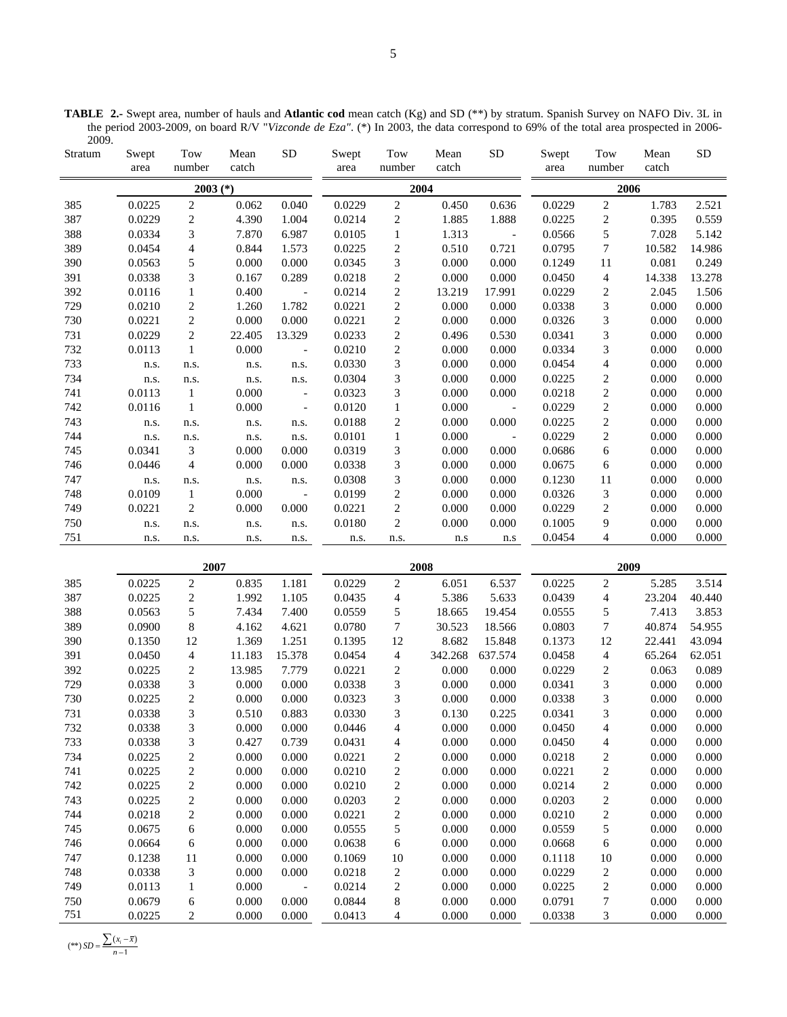**TABLE 2.-** Swept area, number of hauls and **Atlantic cod** mean catch (Kg) and SD (\*\*) by stratum. Spanish Survey on NAFO Div. 3L in the period 2003-2009, on board R/V "*Vizconde de Eza"*. (\*) In 2003, the data correspond to 69% of the total area prospected in 2006- 2009.  $\mathbf{T}$  $M_{\odot}$  $\mathbf{S}$  spectrum  $\mathbf{S}$  $T_{\Omega}$  $M_{\odot}$  $SD$   $S_V$  $T_{\alpha}$  $M_{\odot}$  $SD$ 

| Stratum    | Swept<br>area    | Tow<br>number                          | Mean<br>catch    | <b>SD</b>                | Swept<br>area    | Tow<br>number                      | Mean<br>catch   | <b>SD</b>                | Swept<br>area    | Tow<br>number                  | Mean<br>catch    | <b>SD</b>        |
|------------|------------------|----------------------------------------|------------------|--------------------------|------------------|------------------------------------|-----------------|--------------------------|------------------|--------------------------------|------------------|------------------|
|            |                  | $2003$ (*)                             |                  |                          |                  | 2004                               |                 |                          |                  | 2006                           |                  |                  |
| 385        | 0.0225           | $\sqrt{2}$                             | 0.062            | 0.040                    | 0.0229           | $\sqrt{2}$                         | 0.450           | 0.636                    | 0.0229           | $\sqrt{2}$                     | 1.783            | 2.521            |
| 387        | 0.0229           | $\overline{c}$                         | 4.390            | 1.004                    | 0.0214           | $\sqrt{2}$                         | 1.885           | 1.888                    | 0.0225           | $\boldsymbol{2}$               | 0.395            | 0.559            |
| 388        | 0.0334           | $\ensuremath{\mathfrak{Z}}$            | 7.870            | 6.987                    | 0.0105           | $\mathbf{1}$                       | 1.313           | $\overline{\phantom{a}}$ | 0.0566           | $\sqrt{5}$                     | 7.028            | 5.142            |
| 389        | 0.0454           | $\overline{\mathcal{L}}$               | 0.844            | 1.573                    | 0.0225           | $\sqrt{2}$                         | 0.510           | 0.721                    | 0.0795           | $\boldsymbol{7}$               | 10.582           | 14.986           |
| 390        | 0.0563           | $\sqrt{5}$                             | 0.000            | 0.000                    | 0.0345           | 3                                  | 0.000           | 0.000                    | 0.1249           | 11                             | 0.081            | 0.249            |
| 391        | 0.0338           | $\mathfrak{Z}$                         | 0.167            | 0.289                    | 0.0218           | $\boldsymbol{2}$                   | 0.000           | 0.000                    | 0.0450           | $\overline{4}$                 | 14.338           | 13.278           |
| 392        | 0.0116           | $\mathbf{1}$                           | 0.400            | $\overline{\phantom{a}}$ | 0.0214           | $\,2$                              | 13.219          | 17.991                   | 0.0229           | $\sqrt{2}$                     | 2.045            | 1.506            |
| 729        | 0.0210           | $\boldsymbol{2}$                       | 1.260            | 1.782                    | 0.0221           | $\boldsymbol{2}$                   | 0.000           | 0.000                    | 0.0338           | $\mathfrak{Z}$                 | 0.000            | 0.000            |
| 730        | 0.0221           | $\boldsymbol{2}$                       | 0.000            | 0.000                    | 0.0221           | $\overline{c}$                     | 0.000           | 0.000                    | 0.0326           | $\mathfrak{Z}$                 | 0.000            | 0.000            |
| 731        | 0.0229           | $\overline{c}$                         | 22.405           | 13.329                   | 0.0233           | $\overline{c}$                     | 0.496           | 0.530                    | 0.0341           | $\mathfrak 3$                  | 0.000            | 0.000            |
| 732        | 0.0113           | $\mathbf 1$                            | 0.000            | $\overline{\phantom{a}}$ | 0.0210           | $\,2$                              | 0.000           | 0.000                    | 0.0334           | 3                              | 0.000            | 0.000            |
| 733        | n.s.             | n.s.                                   | n.s.             | n.s.                     | 0.0330           | 3                                  | 0.000           | 0.000                    | 0.0454           | $\overline{4}$                 | 0.000            | 0.000            |
| 734        | n.s.             | n.s.                                   | n.s.             | n.s.                     | 0.0304           | 3                                  | 0.000           | 0.000                    | 0.0225           | $\sqrt{2}$                     | 0.000            | 0.000            |
| 741        | 0.0113           | $\mathbf{1}$                           | 0.000            | $\mathcal{L}$            | 0.0323           | 3                                  | 0.000           | 0.000                    | 0.0218           | $\sqrt{2}$                     | 0.000            | 0.000            |
| 742        | 0.0116           | $\mathbf{1}$                           | 0.000            | $\sim$ $-$               | 0.0120           | $\mathbf{1}$                       | 0.000           | $\overline{\phantom{a}}$ | 0.0229           | $\overline{c}$                 | 0.000            | 0.000            |
| 743        | n.s.             | n.s.                                   | n.s.             | n.s.                     | 0.0188           | $\sqrt{2}$                         | 0.000           | 0.000                    | 0.0225           | $\overline{c}$                 | 0.000            | 0.000            |
| 744        | n.s.             | n.s.                                   | n.s.             | n.s.                     | 0.0101           | $\,1$                              | 0.000           | $\overline{\phantom{a}}$ | 0.0229           | $\sqrt{2}$                     | 0.000            | 0.000            |
| 745        | 0.0341           | $\mathfrak{Z}$                         | 0.000            | 0.000                    | 0.0319           | 3                                  | 0.000           | 0.000                    | 0.0686           | $\sqrt{6}$                     | 0.000            | 0.000            |
| 746        | 0.0446           | $\overline{4}$                         | 0.000            | 0.000                    | 0.0338           | 3                                  | 0.000           | 0.000                    | 0.0675           | $\sqrt{6}$                     | 0.000            | 0.000            |
| 747        | n.s.             | n.s.                                   | n.s.             | n.s.                     | 0.0308           | $\mathfrak{Z}$                     | 0.000           | 0.000                    | 0.1230           | 11                             | 0.000            | 0.000            |
| 748        | 0.0109           | $\mathbf{1}$                           | 0.000            | $\overline{\phantom{a}}$ | 0.0199           | $\boldsymbol{2}$                   | 0.000           | 0.000                    | 0.0326           | $\ensuremath{\mathfrak{Z}}$    | 0.000            | 0.000            |
| 749        | 0.0221           | $\overline{c}$                         | 0.000            | 0.000                    | 0.0221           | $\sqrt{2}$                         | 0.000           | 0.000                    | 0.0229           | $\sqrt{2}$                     | 0.000            | 0.000            |
| 750        | n.s.             | n.s.                                   | n.s.             | n.s.                     | 0.0180           | $\overline{c}$                     | 0.000           | 0.000                    | 0.1005           | 9                              | 0.000            | 0.000            |
| 751        | n.s.             | n.s.                                   | n.s.             | n.s.                     | n.s.             | n.s.                               | n.s             | n.s                      | 0.0454           | $\overline{4}$                 | 0.000            | 0.000            |
|            |                  |                                        |                  |                          |                  |                                    |                 |                          |                  |                                |                  |                  |
|            |                  | 2007                                   |                  |                          |                  | 2008                               |                 |                          |                  | 2009                           |                  |                  |
| 385        | 0.0225           | $\sqrt{2}$                             | 0.835            | 1.181                    | 0.0229           | $\sqrt{2}$                         | 6.051           | 6.537                    | 0.0225           | $\sqrt{2}$                     | 5.285            | 3.514            |
| 387        | 0.0225           | $\boldsymbol{2}$                       | 1.992            | 1.105                    | 0.0435           | $\overline{4}$                     | 5.386           | 5.633                    | 0.0439           | $\overline{4}$                 | 23.204           | 40.440           |
| 388<br>389 | 0.0563           | $\sqrt{5}$                             | 7.434            | 7.400                    | 0.0559           | 5                                  | 18.665          | 19.454                   | 0.0555           | $\sqrt{5}$<br>$\boldsymbol{7}$ | 7.413            | 3.853            |
| 390        | 0.0900           | $\,8\,$<br>12                          | 4.162<br>1.369   | 4.621<br>1.251           | 0.0780<br>0.1395 | $\tau$<br>12                       | 30.523<br>8.682 | 18.566                   | 0.0803<br>0.1373 | 12                             | 40.874           | 54.955<br>43.094 |
| 391        | 0.1350<br>0.0450 |                                        |                  | 15.378                   | 0.0454           |                                    | 342.268         | 15.848<br>637.574        | 0.0458           | $\overline{4}$                 | 22.441<br>65.264 |                  |
| 392        | 0.0225           | $\overline{\mathcal{A}}$<br>$\sqrt{2}$ | 11.183<br>13.985 | 7.779                    | 0.0221           | $\overline{4}$<br>$\boldsymbol{2}$ | 0.000           | 0.000                    | 0.0229           | $\sqrt{2}$                     | 0.063            | 62.051<br>0.089  |
| 729        | 0.0338           | $\ensuremath{\mathfrak{Z}}$            | 0.000            | 0.000                    | 0.0338           | $\mathfrak{Z}$                     | 0.000           | 0.000                    | 0.0341           | $\mathfrak{Z}$                 | 0.000            | 0.000            |
| 730        | 0.0225           | $\sqrt{2}$                             | 0.000            | 0.000                    | 0.0323           | 3                                  | 0.000           | 0.000                    | 0.0338           | 3                              | 0.000            | 0.000            |
| 731        | 0.0338           | 3                                      | 0.510            | 0.883                    | 0.0330           | 3                                  | 0.130           | 0.225                    | 0.0341           | 3                              | 0.000            | 0.000            |
| 732        | 0.0338           | 3                                      | $0.000\,$        | 0.000                    | 0.0446           | 4                                  | 0.000           | 0.000                    | 0.0450           | 4                              | 0.000            | 0.000            |
| 733        | 0.0338           | $\mathfrak 3$                          | 0.427            | 0.739                    | 0.0431           | 4                                  | 0.000           | 0.000                    | 0.0450           | 4                              | 0.000            | 0.000            |
| 734        | 0.0225           | $\boldsymbol{2}$                       | 0.000            | 0.000                    | 0.0221           | $\overline{c}$                     | 0.000           | 0.000                    | 0.0218           | $\sqrt{2}$                     | 0.000            | 0.000            |
| 741        | 0.0225           | $\sqrt{2}$                             | 0.000            | 0.000                    | 0.0210           | $\overline{c}$                     | 0.000           | 0.000                    | 0.0221           | $\sqrt{2}$                     | 0.000            | 0.000            |
| 742        | 0.0225           | $\sqrt{2}$                             | 0.000            | 0.000                    | 0.0210           | $\overline{c}$                     | 0.000           | 0.000                    | 0.0214           | $\sqrt{2}$                     | 0.000            | 0.000            |
| 743        | 0.0225           | $\sqrt{2}$                             | 0.000            | 0.000                    | 0.0203           | $\overline{c}$                     | 0.000           | 0.000                    | 0.0203           | $\sqrt{2}$                     | 0.000            | 0.000            |
| 744        | 0.0218           | $\sqrt{2}$                             | 0.000            | 0.000                    | 0.0221           |                                    | 0.000           | 0.000                    | 0.0210           | $\sqrt{2}$                     | 0.000            | 0.000            |
| 745        | 0.0675           | 6                                      | 0.000            | 0.000                    | 0.0555           | $\overline{c}$<br>5                | 0.000           | 0.000                    | 0.0559           | $\sqrt{5}$                     | 0.000            | 0.000            |
| 746        | 0.0664           | 6                                      | 0.000            | 0.000                    | 0.0638           |                                    | 0.000           | 0.000                    | 0.0668           |                                | 0.000            | 0.000            |
| 747        | 0.1238           | 11                                     | 0.000            | 0.000                    | 0.1069           | 6<br>10                            | 0.000           | 0.000                    | 0.1118           | 6<br>10                        | 0.000            | 0.000            |
| 748        | 0.0338           | $\mathfrak{Z}$                         | 0.000            | 0.000                    | 0.0218           | $\overline{c}$                     | 0.000           | 0.000                    | 0.0229           | $\sqrt{2}$                     | 0.000            | 0.000            |
| 749        | 0.0113           | $\mathbf{1}$                           | 0.000            | $\blacksquare$           | 0.0214           | $\overline{c}$                     | 0.000           | 0.000                    | 0.0225           | $\sqrt{2}$                     | 0.000            | 0.000            |
| 750        | 0.0679           | 6                                      | 0.000            | 0.000                    | 0.0844           | 8                                  | 0.000           | 0.000                    | 0.0791           | 7                              | 0.000            | 0.000            |
| 751        | 0.0225           | $\overline{c}$                         | 0.000            | 0.000                    | 0.0413           | 4                                  | 0.000           | 0.000                    | 0.0338           | 3                              | 0.000            | 0.000            |
|            |                  |                                        |                  |                          |                  |                                    |                 |                          |                  |                                |                  |                  |

 $(**)$  *SD* =  $\frac{\sum (x_i - \bar{x})}{n-1}$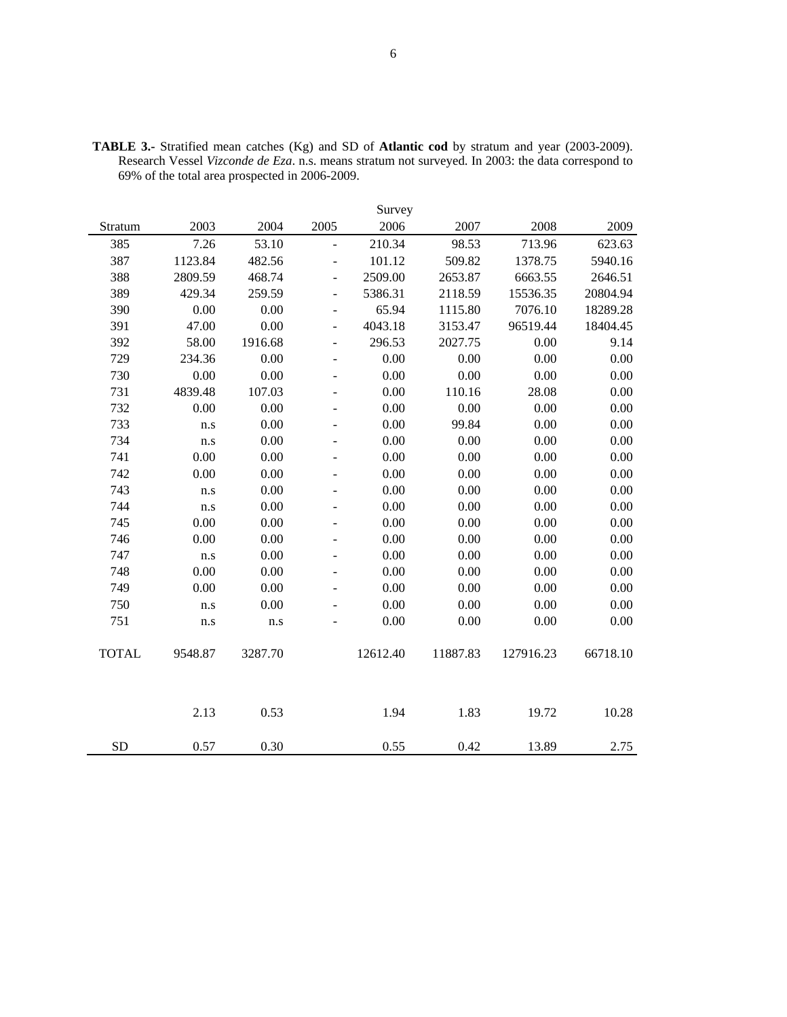|              |         |         |                          | Survey   |          |           |          |
|--------------|---------|---------|--------------------------|----------|----------|-----------|----------|
| Stratum      | 2003    | 2004    | 2005                     | 2006     | 2007     | 2008      | 2009     |
| 385          | 7.26    | 53.10   | $\overline{a}$           | 210.34   | 98.53    | 713.96    | 623.63   |
| 387          | 1123.84 | 482.56  | $\overline{a}$           | 101.12   | 509.82   | 1378.75   | 5940.16  |
| 388          | 2809.59 | 468.74  | $\overline{a}$           | 2509.00  | 2653.87  | 6663.55   | 2646.51  |
| 389          | 429.34  | 259.59  | $\overline{a}$           | 5386.31  | 2118.59  | 15536.35  | 20804.94 |
| 390          | 0.00    | 0.00    | $\overline{\phantom{a}}$ | 65.94    | 1115.80  | 7076.10   | 18289.28 |
| 391          | 47.00   | 0.00    | $\overline{a}$           | 4043.18  | 3153.47  | 96519.44  | 18404.45 |
| 392          | 58.00   | 1916.68 | $\overline{a}$           | 296.53   | 2027.75  | 0.00      | 9.14     |
| 729          | 234.36  | 0.00    | $\overline{\phantom{a}}$ | 0.00     | 0.00     | 0.00      | 0.00     |
| 730          | 0.00    | 0.00    | ÷                        | 0.00     | 0.00     | 0.00      | 0.00     |
| 731          | 4839.48 | 107.03  | $\overline{a}$           | 0.00     | 110.16   | 28.08     | 0.00     |
| 732          | 0.00    | 0.00    | ÷                        | 0.00     | 0.00     | 0.00      | 0.00     |
| 733          | n.s     | 0.00    | $\overline{a}$           | 0.00     | 99.84    | 0.00      | 0.00     |
| 734          | n.s     | 0.00    | $\overline{\phantom{0}}$ | 0.00     | 0.00     | 0.00      | 0.00     |
| 741          | 0.00    | 0.00    | $\overline{\phantom{m}}$ | 0.00     | 0.00     | 0.00      | 0.00     |
| 742          | 0.00    | 0.00    | $\overline{\phantom{0}}$ | 0.00     | 0.00     | 0.00      | 0.00     |
| 743          | n.s     | 0.00    | ÷,                       | 0.00     | 0.00     | 0.00      | 0.00     |
| 744          | n.s     | 0.00    | $\overline{\phantom{0}}$ | 0.00     | 0.00     | 0.00      | 0.00     |
| 745          | 0.00    | 0.00    | ÷                        | 0.00     | 0.00     | 0.00      | 0.00     |
| 746          | 0.00    | 0.00    | $\overline{\phantom{m}}$ | 0.00     | 0.00     | 0.00      | 0.00     |
| 747          | n.s     | 0.00    | $\overline{a}$           | 0.00     | 0.00     | 0.00      | 0.00     |
| 748          | 0.00    | 0.00    | $\overline{\phantom{a}}$ | 0.00     | 0.00     | 0.00      | 0.00     |
| 749          | 0.00    | 0.00    | $\overline{\phantom{a}}$ | 0.00     | 0.00     | 0.00      | 0.00     |
| 750          | n.s     | 0.00    | ۰                        | 0.00     | 0.00     | 0.00      | 0.00     |
| 751          | n.s     | n.s     | ÷,                       | 0.00     | 0.00     | 0.00      | 0.00     |
| <b>TOTAL</b> | 9548.87 | 3287.70 |                          | 12612.40 | 11887.83 | 127916.23 | 66718.10 |
|              | 2.13    | 0.53    |                          | 1.94     | 1.83     | 19.72     | 10.28    |
| <b>SD</b>    | 0.57    | 0.30    |                          | 0.55     | 0.42     | 13.89     | 2.75     |

**TABLE 3.-** Stratified mean catches (Kg) and SD of **Atlantic cod** by stratum and year (2003-2009). Research Vessel *Vizconde de Eza*. n.s. means stratum not surveyed. In 2003: the data correspond to 69% of the total area prospected in 2006-2009.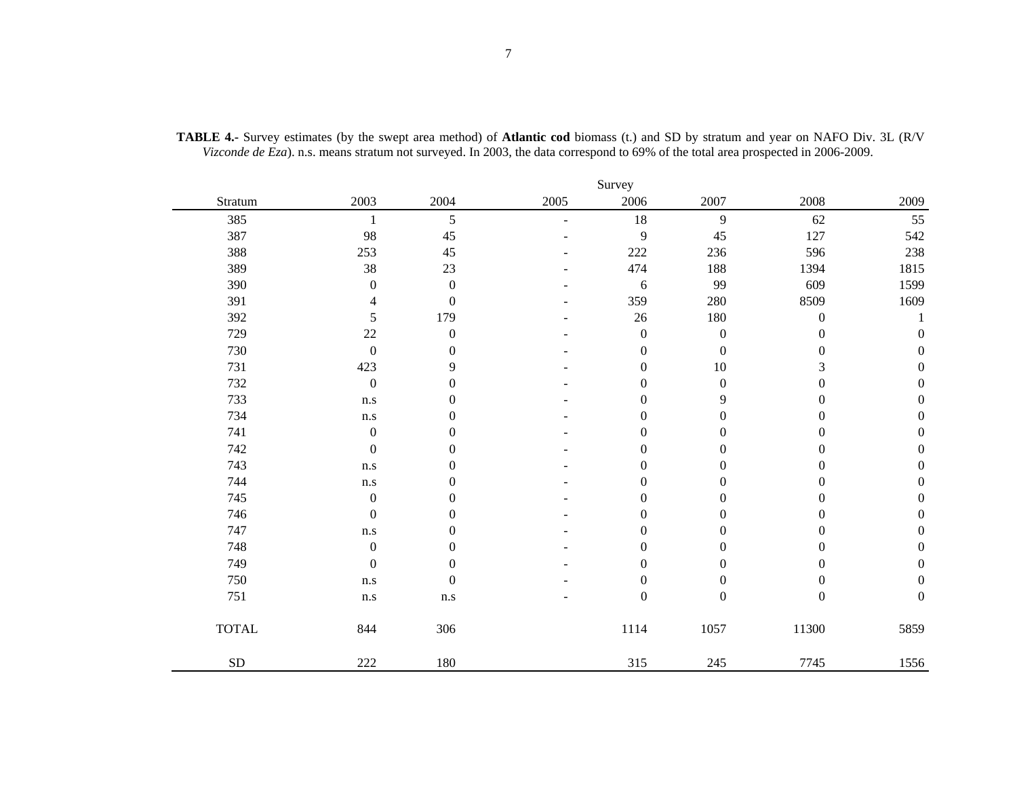|              |                         |                  |      | Survey           |                  |                  |                  |
|--------------|-------------------------|------------------|------|------------------|------------------|------------------|------------------|
| Stratum      | 2003                    | 2004             | 2005 | 2006             | 2007             | 2008             | 2009             |
| 385          | 1                       | 5                | L    | 18               | 9                | 62               | 55               |
| 387          | 98                      | 45               |      | 9                | $45\,$           | 127              | 542              |
| 388          | 253                     | 45               |      | 222              | 236              | 596              | 238              |
| 389          | 38                      | 23               |      | 474              | 188              | 1394             | 1815             |
| 390          | $\boldsymbol{0}$        | $\boldsymbol{0}$ |      | $\sqrt{6}$       | 99               | 609              | 1599             |
| 391          | 4                       | $\boldsymbol{0}$ |      | 359              | 280              | 8509             | 1609             |
| 392          | 5                       | 179              |      | $26\,$           | 180              | $\boldsymbol{0}$ |                  |
| 729          | 22                      | $\boldsymbol{0}$ |      | $\mathbf{0}$     | $\boldsymbol{0}$ | 0                | $\boldsymbol{0}$ |
| 730          | $\boldsymbol{0}$        | $\boldsymbol{0}$ |      | $\boldsymbol{0}$ | $\boldsymbol{0}$ | $\boldsymbol{0}$ | $\boldsymbol{0}$ |
| 731          | 423                     | 9                |      | $\theta$         | $10\,$           | 3                | $\boldsymbol{0}$ |
| 732          | $\boldsymbol{0}$        | $\boldsymbol{0}$ |      | $\overline{0}$   | $\boldsymbol{0}$ | $\boldsymbol{0}$ | $\boldsymbol{0}$ |
| 733          | n.s                     | $\theta$         |      | $\overline{0}$   | 9                | $\boldsymbol{0}$ | $\boldsymbol{0}$ |
| 734          | n.s                     | $\overline{0}$   |      | $\boldsymbol{0}$ | $\boldsymbol{0}$ | $\boldsymbol{0}$ | $\boldsymbol{0}$ |
| 741          | $\boldsymbol{0}$        | $\theta$         |      | $\overline{0}$   | $\boldsymbol{0}$ | 0                | $\boldsymbol{0}$ |
| 742          | $\boldsymbol{0}$        | $\theta$         |      | $\boldsymbol{0}$ | $\boldsymbol{0}$ | $\boldsymbol{0}$ | $\boldsymbol{0}$ |
| 743          | n.s                     | $\theta$         |      | $\mathbf{0}$     | $\boldsymbol{0}$ | $\boldsymbol{0}$ | $\boldsymbol{0}$ |
| 744          | n.s                     | $\overline{0}$   |      | $\boldsymbol{0}$ | $\boldsymbol{0}$ | $\boldsymbol{0}$ | $\boldsymbol{0}$ |
| 745          | $\boldsymbol{0}$        | $\Omega$         |      | $\theta$         | $\overline{0}$   | $\boldsymbol{0}$ | $\boldsymbol{0}$ |
| 746          | $\boldsymbol{0}$        | $\Omega$         |      | $\overline{0}$   | $\boldsymbol{0}$ | $\boldsymbol{0}$ | $\boldsymbol{0}$ |
| 747          | n.s                     | $\Omega$         |      | $\Omega$         | $\boldsymbol{0}$ | $\overline{0}$   | $\boldsymbol{0}$ |
| 748          | $\boldsymbol{0}$        | $\theta$         |      | $\overline{0}$   | $\overline{0}$   | 0                | $\boldsymbol{0}$ |
| 749          | $\boldsymbol{0}$        | $\mathbf{0}$     |      | $\overline{0}$   | $\boldsymbol{0}$ | $\overline{0}$   | $\boldsymbol{0}$ |
| 750          | n.s                     | $\boldsymbol{0}$ |      | $\boldsymbol{0}$ | $\boldsymbol{0}$ | $\boldsymbol{0}$ | $\boldsymbol{0}$ |
| 751          | $\mathbf{n}.\mathbf{s}$ | $\rm n.s$        |      | $\overline{0}$   | $\boldsymbol{0}$ | $\boldsymbol{0}$ | $\boldsymbol{0}$ |
| <b>TOTAL</b> | 844                     | 306              |      | 1114             | 1057             | 11300            | 5859             |
| ${\rm SD}$   | 222                     | 180              |      | 315              | 245              | 7745             | 1556             |

**TABLE 4.-** Survey estimates (by the swept area method) of **Atlantic cod** biomass (t.) and SD by stratum and year on NAFO Div. 3L (R/V *Vizconde de Eza*). n.s. means stratum not surveyed. In 2003, the data correspond to 69% of the total area prospected in 2006-2009.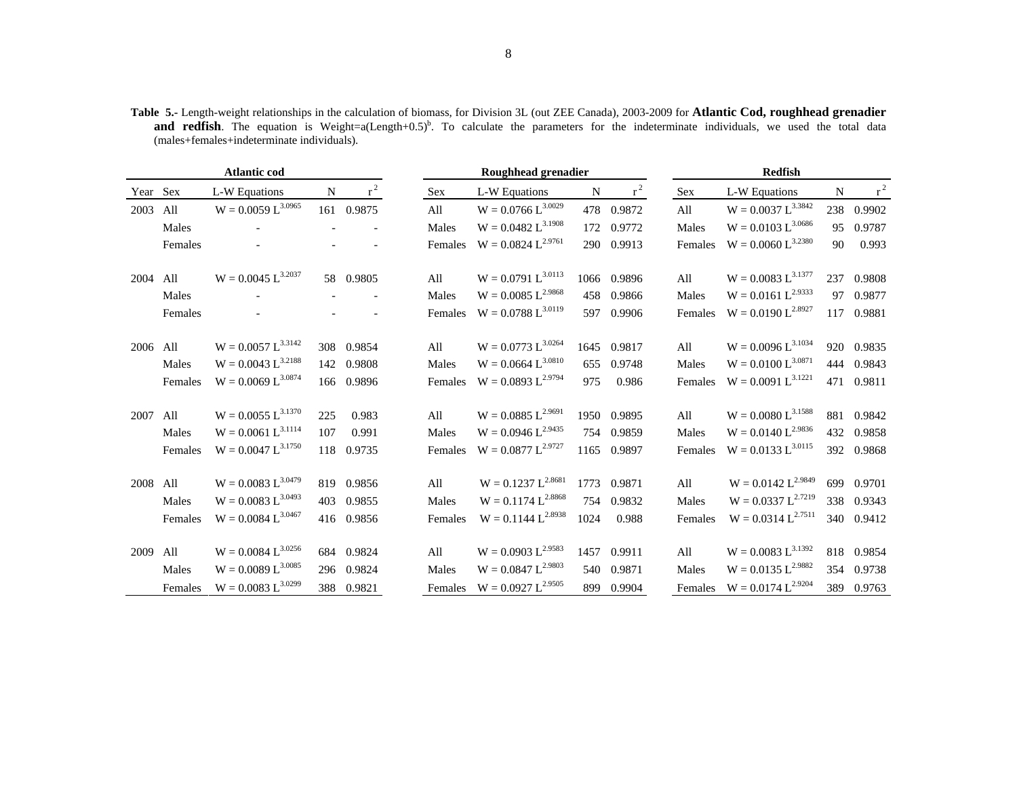**Table 5.-** Length-weight relationships in the calculation of biomass, for Division 3L (out ZEE Canada), 2003-2009 for **Atlantic Cod, roughhead grenadier and redfish**. The equation is Weight=a(Length+0.5)<sup>b</sup>. To calculate the parameters for the indeterminate individuals, we used the total data (males+females+indeterminate individuals).

|          |         | <b>Atlantic cod</b>     |             |             |            | Roughhead grenadier             |      |             |            | <b>Redfish</b>          |             |            |
|----------|---------|-------------------------|-------------|-------------|------------|---------------------------------|------|-------------|------------|-------------------------|-------------|------------|
| Year Sex |         | L-W Equations           | $\mathbf N$ | $r^2$       | <b>Sex</b> | L-W Equations                   | N    | $r^2$       | <b>Sex</b> | L-W Equations           | $\mathbf N$ | $r^2$      |
| 2003     | All     | $W = 0.0059 L^{3.0965}$ |             | 161 0.9875  | All        | $W = 0.0766 L^{3.0029}$         |      | 478  0.9872 | All        | $W = 0.0037 L^{3.3842}$ | 238         | 0.9902     |
|          | Males   |                         |             |             | Males      | $W = 0.0482 L^{3.1908}$         |      | 172 0.9772  | Males      | $W = 0.0103 L^{3.0686}$ | 95          | 0.9787     |
|          | Females |                         |             |             | Females    | $W = 0.0824 L^{2.9761}$         |      | 290 0.9913  | Females    | $W = 0.0060 L^{3.2380}$ | 90          | 0.993      |
| 2004     | All     | $W = 0.0045 L^{3.2037}$ |             | 58 0.9805   | All        | $W = 0.0791 L^{3.0113}$         |      | 1066 0.9896 | All        | $W = 0.0083 L^{3.1377}$ |             | 237 0.9808 |
|          | Males   |                         |             |             | Males      | $W = 0.0085 L^{2.9868}$         |      | 458 0.9866  | Males      | $W = 0.0161 L^{2.9333}$ | 97          | 0.9877     |
|          | Females |                         |             |             | Females    | $W = 0.0788 L^{3.0119}$         |      | 597 0.9906  | Females    | $W = 0.0190 L^{2.8927}$ | 117         | 0.9881     |
| 2006 All |         | $W = 0.0057 L^{3.3142}$ |             | 308  0.9854 | All        | $W = 0.0773 L^{3.0264}$         |      | 1645 0.9817 | All        | $W = 0.0096 L^{3.1034}$ |             | 920 0.9835 |
|          | Males   | $W = 0.0043 L^{3.2188}$ |             | 142 0.9808  | Males      | $W = 0.0664 L^{3.0810}$         | 655  | 0.9748      | Males      | $W = 0.0100 L^{3.0871}$ |             | 444 0.9843 |
|          | Females | $W = 0.0069 L^{3.0874}$ |             | 166 0.9896  | Females    | $W = 0.0893 L^{2.9794}$         | 975  | 0.986       | Females    | $W = 0.0091 L^{3.1221}$ |             | 471 0.9811 |
| 2007     | All     | $W = 0.0055 L^{3.1370}$ | 225         | 0.983       | All        | $W = 0.0885 L^{2.9691}$         |      | 1950 0.9895 | All        | $W = 0.0080 L^{3.1588}$ |             | 881 0.9842 |
|          | Males   | $W = 0.0061 L^{3.1114}$ | 107         | 0.991       | Males      | $W = 0.0946 L^{2.9435}$         |      | 754 0.9859  | Males      | $W = 0.0140 L^{2.9836}$ |             | 432 0.9858 |
|          | Females | $W = 0.0047 L^{3.1750}$ | 118         | 0.9735      | Females    | $W = 0.0877 L^{2.9727}$         |      | 1165 0.9897 | Females    | $W = 0.0133 L^{3.0115}$ |             | 392 0.9868 |
| 2008     | All     | $W = 0.0083 L^{3.0479}$ |             | 819 0.9856  | All        | $W = 0.1237 L^{2.8681}$         |      | 1773 0.9871 | All        | $W = 0.0142 L^{2.9849}$ |             | 699 0.9701 |
|          | Males   | $W = 0.0083 L^{3.0493}$ |             | 403 0.9855  | Males      | $W = 0.1174 L^{2.8868}$         | 754  | 0.9832      | Males      | $W = 0.0337 L^{2.7219}$ |             | 338 0.9343 |
|          | Females | $W = 0.0084 L^{3.0467}$ |             | 416 0.9856  | Females    | $W = 0.1144 L^{2.8938}$         | 1024 | 0.988       | Females    | $W = 0.0314 L^{2.7511}$ |             | 340 0.9412 |
| 2009     | All     | $W = 0.0084 L^{3.0256}$ |             | 684 0.9824  | All        | $W = 0.0903 L^{2.9583}$         |      | 1457 0.9911 | All        | $W = 0.0083 L^{3.1392}$ |             | 818 0.9854 |
|          | Males   | $W = 0.0089 L^{3.0085}$ |             | 296 0.9824  | Males      | $W = 0.0847 L^{2.9803}$         |      | 540 0.9871  | Males      | $W = 0.0135 L^{2.9882}$ |             | 354 0.9738 |
|          | Females | $W = 0.0083 L^{3.0299}$ |             | 388 0.9821  |            | Females $W = 0.0927 L^{2.9505}$ |      | 899 0.9904  | Females    | $W = 0.0174 L^{2.9204}$ |             | 389 0.9763 |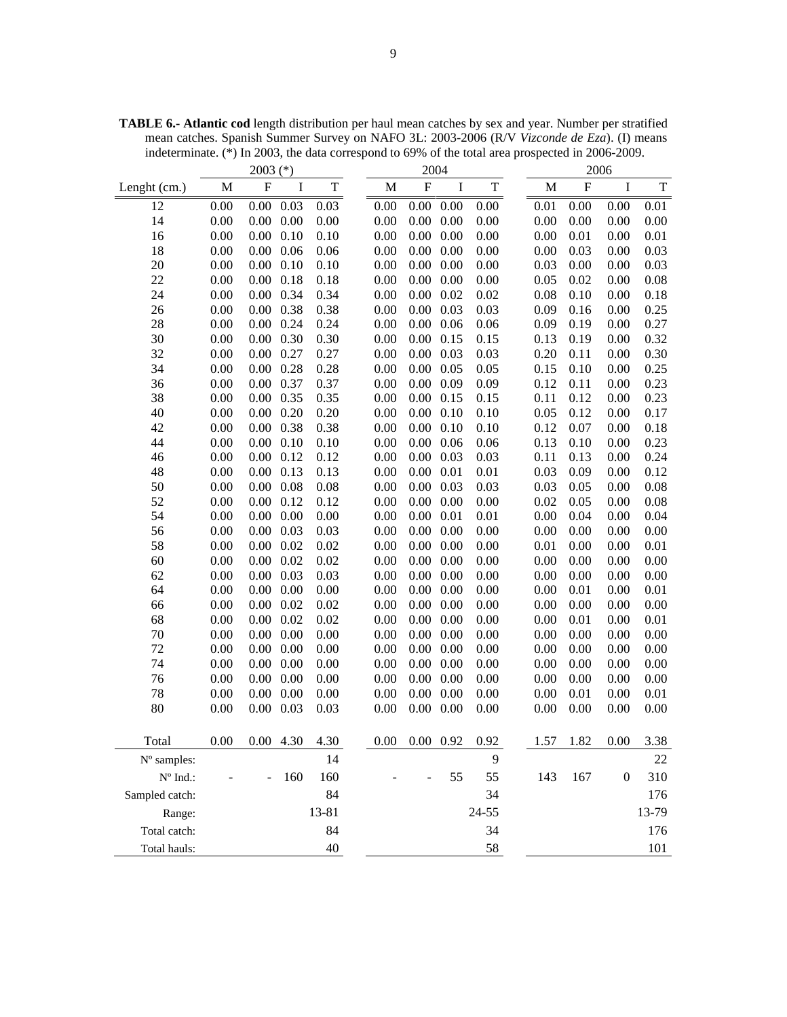2003 (\*) 2004 2006 Lenght (cm.) M F I T M F I T M F I T 12 0.00 0.00 0.03 0.03 0.00 0.00 0.00 0.00 0.01 0.00 0.00 0.01 14 0.00 0.00 0.00 0.00 0.00 0.00 0.00 0.00 0.00 0.00 0.00 0.00 16 0.00 0.00 0.10 0.10 0.00 0.00 0.00 0.00 0.00 0.01 0.00 0.01 18 0.00 0.00 0.06 0.06 0.00 0.00 0.00 0.00 0.00 0.03 0.00 0.03 20 0.00 0.00 0.10 0.10 0.00 0.00 0.00 0.00 0.03 0.00 0.00 0.03 22 0.00 0.00 0.18 0.18 0.00 0.00 0.00 0.00 0.05 0.02 0.00 0.08 24 0.00 0.00 0.34 0.34 0.00 0.00 0.02 0.02 0.08 0.10 0.00 0.18 26 0.00 0.00 0.38 0.38 0.00 0.00 0.03 0.03 0.09 0.16 0.00 0.25 28 0.00 0.00 0.24 0.24 0.00 0.00 0.06 0.06 0.09 0.19 0.00 0.27 30 0.00 0.00 0.30 0.30 0.00 0.00 0.15 0.15 0.13 0.19 0.00 0.32 32 0.00 0.00 0.27 0.27 0.00 0.00 0.03 0.03 0.20 0.11 0.00 0.30 34 0.00 0.00 0.28 0.28 0.00 0.00 0.05 0.05 0.15 0.10 0.00 0.25 36 0.00 0.00 0.37 0.37 0.00 0.00 0.09 0.09 0.12 0.11 0.00 0.23 38 0.00 0.00 0.35 0.35 0.00 0.00 0.15 0.15 0.11 0.12 0.00 0.23 40 0.00 0.00 0.20 0.20 0.00 0.00 0.10 0.10 0.05 0.12 0.00 0.17 42 0.00 0.00 0.38 0.38 0.00 0.00 0.10 0.10 0.12 0.07 0.00 0.18 44 0.00 0.00 0.10 0.10 0.00 0.00 0.06 0.06 0.13 0.10 0.00 0.23 46 0.00 0.00 0.12 0.12 0.00 0.00 0.03 0.03 0.11 0.13 0.00 0.24 48 0.00 0.00 0.13 0.13 0.00 0.00 0.01 0.01 0.03 0.09 0.00 0.12 50 0.00 0.00 0.08 0.08 0.00 0.00 0.03 0.03 0.03 0.05 0.00 0.08 52 0.00 0.00 0.12 0.12 0.00 0.00 0.00 0.00 0.02 0.05 0.00 0.08 54 0.00 0.00 0.00 0.00 0.00 0.00 0.01 0.01 0.00 0.04 0.00 0.04 56 0.00 0.00 0.03 0.03 0.00 0.00 0.00 0.00 0.00 0.00 0.00 0.00 58 0.00 0.00 0.02 0.02 0.00 0.00 0.00 0.00 0.01 0.00 0.00 0.01 60 0.00 0.00 0.02 0.02 0.00 0.00 0.00 0.00 0.00 0.00 0.00 0.00 62 0.00 0.00 0.03 0.03 0.00 0.00 0.00 0.00 0.00 0.00 0.00 0.00 64 0.00 0.00 0.00 0.00 0.00 0.00 0.00 0.00 0.00 0.01 0.00 0.01 66 0.00 0.00 0.02 0.02 0.00 0.00 0.00 0.00 0.00 0.00 0.00 0.00 68 0.00 0.00 0.02 0.02 0.00 0.00 0.00 0.00 0.00 0.01 0.00 0.01 70 0.00 0.00 0.00 0.00 0.00 0.00 0.00 0.00 0.00 0.00 0.00 0.00 72 0.00 0.00 0.00 0.00 0.00 0.00 0.00 0.00 0.00 0.00 0.00 0.00 74 0.00 0.00 0.00 0.00 0.00 0.00 0.00 0.00 0.00 0.00 0.00 0.00 76 0.00 0.00 0.00 0.00 0.00 0.00 0.00 0.00 0.00 0.00 0.00 0.00 78 0.00 0.00 0.00 0.00 0.00 0.00 0.00 0.00 0.00 0.01 0.00 0.01 80 0.00 0.00 0.03 0.03 0.00 0.00 0.00 0.00 0.00 0.00 0.00 0.00 Total 0.00 0.00 4.30 4.30 0.00 0.00 0.92 0.92 1.57 1.82 0.00 3.38  $N^{\circ}$  samples:  $14$  9 22 Nº Ind.: - - 160 160 - - 55 55 143 167 0 310 Sampled catch: 84 34 34 176 Range: 13-81 24-55 13-79 Total catch: 84 84 34 176 Total hauls:  $40 \t\t 58 \t\t 101$ 

**TABLE 6.- Atlantic cod** length distribution per haul mean catches by sex and year. Number per stratified mean catches. Spanish Summer Survey on NAFO 3L: 2003-2006 (R/V *Vizconde de Eza*). (I) means indeterminate. (\*) In 2003, the data correspond to 69% of the total area prospected in 2006-2009.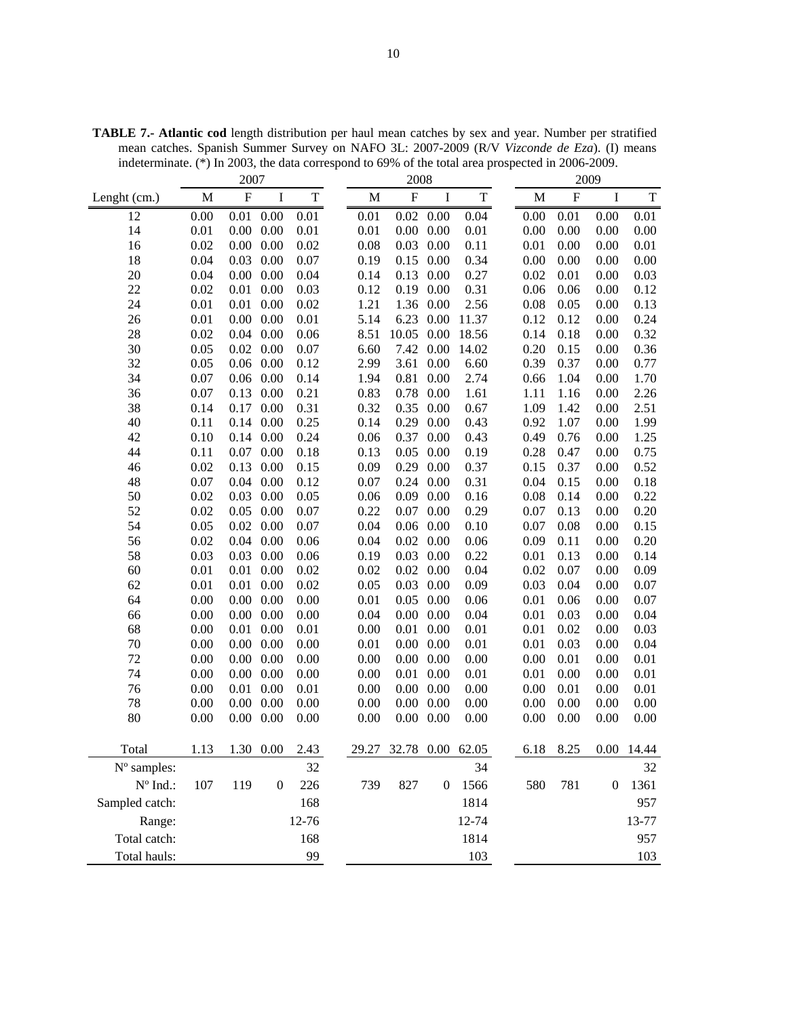|                                 |      | 2007                      |                  |             |       | 2009<br>2008              |                  |                  |             |           |                  |             |
|---------------------------------|------|---------------------------|------------------|-------------|-------|---------------------------|------------------|------------------|-------------|-----------|------------------|-------------|
| Lenght (cm.)                    | M    | $\boldsymbol{\mathrm{F}}$ | I                | $\mathbf T$ | M     | $\boldsymbol{\mathrm{F}}$ | I                | $\mathbf T$      | $\mathbf M$ | ${\bf F}$ | $\bf{I}$         | $\mathbf T$ |
| 12                              | 0.00 | 0.01                      | 0.00             | 0.01        | 0.01  | 0.02                      | 0.00             | 0.04             | 0.00        | 0.01      | 0.00             | 0.01        |
| 14                              | 0.01 | 0.00                      | 0.00             | 0.01        | 0.01  | 0.00                      | 0.00             | 0.01             | 0.00        | 0.00      | 0.00             | 0.00        |
| 16                              | 0.02 | 0.00                      | 0.00             | 0.02        | 0.08  | 0.03                      | 0.00             | 0.11             | 0.01        | 0.00      | 0.00             | 0.01        |
| 18                              | 0.04 | 0.03                      | 0.00             | 0.07        | 0.19  | 0.15                      | 0.00             | 0.34             | 0.00        | 0.00      | 0.00             | 0.00        |
| 20                              | 0.04 | 0.00                      | 0.00             | 0.04        | 0.14  | 0.13                      | 0.00             | 0.27             | 0.02        | 0.01      | 0.00             | 0.03        |
| 22                              | 0.02 | 0.01                      | 0.00             | 0.03        | 0.12  | 0.19                      | 0.00             | 0.31             | 0.06        | 0.06      | 0.00             | 0.12        |
| 24                              | 0.01 | 0.01                      | 0.00             | 0.02        | 1.21  | 1.36                      | 0.00             | 2.56             | 0.08        | 0.05      | 0.00             | 0.13        |
| 26                              | 0.01 | 0.00                      | 0.00             | 0.01        | 5.14  | 6.23                      | 0.00             | 11.37            | 0.12        | 0.12      | 0.00             | 0.24        |
| 28                              | 0.02 | 0.04                      | 0.00             | 0.06        | 8.51  | 10.05                     | 0.00             | 18.56            | 0.14        | 0.18      | 0.00             | 0.32        |
| 30                              | 0.05 | 0.02                      | 0.00             | 0.07        | 6.60  | 7.42                      | 0.00             | 14.02            | 0.20        | 0.15      | 0.00             | 0.36        |
| 32                              | 0.05 | 0.06                      | 0.00             | 0.12        | 2.99  | 3.61                      | 0.00             | 6.60             | 0.39        | 0.37      | 0.00             | 0.77        |
| 34                              | 0.07 | 0.06                      | 0.00             | 0.14        | 1.94  | 0.81                      | 0.00             | 2.74             | 0.66        | 1.04      | 0.00             | 1.70        |
| 36                              | 0.07 | 0.13                      | 0.00             | 0.21        | 0.83  | 0.78                      | 0.00             | 1.61             | 1.11        | 1.16      | 0.00             | 2.26        |
| 38                              | 0.14 | 0.17                      | 0.00             | 0.31        | 0.32  | 0.35                      | 0.00             | 0.67             | 1.09        | 1.42      | 0.00             | 2.51        |
| 40                              | 0.11 | 0.14                      | 0.00             | 0.25        | 0.14  | 0.29                      | 0.00             | 0.43             | 0.92        | 1.07      | 0.00             | 1.99        |
| 42                              | 0.10 | 0.14                      | 0.00             | 0.24        | 0.06  | 0.37                      | 0.00             | 0.43             | 0.49        | 0.76      | 0.00             | 1.25        |
| 44                              | 0.11 | 0.07                      | 0.00             | 0.18        | 0.13  | 0.05                      | 0.00             | 0.19             | 0.28        | 0.47      | 0.00             | 0.75        |
| 46                              | 0.02 | 0.13                      | 0.00             | 0.15        | 0.09  | 0.29                      | 0.00             | 0.37             | 0.15        | 0.37      | 0.00             | 0.52        |
| 48                              | 0.07 | 0.04                      | 0.00             | 0.12        | 0.07  | 0.24                      | 0.00             | 0.31             | 0.04        | 0.15      | 0.00             | 0.18        |
| 50                              | 0.02 | 0.03                      | 0.00             | 0.05        | 0.06  | 0.09                      | 0.00             | 0.16             | 0.08        | 0.14      | 0.00             | 0.22        |
| 52                              | 0.02 | 0.05                      | 0.00             | 0.07        | 0.22  | 0.07                      | 0.00             | 0.29             | 0.07        | 0.13      | 0.00             | 0.20        |
| 54                              | 0.05 | 0.02                      | 0.00             | 0.07        | 0.04  | 0.06                      | 0.00             | 0.10             | 0.07        | 0.08      | 0.00             | 0.15        |
| 56                              | 0.02 | 0.04                      | 0.00             | 0.06        | 0.04  | 0.02                      | 0.00             | 0.06             | 0.09        | 0.11      | 0.00             | 0.20        |
| 58                              | 0.03 | 0.03                      | 0.00             | 0.06        | 0.19  | 0.03                      | 0.00             | 0.22             | 0.01        | 0.13      | 0.00             | 0.14        |
| 60                              | 0.01 | 0.01                      | 0.00             | 0.02        | 0.02  | 0.02                      | 0.00             | 0.04             | 0.02        | 0.07      | 0.00             | 0.09        |
| 62                              | 0.01 | 0.01                      | 0.00             | 0.02        | 0.05  | 0.03                      | 0.00             | 0.09             | 0.03        | 0.04      | 0.00             | 0.07        |
| 64                              | 0.00 | 0.00                      | 0.00             | 0.00        | 0.01  | 0.05                      | 0.00             | 0.06             | 0.01        | 0.06      | 0.00             | 0.07        |
| 66                              | 0.00 | 0.00                      | 0.00             | 0.00        | 0.04  | 0.00                      | 0.00             | 0.04             | 0.01        | 0.03      | 0.00             | 0.04        |
| 68                              | 0.00 | 0.01                      | 0.00             | 0.01        | 0.00  | 0.01                      | 0.00             | 0.01             | 0.01        | 0.02      | 0.00             | 0.03        |
| 70                              | 0.00 | 0.00                      | 0.00             | 0.00        | 0.01  | 0.00                      | 0.00             | 0.01             | 0.01        | 0.03      | 0.00             | 0.04        |
| 72                              | 0.00 | 0.00                      | 0.00             | 0.00        | 0.00  | 0.00                      | 0.00             | 0.00             | 0.00        | 0.01      | 0.00             | 0.01        |
| 74                              | 0.00 | 0.00                      | 0.00             | 0.00        | 0.00  | 0.01                      | 0.00             | 0.01             | 0.01        | 0.00      | 0.00             | 0.01        |
| 76                              | 0.00 | 0.01                      | 0.00             | 0.01        | 0.00  | 0.00                      | 0.00             | 0.00             | 0.00        | 0.01      | 0.00             | 0.01        |
| 78                              | 0.00 | 0.00                      | 0.00             | 0.00        | 0.00  | 0.00                      | 0.00             | 0.00             | 0.00        | 0.00      | 0.00             | 0.00        |
| 80                              | 0.00 | 0.00                      | 0.00             | 0.00        | 0.00  | 0.00                      | 0.00             | 0.00             | 0.00        | 0.00      | 0.00             | 0.00        |
|                                 |      |                           |                  |             |       |                           |                  |                  |             |           |                  |             |
| Total                           | 1.13 |                           | 1.30 0.00        | 2.43        | 29.27 |                           |                  | 32.78 0.00 62.05 | 6.18        | 8.25      |                  | 0.00 14.44  |
| N° samples:                     |      |                           |                  | 32          |       |                           |                  | 34               |             |           |                  | 32          |
| $\mathrm{N}^{\mathrm{o}}$ Ind.: | 107  | 119                       | $\boldsymbol{0}$ | 226         | 739   | 827                       | $\boldsymbol{0}$ | 1566             | 580         | 781       | $\boldsymbol{0}$ | 1361        |
| Sampled catch:                  |      |                           |                  | 168         |       |                           |                  | 1814             |             |           |                  | 957         |
| Range:                          |      |                           |                  | 12-76       |       |                           |                  | 12-74            |             |           |                  | 13-77       |
| Total catch:                    |      |                           |                  | 168         |       |                           |                  | 1814             |             |           |                  | 957         |
| Total hauls:                    |      |                           |                  | 99          |       |                           |                  | 103              |             |           |                  | 103         |

**TABLE 7.- Atlantic cod** length distribution per haul mean catches by sex and year. Number per stratified mean catches. Spanish Summer Survey on NAFO 3L: 2007-2009 (R/V *Vizconde de Eza*). (I) means indeterminate. (\*) In 2003, the data correspond to 69% of the total area prospected in 2006-2009.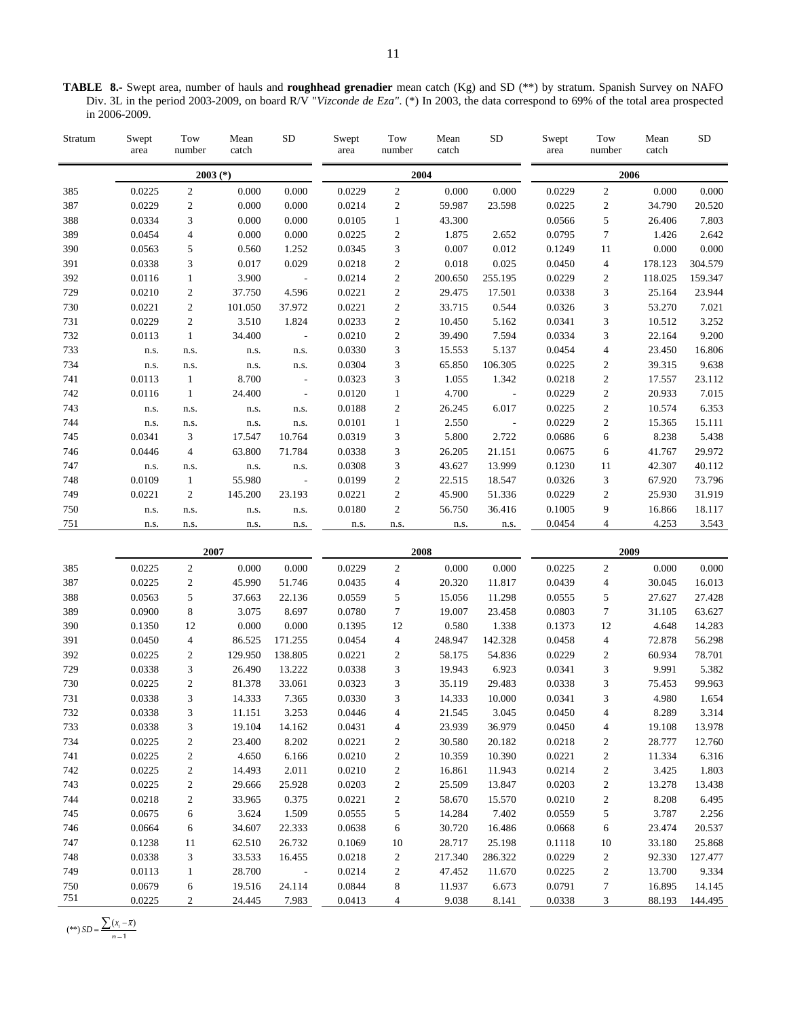**TABLE 8.-** Swept area, number of hauls and **roughhead grenadier** mean catch (Kg) and SD (\*\*) by stratum. Spanish Survey on NAFO Div. 3L in the period 2003-2009, on board R/V "*Vizconde de Eza"*. (\*) In 2003, the data correspond to 69% of the total area prospected in 2006-2009.

| Stratum | Swept<br>area | Tow<br>number  | Mean<br>catch | ${\rm SD}$               | Swept<br>area | Tow<br>number    | Mean<br>catch | <b>SD</b> | Swept<br>area | Tow<br>number  | Mean<br>catch | <b>SD</b> |
|---------|---------------|----------------|---------------|--------------------------|---------------|------------------|---------------|-----------|---------------|----------------|---------------|-----------|
|         |               | $2003$ (*)     |               |                          |               | 2004             |               |           |               | 2006           |               |           |
| 385     | 0.0225        | $\overline{c}$ | 0.000         | 0.000                    | 0.0229        | $\overline{c}$   | 0.000         | 0.000     | 0.0229        | $\overline{c}$ | 0.000         | 0.000     |
| 387     | 0.0229        | $\overline{c}$ | 0.000         | 0.000                    | 0.0214        | $\overline{c}$   | 59.987        | 23.598    | 0.0225        | $\mathfrak{2}$ | 34.790        | 20.520    |
| 388     | 0.0334        | 3              | 0.000         | 0.000                    | 0.0105        | 1                | 43.300        |           | 0.0566        | 5              | 26.406        | 7.803     |
| 389     | 0.0454        | $\overline{4}$ | 0.000         | 0.000                    | 0.0225        | $\overline{c}$   | 1.875         | 2.652     | 0.0795        | $\overline{7}$ | 1.426         | 2.642     |
| 390     | 0.0563        | 5              | 0.560         | 1.252                    | 0.0345        | 3                | 0.007         | 0.012     | 0.1249        | 11             | 0.000         | 0.000     |
| 391     | 0.0338        | 3              | 0.017         | 0.029                    | 0.0218        | 2                | 0.018         | 0.025     | 0.0450        | 4              | 178.123       | 304.579   |
| 392     | 0.0116        | 1              | 3.900         | $\overline{\phantom{a}}$ | 0.0214        | $\overline{c}$   | 200.650       | 255.195   | 0.0229        | $\overline{c}$ | 118.025       | 159.347   |
| 729     | 0.0210        | $\overline{c}$ | 37.750        | 4.596                    | 0.0221        | $\overline{c}$   | 29.475        | 17.501    | 0.0338        | 3              | 25.164        | 23.944    |
| 730     | 0.0221        | 2              | 101.050       | 37.972                   | 0.0221        | $\boldsymbol{2}$ | 33.715        | 0.544     | 0.0326        | 3              | 53.270        | 7.021     |
| 731     | 0.0229        | $\overline{c}$ | 3.510         | 1.824                    | 0.0233        | $\mathbf{2}$     | 10.450        | 5.162     | 0.0341        | 3              | 10.512        | 3.252     |
| 732     | 0.0113        | $\mathbf{1}$   | 34.400        | $\sim$                   | 0.0210        | $\overline{c}$   | 39.490        | 7.594     | 0.0334        | 3              | 22.164        | 9.200     |
| 733     | n.s.          | n.s.           | n.s.          | n.s.                     | 0.0330        | 3                | 15.553        | 5.137     | 0.0454        | 4              | 23.450        | 16.806    |
| 734     | n.s.          | n.s.           | n.s.          | n.s.                     | 0.0304        | 3                | 65.850        | 106.305   | 0.0225        | $\mathfrak{2}$ | 39.315        | 9.638     |
| 741     | 0.0113        | $\mathbf{1}$   | 8.700         | $\overline{\phantom{a}}$ | 0.0323        | 3                | 1.055         | 1.342     | 0.0218        | $\mathfrak{2}$ | 17.557        | 23.112    |
| 742     | 0.0116        | $\mathbf{1}$   | 24.400        | $\overline{\phantom{a}}$ | 0.0120        | $\mathbf{1}$     | 4.700         | $\sim$    | 0.0229        | $\overline{c}$ | 20.933        | 7.015     |
| 743     | n.s.          | n.s.           | n.s.          | n.s.                     | 0.0188        | 2                | 26.245        | 6.017     | 0.0225        | $\sqrt{2}$     | 10.574        | 6.353     |
| 744     | n.s.          | n.s.           | n.s.          | n.s.                     | 0.0101        | $\mathbf{1}$     | 2.550         | $\sim$    | 0.0229        | $\overline{c}$ | 15.365        | 15.111    |
| 745     | 0.0341        | 3              | 17.547        | 10.764                   | 0.0319        | 3                | 5.800         | 2.722     | 0.0686        | 6              | 8.238         | 5.438     |
| 746     | 0.0446        | $\overline{4}$ | 63.800        | 71.784                   | 0.0338        | 3                | 26.205        | 21.151    | 0.0675        | 6              | 41.767        | 29.972    |
| 747     | n.s.          | n.s.           | n.s.          | n.s.                     | 0.0308        | 3                | 43.627        | 13.999    | 0.1230        | 11             | 42.307        | 40.112    |
| 748     | 0.0109        | $\mathbf{1}$   | 55.980        | $\sim$                   | 0.0199        | $\overline{c}$   | 22.515        | 18.547    | 0.0326        | 3              | 67.920        | 73.796    |
| 749     | 0.0221        | $\overline{c}$ | 145.200       | 23.193                   | 0.0221        | $\overline{c}$   | 45.900        | 51.336    | 0.0229        | $\mathfrak{2}$ | 25.930        | 31.919    |
| 750     | n.s.          | n.s.           | n.s.          | n.s.                     | 0.0180        | $\overline{c}$   | 56.750        | 36.416    | 0.1005        | 9              | 16.866        | 18.117    |
| 751     | n.s.          | n.s.           | n.s.          | n.s.                     | n.s.          | n.s.             | n.s.          | n.s.      | 0.0454        | $\overline{4}$ | 4.253         | 3.543     |
|         |               | 2007           |               |                          |               | 2008             |               |           |               | 2009           |               |           |
| 385     | 0.0225        | $\mathfrak{2}$ | 0.000         | 0.000                    | 0.0229        | $\overline{c}$   | 0.000         | 0.000     | 0.0225        | $\overline{c}$ | 0.000         | 0.000     |
| 387     | 0.0225        | $\mathfrak{2}$ | 45.990        | 51.746                   | 0.0435        | 4                | 20.320        | 11.817    | 0.0439        | 4              | 30.045        | 16.013    |
| 388     | 0.0563        | 5              | 37.663        | 22.136                   | 0.0559        | 5                | 15.056        | 11.298    | 0.0555        | 5              | 27.627        | 27.428    |

| 385 | 0.0225 | 2  | 0.000   | 0.000       | 0.0229 | 2              | 0.000   | 0.000   | 0.0225 | 2      | 0.000  | 0.000   |
|-----|--------|----|---------|-------------|--------|----------------|---------|---------|--------|--------|--------|---------|
| 387 | 0.0225 | 2  | 45.990  | 51.746      | 0.0435 | 4              | 20.320  | 11.817  | 0.0439 | 4      | 30.045 | 16.013  |
| 388 | 0.0563 | 5  | 37.663  | 22.136      | 0.0559 | 5              | 15.056  | 11.298  | 0.0555 | 5      | 27.627 | 27.428  |
| 389 | 0.0900 | 8  | 3.075   | 8.697       | 0.0780 | 7              | 19.007  | 23.458  | 0.0803 | $\tau$ | 31.105 | 63.627  |
| 390 | 0.1350 | 12 | 0.000   | 0.000       | 0.1395 | 12             | 0.580   | 1.338   | 0.1373 | 12     | 4.648  | 14.283  |
| 391 | 0.0450 | 4  | 86.525  | 171.255     | 0.0454 | $\overline{4}$ | 248.947 | 142.328 | 0.0458 | 4      | 72.878 | 56.298  |
| 392 | 0.0225 | 2  | 129.950 | 138.805     | 0.0221 | 2              | 58.175  | 54.836  | 0.0229 | 2      | 60.934 | 78.701  |
| 729 | 0.0338 | 3  | 26.490  | 13.222      | 0.0338 | 3              | 19.943  | 6.923   | 0.0341 | 3      | 9.991  | 5.382   |
| 730 | 0.0225 | 2  | 81.378  | 33.061      | 0.0323 | 3              | 35.119  | 29.483  | 0.0338 | 3      | 75.453 | 99.963  |
| 731 | 0.0338 | 3  | 14.333  | 7.365       | 0.0330 | 3              | 14.333  | 10.000  | 0.0341 | 3      | 4.980  | 1.654   |
| 732 | 0.0338 | 3  | 11.151  | 3.253       | 0.0446 | 4              | 21.545  | 3.045   | 0.0450 | 4      | 8.289  | 3.314   |
| 733 | 0.0338 | 3  | 19.104  | 14.162      | 0.0431 | 4              | 23.939  | 36.979  | 0.0450 | 4      | 19.108 | 13.978  |
| 734 | 0.0225 | 2  | 23.400  | 8.202       | 0.0221 | 2              | 30.580  | 20.182  | 0.0218 | 2      | 28.777 | 12.760  |
| 741 | 0.0225 | 2  | 4.650   | 6.166       | 0.0210 | 2              | 10.359  | 10.390  | 0.0221 | 2      | 11.334 | 6.316   |
| 742 | 0.0225 | 2  | 14.493  | 2.011       | 0.0210 | 2              | 16.861  | 11.943  | 0.0214 | 2      | 3.425  | 1.803   |
| 743 | 0.0225 | 2  | 29.666  | 25.928      | 0.0203 | 2              | 25.509  | 13.847  | 0.0203 | 2      | 13.278 | 13.438  |
| 744 | 0.0218 | 2  | 33.965  | 0.375       | 0.0221 | 2              | 58.670  | 15.570  | 0.0210 | 2      | 8.208  | 6.495   |
| 745 | 0.0675 | 6  | 3.624   | 1.509       | 0.0555 | 5              | 14.284  | 7.402   | 0.0559 | 5      | 3.787  | 2.256   |
| 746 | 0.0664 | 6  | 34.607  | 22.333      | 0.0638 | 6              | 30.720  | 16.486  | 0.0668 | 6      | 23.474 | 20.537  |
| 747 | 0.1238 | 11 | 62.510  | 26.732      | 0.1069 | 10             | 28.717  | 25.198  | 0.1118 | 10     | 33.180 | 25.868  |
| 748 | 0.0338 | 3  | 33.533  | 16.455      | 0.0218 | 2              | 217.340 | 286.322 | 0.0229 | 2      | 92.330 | 127.477 |
| 749 | 0.0113 | 1  | 28.700  | $\sim$ $ -$ | 0.0214 | 2              | 47.452  | 11.670  | 0.0225 | 2      | 13.700 | 9.334   |
| 750 | 0.0679 | 6  | 19.516  | 24.114      | 0.0844 | 8              | 11.937  | 6.673   | 0.0791 | 7      | 16.895 | 14.145  |
| 751 | 0.0225 | 2  | 24.445  | 7.983       | 0.0413 | 4              | 9.038   | 8.141   | 0.0338 | 3      | 88.193 | 144.495 |

 $(**)$  *SD* =  $\frac{\sum (x_i - \bar{x})}{n-1}$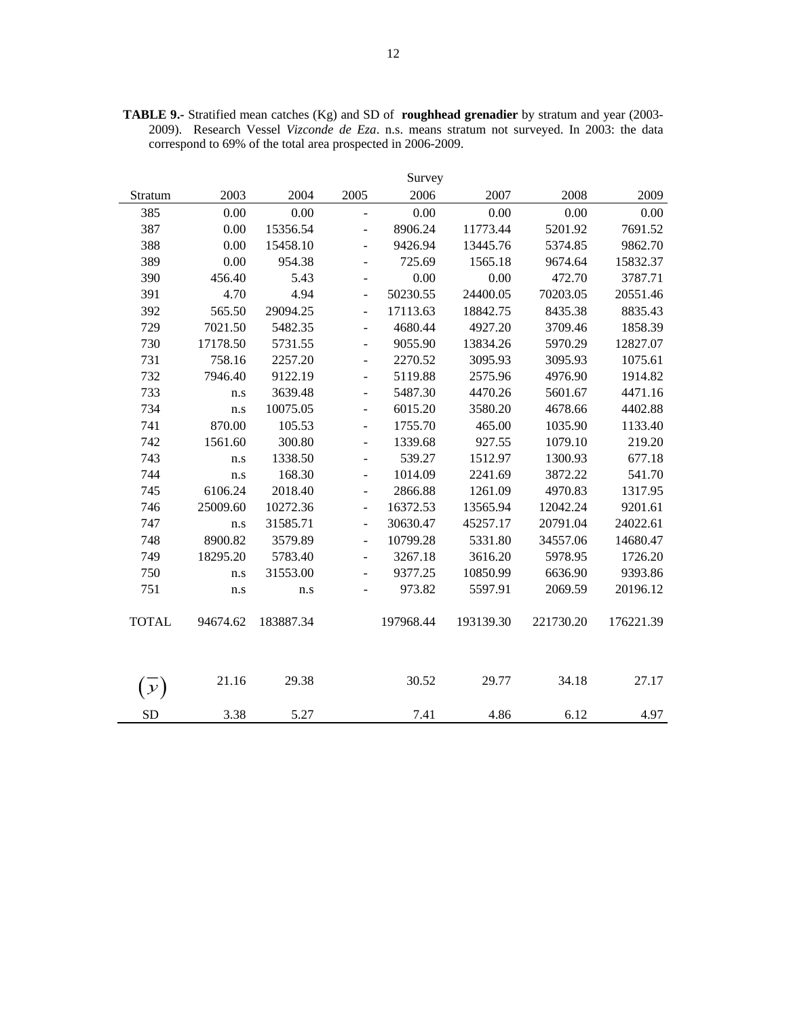|                |          |           |                          | Survey    |           |           |           |
|----------------|----------|-----------|--------------------------|-----------|-----------|-----------|-----------|
| Stratum        | 2003     | 2004      | 2005                     | 2006      | 2007      | 2008      | 2009      |
| 385            | 0.00     | 0.00      | $\qquad \qquad \Box$     | 0.00      | 0.00      | 0.00      | 0.00      |
| 387            | 0.00     | 15356.54  | $\overline{a}$           | 8906.24   | 11773.44  | 5201.92   | 7691.52   |
| 388            | 0.00     | 15458.10  | $\overline{a}$           | 9426.94   | 13445.76  | 5374.85   | 9862.70   |
| 389            | 0.00     | 954.38    | $\overline{a}$           | 725.69    | 1565.18   | 9674.64   | 15832.37  |
| 390            | 456.40   | 5.43      | $\overline{\phantom{a}}$ | 0.00      | 0.00      | 472.70    | 3787.71   |
| 391            | 4.70     | 4.94      | $\overline{\phantom{a}}$ | 50230.55  | 24400.05  | 70203.05  | 20551.46  |
| 392            | 565.50   | 29094.25  | $\frac{1}{2}$            | 17113.63  | 18842.75  | 8435.38   | 8835.43   |
| 729            | 7021.50  | 5482.35   | ÷,                       | 4680.44   | 4927.20   | 3709.46   | 1858.39   |
| 730            | 17178.50 | 5731.55   | $\overline{\phantom{a}}$ | 9055.90   | 13834.26  | 5970.29   | 12827.07  |
| 731            | 758.16   | 2257.20   | $\overline{a}$           | 2270.52   | 3095.93   | 3095.93   | 1075.61   |
| 732            | 7946.40  | 9122.19   | $\blacksquare$           | 5119.88   | 2575.96   | 4976.90   | 1914.82   |
| 733            | n.s      | 3639.48   | ÷,                       | 5487.30   | 4470.26   | 5601.67   | 4471.16   |
| 734            | n.s      | 10075.05  | $\overline{a}$           | 6015.20   | 3580.20   | 4678.66   | 4402.88   |
| 741            | 870.00   | 105.53    | $\overline{a}$           | 1755.70   | 465.00    | 1035.90   | 1133.40   |
| 742            | 1561.60  | 300.80    | $\overline{a}$           | 1339.68   | 927.55    | 1079.10   | 219.20    |
| 743            | n.s      | 1338.50   | $\overline{a}$           | 539.27    | 1512.97   | 1300.93   | 677.18    |
| 744            | n.s      | 168.30    | ÷,                       | 1014.09   | 2241.69   | 3872.22   | 541.70    |
| 745            | 6106.24  | 2018.40   | $\blacksquare$           | 2866.88   | 1261.09   | 4970.83   | 1317.95   |
| 746            | 25009.60 | 10272.36  | $\overline{\phantom{a}}$ | 16372.53  | 13565.94  | 12042.24  | 9201.61   |
| 747            | n.s      | 31585.71  | $\overline{\phantom{a}}$ | 30630.47  | 45257.17  | 20791.04  | 24022.61  |
| 748            | 8900.82  | 3579.89   | $\overline{a}$           | 10799.28  | 5331.80   | 34557.06  | 14680.47  |
| 749            | 18295.20 | 5783.40   | $\overline{a}$           | 3267.18   | 3616.20   | 5978.95   | 1726.20   |
| 750            | n.s      | 31553.00  | $\overline{a}$           | 9377.25   | 10850.99  | 6636.90   | 9393.86   |
| 751            | n.s      | n.s       | L,                       | 973.82    | 5597.91   | 2069.59   | 20196.12  |
| <b>TOTAL</b>   | 94674.62 | 183887.34 |                          | 197968.44 | 193139.30 | 221730.20 | 176221.39 |
| ${\mathcal Y}$ | 21.16    | 29.38     |                          | 30.52     | 29.77     | 34.18     | 27.17     |
| <b>SD</b>      | 3.38     | 5.27      |                          | 7.41      | 4.86      | 6.12      | 4.97      |

**TABLE 9.-** Stratified mean catches (Kg) and SD of **roughhead grenadier** by stratum and year (2003- 2009). Research Vessel *Vizconde de Eza*. n.s. means stratum not surveyed. In 2003: the data correspond to 69% of the total area prospected in 2006-2009.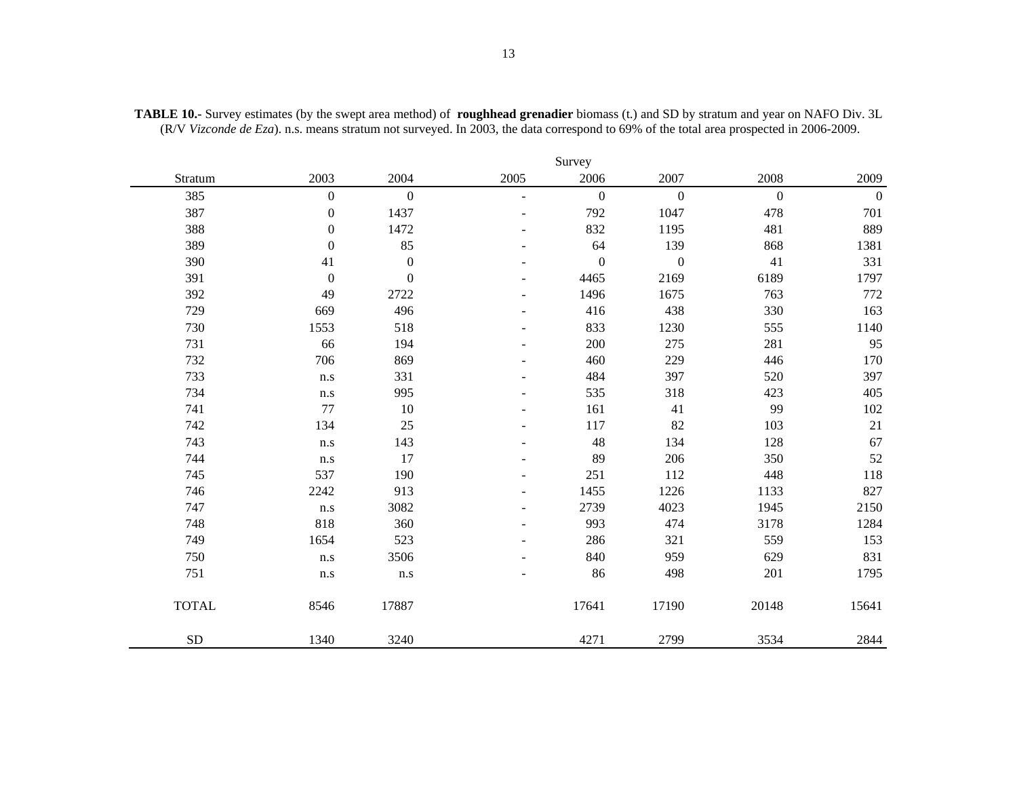|              |                         |                  |          | Survey           |                  |                  |              |
|--------------|-------------------------|------------------|----------|------------------|------------------|------------------|--------------|
| Stratum      | 2003                    | 2004             | 2005     | 2006             | 2007             | 2008             | 2009         |
| 385          | $\boldsymbol{0}$        | $\boldsymbol{0}$ | L.       | $\mathbf{0}$     | $\boldsymbol{0}$ | $\boldsymbol{0}$ | $\mathbf{0}$ |
| 387          | $\boldsymbol{0}$        | 1437             | ÷        | 792              | 1047             | 478              | 701          |
| 388          | $\boldsymbol{0}$        | 1472             |          | 832              | 1195             | 481              | 889          |
| 389          | $\boldsymbol{0}$        | 85               |          | 64               | 139              | 868              | 1381         |
| 390          | 41                      | $\boldsymbol{0}$ |          | $\boldsymbol{0}$ | $\boldsymbol{0}$ | 41               | 331          |
| 391          | $\boldsymbol{0}$        | $\boldsymbol{0}$ |          | 4465             | 2169             | 6189             | 1797         |
| 392          | 49                      | 2722             |          | 1496             | 1675             | 763              | 772          |
| 729          | 669                     | 496              |          | 416              | 438              | 330              | 163          |
| 730          | 1553                    | 518              |          | 833              | 1230             | 555              | 1140         |
| 731          | 66                      | 194              |          | 200              | 275              | 281              | 95           |
| 732          | 706                     | 869              |          | 460              | 229              | 446              | 170          |
| 733          | n.s                     | 331              |          | 484              | 397              | 520              | 397          |
| 734          | n.s                     | 995              |          | 535              | 318              | 423              | 405          |
| 741          | 77                      | 10               |          | 161              | 41               | 99               | 102          |
| 742          | 134                     | $25\,$           |          | 117              | 82               | 103              | $21\,$       |
| 743          | $\mathbf{n}.\mathbf{s}$ | 143              |          | 48               | 134              | 128              | 67           |
| 744          | $\mathbf{n}.\mathbf{s}$ | 17               |          | 89               | 206              | 350              | 52           |
| 745          | 537                     | 190              | $\equiv$ | 251              | 112              | 448              | $118\,$      |
| 746          | 2242                    | 913              |          | 1455             | 1226             | 1133             | 827          |
| 747          | $\mathbf{n}.\mathbf{s}$ | 3082             |          | 2739             | 4023             | 1945             | 2150         |
| 748          | 818                     | 360              | ٠        | 993              | 474              | 3178             | 1284         |
| 749          | 1654                    | 523              | ۰        | 286              | 321              | 559              | 153          |
| 750          | $\mathbf{n}.\mathbf{s}$ | 3506             |          | 840              | 959              | 629              | 831          |
| 751          | n.s                     | n.s              |          | 86               | 498              | 201              | 1795         |
| <b>TOTAL</b> | 8546                    | 17887            |          | 17641            | 17190            | 20148            | 15641        |
| ${\rm SD}$   | 1340                    | 3240             |          | 4271             | 2799             | 3534             | 2844         |

**TABLE 10.-** Survey estimates (by the swept area method) of **roughhead grenadier** biomass (t.) and SD by stratum and year on NAFO Div. 3L (R/V *Vizconde de Eza*). n.s. means stratum not surveyed. In 2003, the data correspond to 69% of the total area prospected in 2006-2009.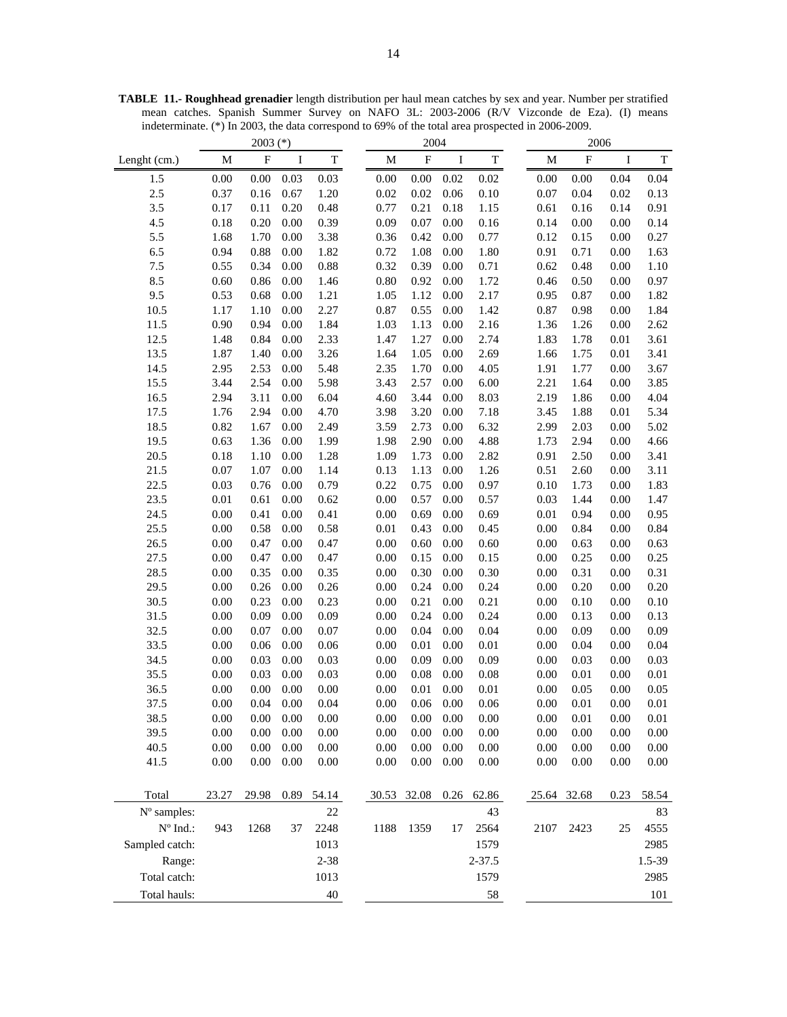**TABLE 11.- Roughhead grenadier** length distribution per haul mean catches by sex and year. Number per stratified mean catches. Spanish Summer Survey on NAFO 3L: 2003-2006 (R/V Vizconde de Eza). (I) means indeterminate. (\*) In 2003, the data correspond to 69% of the total area prospected in 2006-2009.

|                   |          | $2003$ (*)                |      |             |          | 2004                      |          |             | 2006 |                           |      |             |
|-------------------|----------|---------------------------|------|-------------|----------|---------------------------|----------|-------------|------|---------------------------|------|-------------|
| Lenght (cm.)      | M        | $\boldsymbol{\mathrm{F}}$ | I    | $\mathbf T$ | M        | $\boldsymbol{\mathrm{F}}$ | I        | $\mathbf T$ | M    | $\boldsymbol{\mathrm{F}}$ | I    | $\mathbf T$ |
| 1.5               | 0.00     | 0.00                      | 0.03 | 0.03        | 0.00     | 0.00                      | 0.02     | 0.02        | 0.00 | 0.00                      | 0.04 | 0.04        |
| 2.5               | 0.37     | 0.16                      | 0.67 | 1.20        | 0.02     | 0.02                      | 0.06     | 0.10        | 0.07 | 0.04                      | 0.02 | 0.13        |
| 3.5               | 0.17     | 0.11                      | 0.20 | 0.48        | 0.77     | 0.21                      | 0.18     | 1.15        | 0.61 | 0.16                      | 0.14 | 0.91        |
| 4.5               | 0.18     | 0.20                      | 0.00 | 0.39        | 0.09     | 0.07                      | 0.00     | 0.16        | 0.14 | 0.00                      | 0.00 | 0.14        |
| 5.5               | 1.68     | 1.70                      | 0.00 | 3.38        | 0.36     | 0.42                      | 0.00     | 0.77        | 0.12 | 0.15                      | 0.00 | 0.27        |
| 6.5               | 0.94     | 0.88                      | 0.00 | 1.82        | 0.72     | 1.08                      | 0.00     | 1.80        | 0.91 | 0.71                      | 0.00 | 1.63        |
| 7.5               | 0.55     | 0.34                      | 0.00 | 0.88        | 0.32     | 0.39                      | 0.00     | 0.71        | 0.62 | 0.48                      | 0.00 | 1.10        |
| 8.5               | 0.60     | 0.86                      | 0.00 | 1.46        | 0.80     | 0.92                      | 0.00     | 1.72        | 0.46 | 0.50                      | 0.00 | 0.97        |
| 9.5               | 0.53     | 0.68                      | 0.00 | 1.21        | 1.05     | 1.12                      | 0.00     | 2.17        | 0.95 | 0.87                      | 0.00 | 1.82        |
| 10.5              | 1.17     | 1.10                      | 0.00 | 2.27        | 0.87     | 0.55                      | 0.00     | 1.42        | 0.87 | 0.98                      | 0.00 | 1.84        |
| 11.5              | 0.90     | 0.94                      | 0.00 | 1.84        | 1.03     | 1.13                      | 0.00     | 2.16        | 1.36 | 1.26                      | 0.00 | 2.62        |
| 12.5              | 1.48     | 0.84                      | 0.00 | 2.33        | 1.47     | 1.27                      | 0.00     | 2.74        | 1.83 | 1.78                      | 0.01 | 3.61        |
| 13.5              | 1.87     | 1.40                      | 0.00 | 3.26        | 1.64     | 1.05                      | 0.00     | 2.69        | 1.66 | 1.75                      | 0.01 | 3.41        |
| 14.5              | 2.95     | 2.53                      | 0.00 | 5.48        | 2.35     | 1.70                      | 0.00     | 4.05        | 1.91 | 1.77                      | 0.00 | 3.67        |
| 15.5              | 3.44     | 2.54                      | 0.00 | 5.98        | 3.43     | 2.57                      | 0.00     | 6.00        | 2.21 | 1.64                      | 0.00 | 3.85        |
| 16.5              | 2.94     | 3.11                      | 0.00 | 6.04        | 4.60     | 3.44                      | 0.00     | 8.03        | 2.19 | 1.86                      | 0.00 | 4.04        |
| 17.5              | 1.76     | 2.94                      | 0.00 | 4.70        | 3.98     | 3.20                      | 0.00     | 7.18        | 3.45 | 1.88                      | 0.01 | 5.34        |
| 18.5              | 0.82     | 1.67                      | 0.00 | 2.49        | 3.59     | 2.73                      | 0.00     | 6.32        | 2.99 | 2.03                      | 0.00 | 5.02        |
| 19.5              | 0.63     | 1.36                      | 0.00 | 1.99        | 1.98     | 2.90                      | 0.00     | 4.88        | 1.73 | 2.94                      | 0.00 | 4.66        |
| 20.5              | 0.18     | 1.10                      | 0.00 | 1.28        | 1.09     | 1.73                      | 0.00     | 2.82        | 0.91 | 2.50                      | 0.00 | 3.41        |
| 21.5              | 0.07     | 1.07                      | 0.00 | 1.14        | 0.13     | 1.13                      | 0.00     | 1.26        | 0.51 | 2.60                      | 0.00 | 3.11        |
| 22.5              | 0.03     | 0.76                      | 0.00 | 0.79        | 0.22     | 0.75                      | 0.00     | 0.97        | 0.10 | 1.73                      | 0.00 | 1.83        |
| 23.5              | 0.01     | 0.61                      | 0.00 | 0.62        | 0.00     | 0.57                      | 0.00     | 0.57        | 0.03 | 1.44                      | 0.00 | 1.47        |
| 24.5              | 0.00     | 0.41                      | 0.00 | 0.41        | 0.00     | 0.69                      | 0.00     | 0.69        | 0.01 | 0.94                      | 0.00 | 0.95        |
| 25.5              | 0.00     | 0.58                      | 0.00 | 0.58        | 0.01     | 0.43                      | 0.00     | 0.45        | 0.00 | 0.84                      | 0.00 | 0.84        |
| 26.5              | 0.00     | 0.47                      | 0.00 | 0.47        | 0.00     | 0.60                      | 0.00     | 0.60        | 0.00 | 0.63                      | 0.00 | 0.63        |
| 27.5              | 0.00     | 0.47                      | 0.00 | 0.47        | 0.00     | 0.15                      | 0.00     | 0.15        | 0.00 | 0.25                      | 0.00 | 0.25        |
| 28.5              | 0.00     | 0.35                      | 0.00 | 0.35        | 0.00     | 0.30                      | 0.00     | 0.30        | 0.00 | 0.31                      | 0.00 | 0.31        |
| 29.5              | 0.00     | 0.26                      | 0.00 | 0.26        | 0.00     | 0.24                      | 0.00     | 0.24        | 0.00 | 0.20                      | 0.00 | 0.20        |
| 30.5              | 0.00     | 0.23                      | 0.00 | 0.23        | 0.00     | 0.21                      | 0.00     | 0.21        | 0.00 | 0.10                      | 0.00 | $0.10\,$    |
| 31.5              | 0.00     | 0.09                      | 0.00 | 0.09        | 0.00     | 0.24                      | 0.00     | 0.24        | 0.00 | 0.13                      | 0.00 | 0.13        |
| 32.5              | 0.00     | 0.07                      | 0.00 | 0.07        | 0.00     | 0.04                      | 0.00     | 0.04        | 0.00 | 0.09                      | 0.00 | 0.09        |
| 33.5              | 0.00     | 0.06                      | 0.00 | 0.06        | 0.00     | 0.01                      | 0.00     | 0.01        | 0.00 | 0.04                      | 0.00 | 0.04        |
| 34.5              | 0.00     | 0.03                      | 0.00 | 0.03        | 0.00     | 0.09                      | 0.00     | 0.09        | 0.00 | 0.03                      | 0.00 | 0.03        |
| 35.5              | 0.00     | 0.03                      | 0.00 | 0.03        | 0.00     | 0.08                      | 0.00     | 0.08        | 0.00 | 0.01                      | 0.00 | 0.01        |
| 36.5              | 0.00     | 0.00                      | 0.00 | 0.00        | 0.00     | 0.01                      | 0.00     | 0.01        | 0.00 | 0.05                      | 0.00 | 0.05        |
| 37.5              | 0.00     | 0.04                      | 0.00 | 0.04        | 0.00     | 0.06                      | 0.00     | 0.06        | 0.00 | 0.01                      | 0.00 | 0.01        |
| 38.5              | 0.00     | 0.00                      | 0.00 | 0.00        | 0.00     | 0.00                      | 0.00     | 0.00        | 0.00 | 0.01                      | 0.00 | 0.01        |
| 39.5              | $0.00\,$ | $0.00\,$                  | 0.00 | $0.00\,$    | $0.00\,$ | $0.00\,$                  | $0.00\,$ | 0.00        | 0.00 | 0.00                      | 0.00 | $0.00\,$    |
| 40.5              | $0.00\,$ | $0.00\,$                  | 0.00 | $0.00\,$    | $0.00\,$ | $0.00\,$                  | 0.00     | $0.00\,$    | 0.00 | $0.00\,$                  | 0.00 | $0.00\,$    |
| 41.5              | $0.00\,$ | 0.00                      | 0.00 | $0.00\,$    | 0.00     | $0.00\,$                  | 0.00     | 0.00        | 0.00 | 0.00                      | 0.00 | $0.00\,$    |
| Total             | 23.27    | 29.98                     | 0.89 | 54.14       |          | 30.53 32.08               | 0.26     | 62.86       |      | 25.64 32.68               | 0.23 | 58.54       |
| $No$ samples:     |          |                           |      | 22          |          |                           |          | 43          |      |                           |      | 83          |
| $N^{\circ}$ Ind.: | 943      | 1268                      | 37   | 2248        | 1188     | 1359                      | 17       | 2564        | 2107 | 2423                      | 25   | 4555        |
| Sampled catch:    |          |                           |      | 1013        |          |                           |          | 1579        |      |                           |      | 2985        |
|                   |          |                           |      |             |          |                           |          |             |      |                           |      |             |
| Range:            |          |                           |      | $2 - 38$    |          |                           |          | $2 - 37.5$  |      |                           |      | 1.5-39      |
| Total catch:      |          |                           |      | 1013        |          |                           |          | 1579        |      |                           |      | 2985        |
| Total hauls:      |          |                           |      | $40\,$      |          |                           |          | 58          |      |                           |      | 101         |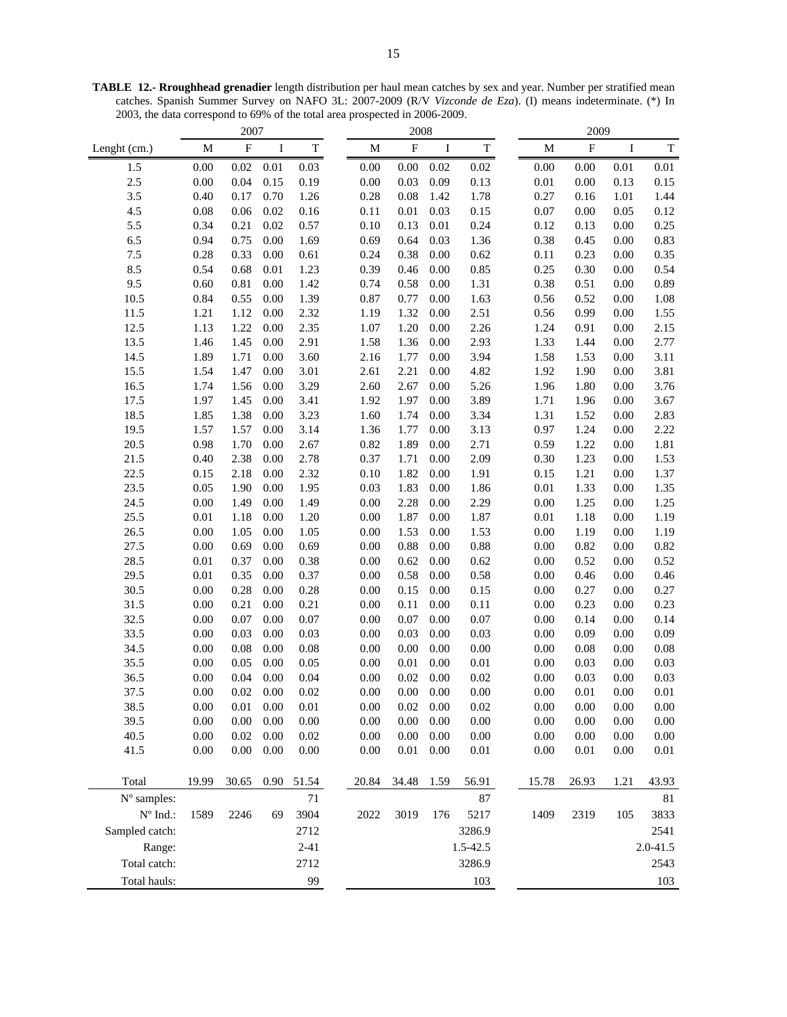**TABLE 12.- Rroughhead grenadier** length distribution per haul mean catches by sex and year. Number per stratified mean catches. Spanish Summer Survey on NAFO 3L: 2007-2009 (R/V *Vizconde de Eza*). (I) means indeterminate. (\*) In 2003, the data correspond to 69% of the total area prospected in 2006-2009.

|                   |          | 2007        |          |             | 2008 |          |             | 2009     |             |  |          |                           |          |              |
|-------------------|----------|-------------|----------|-------------|------|----------|-------------|----------|-------------|--|----------|---------------------------|----------|--------------|
| Lenght (cm.)      | M        | $\mathbf F$ | I        | $\mathbf T$ |      | M        | $\mathbf F$ | I        | $\mathbf T$ |  | M        | $\boldsymbol{\mathrm{F}}$ | I        | $\mathbf T$  |
| 1.5               | 0.00     | 0.02        | $0.01\,$ | 0.03        |      | 0.00     | 0.00        | 0.02     | 0.02        |  | 0.00     | 0.00                      | 0.01     | 0.01         |
| 2.5               | 0.00     | 0.04        | 0.15     | 0.19        |      | 0.00     | 0.03        | 0.09     | 0.13        |  | $0.01\,$ | 0.00                      | 0.13     | 0.15         |
| 3.5               | 0.40     | 0.17        | 0.70     | 1.26        |      | 0.28     | 0.08        | 1.42     | 1.78        |  | 0.27     | 0.16                      | 1.01     | 1.44         |
| 4.5               | 0.08     | 0.06        | 0.02     | 0.16        |      | 0.11     | 0.01        | 0.03     | 0.15        |  | 0.07     | 0.00                      | 0.05     | 0.12         |
| 5.5               | 0.34     | 0.21        | 0.02     | 0.57        |      | 0.10     | 0.13        | $0.01\,$ | 0.24        |  | 0.12     | 0.13                      | 0.00     | 0.25         |
| 6.5               | 0.94     | 0.75        | 0.00     | 1.69        |      | 0.69     | 0.64        | 0.03     | 1.36        |  | 0.38     | 0.45                      | 0.00     | 0.83         |
| 7.5               | 0.28     | 0.33        | 0.00     | 0.61        |      | 0.24     | 0.38        | 0.00     | 0.62        |  | 0.11     | 0.23                      | 0.00     | 0.35         |
| 8.5               | 0.54     | 0.68        | $0.01\,$ | 1.23        |      | 0.39     | 0.46        | 0.00     | 0.85        |  | 0.25     | 0.30                      | 0.00     | 0.54         |
| 9.5               | 0.60     | 0.81        | 0.00     | 1.42        |      | 0.74     | 0.58        | 0.00     | 1.31        |  | 0.38     | 0.51                      | 0.00     | 0.89         |
| 10.5              | 0.84     | 0.55        | 0.00     | 1.39        |      | 0.87     | 0.77        | 0.00     | 1.63        |  | 0.56     | 0.52                      | 0.00     | 1.08         |
| 11.5              | 1.21     | 1.12        | 0.00     | 2.32        |      | 1.19     | 1.32        | 0.00     | 2.51        |  | 0.56     | 0.99                      | 0.00     | 1.55         |
| 12.5              | 1.13     | 1.22        | 0.00     | 2.35        |      | 1.07     | 1.20        | 0.00     | 2.26        |  | 1.24     | 0.91                      | 0.00     | 2.15         |
| 13.5              | 1.46     | 1.45        | 0.00     | 2.91        |      | 1.58     | 1.36        | 0.00     | 2.93        |  | 1.33     | 1.44                      | 0.00     | 2.77         |
| 14.5              | 1.89     | 1.71        | 0.00     | 3.60        |      | 2.16     | 1.77        | 0.00     | 3.94        |  | 1.58     | 1.53                      | 0.00     | 3.11         |
| 15.5              | 1.54     | 1.47        | 0.00     | 3.01        |      | 2.61     | 2.21        | 0.00     | 4.82        |  | 1.92     | 1.90                      | 0.00     | 3.81         |
| 16.5              | 1.74     | 1.56        | 0.00     | 3.29        |      | 2.60     | 2.67        | 0.00     | 5.26        |  | 1.96     | 1.80                      | 0.00     | 3.76         |
| 17.5              | 1.97     | 1.45        | 0.00     | 3.41        |      | 1.92     | 1.97        | 0.00     | 3.89        |  | 1.71     | 1.96                      | 0.00     | 3.67         |
| 18.5              | 1.85     | 1.38        | 0.00     | 3.23        |      | 1.60     | 1.74        | 0.00     | 3.34        |  | 1.31     | 1.52                      | 0.00     | 2.83         |
| 19.5              | 1.57     | 1.57        | 0.00     | 3.14        |      | 1.36     | 1.77        | 0.00     | 3.13        |  | 0.97     | 1.24                      | 0.00     | 2.22         |
| 20.5              | 0.98     | 1.70        | 0.00     | 2.67        |      | 0.82     | 1.89        | 0.00     | 2.71        |  | 0.59     | 1.22                      | 0.00     | 1.81         |
| 21.5              | 0.40     | 2.38        | 0.00     | 2.78        |      | 0.37     | 1.71        | 0.00     | 2.09        |  | 0.30     | 1.23                      | 0.00     | 1.53         |
| 22.5              | 0.15     | 2.18        | $0.00\,$ | 2.32        |      | 0.10     | 1.82        | 0.00     | 1.91        |  | 0.15     | 1.21                      | 0.00     | 1.37         |
| 23.5              | 0.05     | 1.90        | 0.00     | 1.95        |      | 0.03     | 1.83        | 0.00     | 1.86        |  | $0.01\,$ | 1.33                      | 0.00     | 1.35         |
| 24.5              | 0.00     | 1.49        | $0.00\,$ | 1.49        |      | $0.00\,$ | 2.28        | 0.00     | 2.29        |  | 0.00     | 1.25                      | 0.00     | 1.25         |
| 25.5              | 0.01     | 1.18        | 0.00     | 1.20        |      | $0.00\,$ | 1.87        | 0.00     | 1.87        |  | $0.01\,$ | 1.18                      | 0.00     | 1.19         |
| 26.5              | 0.00     | 1.05        | 0.00     | 1.05        |      | 0.00     | 1.53        | 0.00     | 1.53        |  | 0.00     | 1.19                      | 0.00     | 1.19         |
| 27.5              | 0.00     | 0.69        | 0.00     | 0.69        |      | 0.00     | 0.88        | 0.00     | 0.88        |  | 0.00     | 0.82                      | 0.00     | 0.82         |
| 28.5              | 0.01     | 0.37        | 0.00     | 0.38        |      | 0.00     | 0.62        | 0.00     | 0.62        |  | 0.00     | 0.52                      | 0.00     | 0.52         |
| 29.5              | 0.01     | 0.35        | 0.00     | 0.37        |      | 0.00     | 0.58        | 0.00     | 0.58        |  | 0.00     | 0.46                      | 0.00     | 0.46         |
| 30.5              | 0.00     | 0.28        | 0.00     | 0.28        |      | 0.00     | 0.15        | 0.00     | 0.15        |  | 0.00     | 0.27                      | 0.00     | 0.27         |
| 31.5              | 0.00     | 0.21        | 0.00     | 0.21        |      | 0.00     | 0.11        | 0.00     | 0.11        |  | 0.00     | 0.23                      | 0.00     | 0.23         |
| 32.5              | 0.00     | 0.07        | 0.00     | 0.07        |      | 0.00     | 0.07        | 0.00     | 0.07        |  | 0.00     | 0.14                      | 0.00     | 0.14         |
| 33.5              | 0.00     | 0.03        | 0.00     | 0.03        |      | 0.00     | 0.03        | 0.00     | 0.03        |  | 0.00     | 0.09                      | 0.00     | 0.09         |
| 34.5              | 0.00     | 0.08        | 0.00     | 0.08        |      | 0.00     | 0.00        | 0.00     | 0.00        |  | 0.00     | $0.08\,$                  | 0.00     | 0.08         |
| 35.5              | 0.00     | 0.05        | 0.00     | 0.05        |      | 0.00     | 0.01        | 0.00     | $0.01\,$    |  | 0.00     | 0.03                      | 0.00     | 0.03         |
| 36.5              | 0.00     | 0.04        | 0.00     | 0.04        |      | 0.00     | 0.02        | 0.00     | 0.02        |  | 0.00     | 0.03                      | 0.00     | 0.03         |
| 37.5              | 0.00     | 0.02        | 0.00     | 0.02        |      | 0.00     | 0.00        | 0.00     | 0.00        |  | 0.00     | 0.01                      | 0.00     | 0.01         |
| 38.5              | 0.00     | 0.01        | 0.00     | 0.01        |      | 0.00     | 0.02        | 0.00     | 0.02        |  | 0.00     | 0.00                      | 0.00     | 0.00         |
| 39.5              | $0.00\,$ | 0.00        | 0.00     | 0.00        |      | 0.00     | 0.00        | $0.00\,$ | 0.00        |  | 0.00     | 0.00                      | 0.00     | $0.00\,$     |
| 40.5              | $0.00\,$ | 0.02        | $0.00\,$ | $0.02\,$    |      | 0.00     | $0.00\,$    | $0.00\,$ | $0.00\,$    |  | $0.00\,$ | $0.00\,$                  | $0.00\,$ | $0.00\,$     |
| 41.5              | $0.00\,$ | $0.00\,$    | 0.00     | $0.00\,$    |      | $0.00\,$ | $0.01\,$    | 0.00     | $0.01\,$    |  | $0.00\,$ | 0.01                      | 0.00     | $0.01\,$     |
|                   |          |             |          |             |      |          |             |          |             |  |          |                           |          |              |
| Total             | 19.99    | 30.65       | 0.90     | 51.54       |      | 20.84    | 34.48       | 1.59     | 56.91       |  | 15.78    | 26.93                     | 1.21     | 43.93        |
| N° samples:       |          |             |          | 71          |      |          |             |          | 87          |  |          |                           |          | 81           |
| $N^{\circ}$ Ind.: | 1589     | 2246        | 69       | 3904        |      | 2022     | 3019        | 176      | 5217        |  | 1409     | 2319                      | 105      | 3833         |
| Sampled catch:    |          |             |          | 2712        |      |          |             |          | 3286.9      |  |          |                           |          | 2541         |
|                   |          |             |          | $2 - 41$    |      |          |             |          |             |  |          |                           |          | $2.0 - 41.5$ |
| Range:            |          |             |          |             |      |          |             |          | 1.5-42.5    |  |          |                           |          |              |
| Total catch:      |          |             |          | 2712        |      |          |             |          | 3286.9      |  |          |                           |          | 2543         |
| Total hauls:      |          |             |          | 99          |      |          |             |          | 103         |  |          |                           |          | 103          |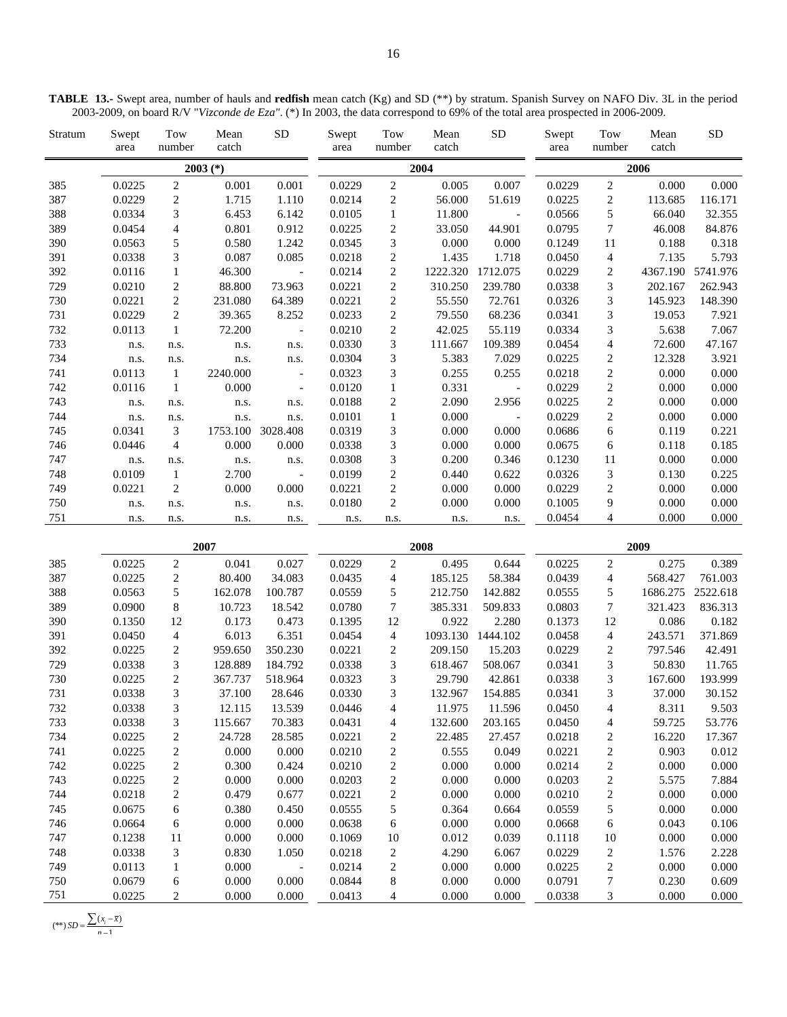| Stratum | Swept<br>area | Tow<br>number  | Mean<br>catch | <b>SD</b>                | Swept<br>area | Tow<br>number  | Mean<br>catch | <b>SD</b>                 | Swept<br>area | Tow<br>number  | Mean<br>catch | <b>SD</b> |
|---------|---------------|----------------|---------------|--------------------------|---------------|----------------|---------------|---------------------------|---------------|----------------|---------------|-----------|
|         |               |                | $2003$ (*)    |                          |               |                | 2004          |                           |               |                | 2006          |           |
| 385     | 0.0225        | 2              | 0.001         | 0.001                    | 0.0229        | 2              | 0.005         | 0.007                     | 0.0229        | 2              | 0.000         | 0.000     |
| 387     | 0.0229        | 2              | 1.715         | 1.110                    | 0.0214        | 2              | 56.000        | 51.619                    | 0.0225        | 2              | 113.685       | 116.171   |
| 388     | 0.0334        | 3              | 6.453         | 6.142                    | 0.0105        | 1              | 11.800        | $\sim 10^{-10}$ m $^{-1}$ | 0.0566        | 5              | 66.040        | 32.355    |
| 389     | 0.0454        | $\overline{4}$ | 0.801         | 0.912                    | 0.0225        | $\overline{c}$ | 33.050        | 44.901                    | 0.0795        | $\tau$         | 46.008        | 84.876    |
| 390     | 0.0563        | 5              | 0.580         | 1.242                    | 0.0345        | 3              | 0.000         | 0.000                     | 0.1249        | 11             | 0.188         | 0.318     |
| 391     | 0.0338        | 3              | 0.087         | 0.085                    | 0.0218        | $\overline{c}$ | 1.435         | 1.718                     | 0.0450        | 4              | 7.135         | 5.793     |
| 392     | 0.0116        | 1              | 46.300        | $\sim$ $-$               | 0.0214        | 2              | 1222.320      | 1712.075                  | 0.0229        | 2              | 4367.190      | 5741.976  |
| 729     | 0.0210        | 2              | 88.800        | 73.963                   | 0.0221        | $\overline{c}$ | 310.250       | 239.780                   | 0.0338        | 3              | 202.167       | 262.943   |
| 730     | 0.0221        | 2              | 231.080       | 64.389                   | 0.0221        | $\overline{c}$ | 55.550        | 72.761                    | 0.0326        | 3              | 145.923       | 148.390   |
| 731     | 0.0229        | 2              | 39.365        | 8.252                    | 0.0233        | $\overline{c}$ | 79.550        | 68.236                    | 0.0341        | 3              | 19.053        | 7.921     |
| 732     | 0.0113        | 1              | 72.200        | $\overline{\phantom{a}}$ | 0.0210        | $\overline{c}$ | 42.025        | 55.119                    | 0.0334        | 3              | 5.638         | 7.067     |
| 733     | n.s.          | n.s.           | n.s.          | n.s.                     | 0.0330        | 3              | 111.667       | 109.389                   | 0.0454        | 4              | 72.600        | 47.167    |
| 734     | n.s.          | n.s.           | n.s.          | n.s.                     | 0.0304        | 3              | 5.383         | 7.029                     | 0.0225        | 2              | 12.328        | 3.921     |
| 741     | 0.0113        | $\overline{1}$ | 2240.000      | $\overline{\phantom{a}}$ | 0.0323        | 3              | 0.255         | 0.255                     | 0.0218        | $\overline{2}$ | 0.000         | 0.000     |
| 742     | 0.0116        | $\mathbf{1}$   | 0.000         | $\overline{\phantom{a}}$ | 0.0120        | 1              | 0.331         | $\sim 100$ km s $^{-1}$   | 0.0229        | $\overline{c}$ | 0.000         | 0.000     |
| 743     | n.s.          | n.s.           | n.s.          | n.s.                     | 0.0188        | $\overline{c}$ | 2.090         | 2.956                     | 0.0225        | $\overline{c}$ | 0.000         | 0.000     |
| 744     | n.s.          | n.s.           | n.s.          | n.s.                     | 0.0101        | 1              | 0.000         | $\sim 100$ km s $^{-1}$   | 0.0229        | $\overline{2}$ | 0.000         | 0.000     |
| 745     | 0.0341        | 3              |               | 1753.100 3028.408        | 0.0319        | 3              | 0.000         | 0.000                     | 0.0686        | 6              | 0.119         | 0.221     |
| 746     | 0.0446        | $\overline{4}$ | 0.000         | 0.000                    | 0.0338        | 3              | 0.000         | 0.000                     | 0.0675        | 6              | 0.118         | 0.185     |
| 747     | n.s.          | n.s.           | n.s.          | n.s.                     | 0.0308        | 3              | 0.200         | 0.346                     | 0.1230        | 11             | 0.000         | 0.000     |
| 748     | 0.0109        | 1              | 2.700         | $\sim$ $-$               | 0.0199        | 2              | 0.440         | 0.622                     | 0.0326        | 3              | 0.130         | 0.225     |
| 749     | 0.0221        | 2              | 0.000         | 0.000                    | 0.0221        | 2              | 0.000         | 0.000                     | 0.0229        | $\overline{2}$ | 0.000         | 0.000     |
| 750     | n.s.          | n.s.           | n.s.          | n.s.                     | 0.0180        | 2              | 0.000         | 0.000                     | 0.1005        | 9              | 0.000         | 0.000     |
| 751     | n.s.          | n.s.           | n.s.          | n.s.                     | n.s.          | n.s.           | n.s.          | n.s.                      | 0.0454        | $\overline{4}$ | 0.000         | 0.000     |

| TABLE 13.- Swept area, number of hauls and redfish mean catch (Kg) and SD (**) by stratum. Spanish Survey on NAFO Div. 3L in the period |  |  |  |  |  |
|-----------------------------------------------------------------------------------------------------------------------------------------|--|--|--|--|--|
| 2003-2009, on board R/V "Vizconde de Eza". (*) In 2003, the data correspond to 69% of the total area prospected in 2006-2009.           |  |  |  |  |  |

|     |        |                | 2007    |                          |        |                | 2008     |          | 2009   |                |          |          |  |
|-----|--------|----------------|---------|--------------------------|--------|----------------|----------|----------|--------|----------------|----------|----------|--|
| 385 | 0.0225 | 2              | 0.041   | 0.027                    | 0.0229 | 2              | 0.495    | 0.644    | 0.0225 | 2              | 0.275    | 0.389    |  |
| 387 | 0.0225 | 2              | 80.400  | 34.083                   | 0.0435 | 4              | 185.125  | 58.384   | 0.0439 | 4              | 568.427  | 761.003  |  |
| 388 | 0.0563 | 5              | 162.078 | 100.787                  | 0.0559 | 5              | 212.750  | 142.882  | 0.0555 | 5.             | 1686.275 | 2522.618 |  |
| 389 | 0.0900 | 8              | 10.723  | 18.542                   | 0.0780 | 7              | 385.331  | 509.833  | 0.0803 | 7              | 321.423  | 836.313  |  |
| 390 | 0.1350 | 12             | 0.173   | 0.473                    | 0.1395 | 12             | 0.922    | 2.280    | 0.1373 | 12             | 0.086    | 0.182    |  |
| 391 | 0.0450 | 4              | 6.013   | 6.351                    | 0.0454 | 4              | 1093.130 | 1444.102 | 0.0458 | 4              | 243.571  | 371.869  |  |
| 392 | 0.0225 | 2              | 959.650 | 350.230                  | 0.0221 | $\overline{c}$ | 209.150  | 15.203   | 0.0229 | 2              | 797.546  | 42.491   |  |
| 729 | 0.0338 | 3              | 128.889 | 184.792                  | 0.0338 | 3              | 618.467  | 508.067  | 0.0341 | 3              | 50.830   | 11.765   |  |
| 730 | 0.0225 | 2              | 367.737 | 518.964                  | 0.0323 | 3              | 29.790   | 42.861   | 0.0338 | 3              | 167.600  | 193.999  |  |
| 731 | 0.0338 | 3              | 37.100  | 28.646                   | 0.0330 | 3              | 132.967  | 154.885  | 0.0341 | 3              | 37.000   | 30.152   |  |
| 732 | 0.0338 | 3              | 12.115  | 13.539                   | 0.0446 | 4              | 11.975   | 11.596   | 0.0450 | 4              | 8.311    | 9.503    |  |
| 733 | 0.0338 | 3              | 115.667 | 70.383                   | 0.0431 | 4              | 132.600  | 203.165  | 0.0450 | 4              | 59.725   | 53.776   |  |
| 734 | 0.0225 | 2              | 24.728  | 28.585                   | 0.0221 | $\overline{c}$ | 22.485   | 27.457   | 0.0218 | 2              | 16.220   | 17.367   |  |
| 741 | 0.0225 | $\overline{c}$ | 0.000   | 0.000                    | 0.0210 | $\sqrt{2}$     | 0.555    | 0.049    | 0.0221 | 2              | 0.903    | 0.012    |  |
| 742 | 0.0225 | $\overline{c}$ | 0.300   | 0.424                    | 0.0210 | $\sqrt{2}$     | 0.000    | 0.000    | 0.0214 | 2              | 0.000    | 0.000    |  |
| 743 | 0.0225 | $\overline{c}$ | 0.000   | 0.000                    | 0.0203 | $\sqrt{2}$     | 0.000    | 0.000    | 0.0203 | 2              | 5.575    | 7.884    |  |
| 744 | 0.0218 | $\overline{c}$ | 0.479   | 0.677                    | 0.0221 | $\overline{c}$ | 0.000    | 0.000    | 0.0210 | 2              | 0.000    | 0.000    |  |
| 745 | 0.0675 | 6              | 0.380   | 0.450                    | 0.0555 | 5              | 0.364    | 0.664    | 0.0559 | 5              | 0.000    | 0.000    |  |
| 746 | 0.0664 | 6              | 0.000   | 0.000                    | 0.0638 | 6              | 0.000    | 0.000    | 0.0668 | 6              | 0.043    | 0.106    |  |
| 747 | 0.1238 | 11             | 0.000   | 0.000                    | 0.1069 | 10             | 0.012    | 0.039    | 0.1118 | 10             | 0.000    | 0.000    |  |
| 748 | 0.0338 | 3              | 0.830   | 1.050                    | 0.0218 | $\overline{c}$ | 4.290    | 6.067    | 0.0229 | $\overline{c}$ | 1.576    | 2.228    |  |
| 749 | 0.0113 | 1              | 0.000   | $\overline{\phantom{a}}$ | 0.0214 | $\overline{c}$ | 0.000    | 0.000    | 0.0225 | 2              | 0.000    | 0.000    |  |
| 750 | 0.0679 | 6              | 0.000   | 0.000                    | 0.0844 | 8              | 0.000    | 0.000    | 0.0791 | 7              | 0.230    | 0.609    |  |
| 751 | 0.0225 | 2              | 0.000   | 0.000                    | 0.0413 | 4              | 0.000    | 0.000    | 0.0338 | 3              | 0.000    | 0.000    |  |

$$
(**) SD = \frac{\sum (x_i - \overline{x})}{n - 1}
$$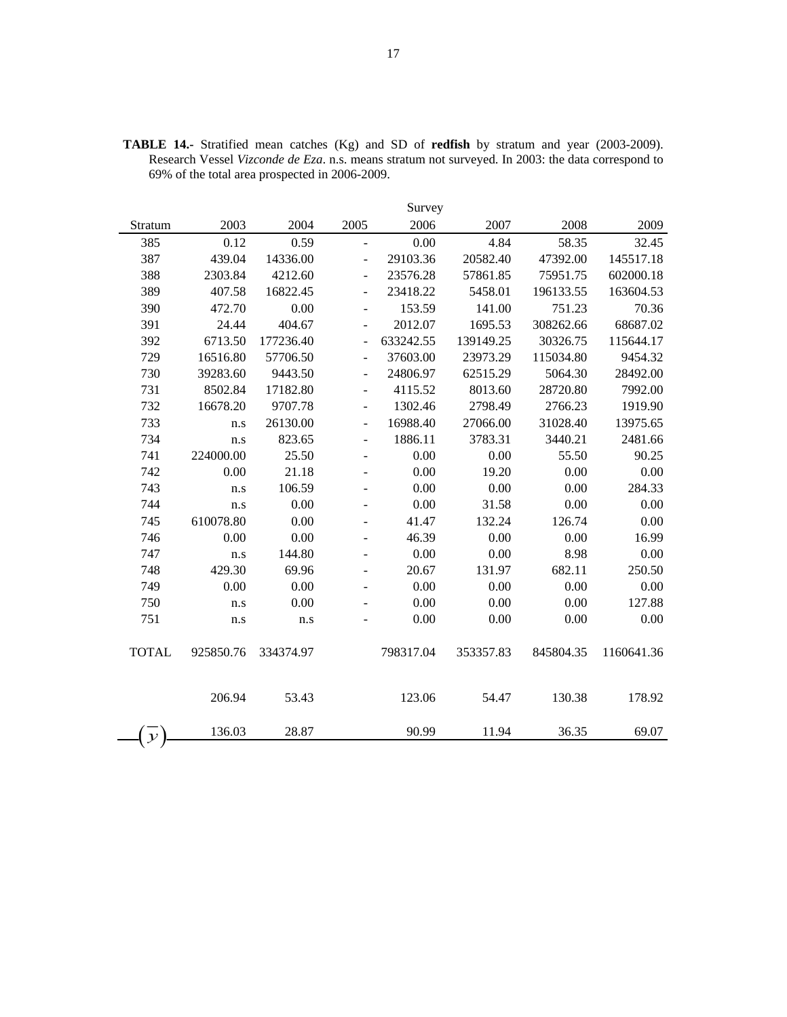|               |           |           |                          | Survey    |           |           |            |
|---------------|-----------|-----------|--------------------------|-----------|-----------|-----------|------------|
| Stratum       | 2003      | 2004      | 2005                     | 2006      | 2007      | 2008      | 2009       |
| 385           | 0.12      | 0.59      | $\frac{1}{2}$            | 0.00      | 4.84      | 58.35     | 32.45      |
| 387           | 439.04    | 14336.00  | $\overline{a}$           | 29103.36  | 20582.40  | 47392.00  | 145517.18  |
| 388           | 2303.84   | 4212.60   | $\overline{\phantom{a}}$ | 23576.28  | 57861.85  | 75951.75  | 602000.18  |
| 389           | 407.58    | 16822.45  | $\overline{\phantom{0}}$ | 23418.22  | 5458.01   | 196133.55 | 163604.53  |
| 390           | 472.70    | 0.00      | $\overline{\phantom{0}}$ | 153.59    | 141.00    | 751.23    | 70.36      |
| 391           | 24.44     | 404.67    | ÷,                       | 2012.07   | 1695.53   | 308262.66 | 68687.02   |
| 392           | 6713.50   | 177236.40 | $\overline{a}$           | 633242.55 | 139149.25 | 30326.75  | 115644.17  |
| 729           | 16516.80  | 57706.50  | $\overline{a}$           | 37603.00  | 23973.29  | 115034.80 | 9454.32    |
| 730           | 39283.60  | 9443.50   | $\overline{\phantom{a}}$ | 24806.97  | 62515.29  | 5064.30   | 28492.00   |
| 731           | 8502.84   | 17182.80  | ÷,                       | 4115.52   | 8013.60   | 28720.80  | 7992.00    |
| 732           | 16678.20  | 9707.78   | ÷,                       | 1302.46   | 2798.49   | 2766.23   | 1919.90    |
| 733           | n.s       | 26130.00  | $\overline{a}$           | 16988.40  | 27066.00  | 31028.40  | 13975.65   |
| 734           | n.s       | 823.65    | $\overline{\phantom{a}}$ | 1886.11   | 3783.31   | 3440.21   | 2481.66    |
| 741           | 224000.00 | 25.50     | $\overline{\phantom{a}}$ | 0.00      | 0.00      | 55.50     | 90.25      |
| 742           | 0.00      | 21.18     |                          | 0.00      | 19.20     | 0.00      | 0.00       |
| 743           | n.s       | 106.59    |                          | 0.00      | 0.00      | 0.00      | 284.33     |
| 744           | n.s       | 0.00      |                          | 0.00      | 31.58     | 0.00      | 0.00       |
| 745           | 610078.80 | 0.00      |                          | 41.47     | 132.24    | 126.74    | 0.00       |
| 746           | 0.00      | 0.00      |                          | 46.39     | 0.00      | 0.00      | 16.99      |
| 747           | n.s       | 144.80    | $\overline{\phantom{a}}$ | 0.00      | 0.00      | 8.98      | 0.00       |
| 748           | 429.30    | 69.96     |                          | 20.67     | 131.97    | 682.11    | 250.50     |
| 749           | 0.00      | 0.00      | $\overline{\phantom{a}}$ | 0.00      | 0.00      | 0.00      | 0.00       |
| 750           | n.s       | 0.00      |                          | 0.00      | 0.00      | 0.00      | 127.88     |
| 751           | n.s       | n.s       |                          | 0.00      | 0.00      | 0.00      | 0.00       |
| <b>TOTAL</b>  | 925850.76 | 334374.97 |                          | 798317.04 | 353357.83 | 845804.35 | 1160641.36 |
|               | 206.94    | 53.43     |                          | 123.06    | 54.47     | 130.38    | 178.92     |
| $\mathcal{Y}$ | 136.03    | 28.87     |                          | 90.99     | 11.94     | 36.35     | 69.07      |

**TABLE 14.-** Stratified mean catches (Kg) and SD of **redfish** by stratum and year (2003-2009). Research Vessel *Vizconde de Eza*. n.s. means stratum not surveyed. In 2003: the data correspond to 69% of the total area prospected in 2006-2009.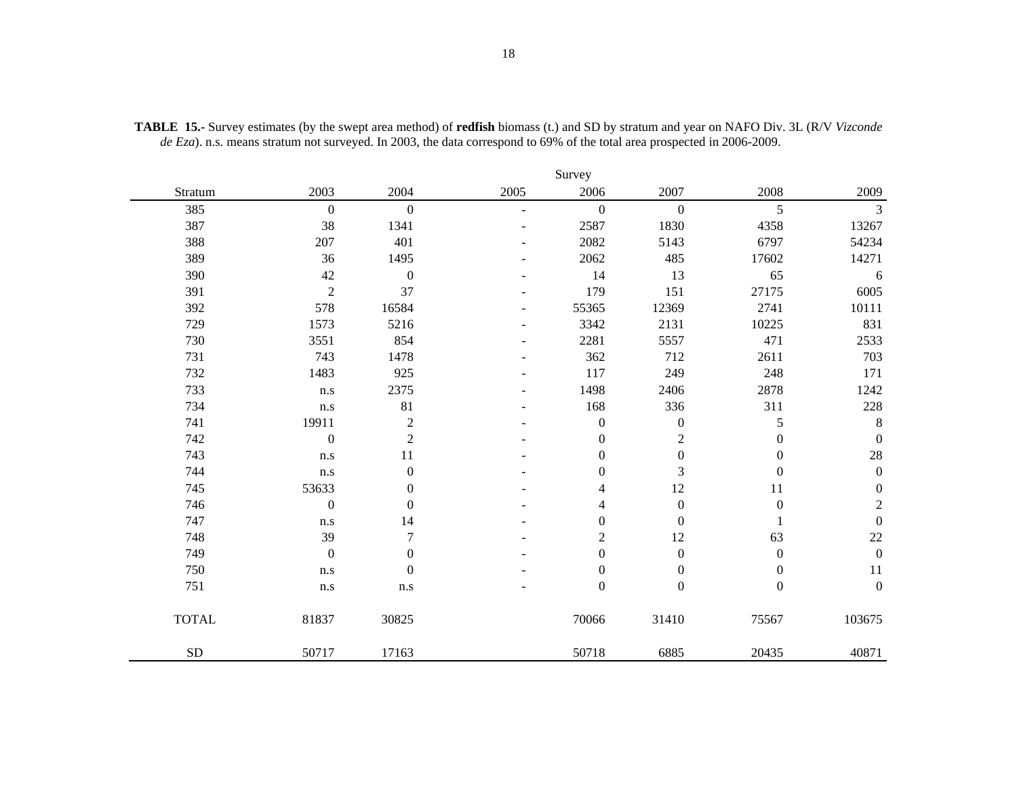|              |                  |                  |      | Survey           |                  |                  |                  |
|--------------|------------------|------------------|------|------------------|------------------|------------------|------------------|
| Stratum      | 2003             | 2004             | 2005 | 2006             | 2007             | 2008             | 2009             |
| 385          | $\boldsymbol{0}$ | $\mathbf{0}$     |      | $\boldsymbol{0}$ | $\mathbf{0}$     | 5                | 3                |
| 387          | 38               | 1341             |      | 2587             | 1830             | 4358             | 13267            |
| 388          | 207              | 401              |      | 2082             | 5143             | 6797             | 54234            |
| 389          | 36               | 1495             |      | 2062             | 485              | 17602            | 14271            |
| 390          | 42               | $\boldsymbol{0}$ |      | 14               | 13               | 65               | 6                |
| 391          | $\sqrt{2}$       | 37               |      | 179              | 151              | 27175            | 6005             |
| 392          | 578              | 16584            |      | 55365            | 12369            | 2741             | 10111            |
| 729          | 1573             | 5216             |      | 3342             | 2131             | 10225            | 831              |
| 730          | 3551             | 854              |      | 2281             | 5557             | 471              | 2533             |
| 731          | 743              | 1478             |      | 362              | 712              | 2611             | 703              |
| 732          | 1483             | 925              |      | 117              | 249              | 248              | 171              |
| 733          | n.s              | 2375             |      | 1498             | 2406             | 2878             | 1242             |
| 734          | n.s              | 81               |      | 168              | 336              | 311              | $228\,$          |
| 741          | 19911            | $\overline{2}$   |      | $\boldsymbol{0}$ | $\boldsymbol{0}$ | 5                | $\,8\,$          |
| 742          | $\boldsymbol{0}$ | $\overline{2}$   |      | $\boldsymbol{0}$ | $\sqrt{2}$       | $\boldsymbol{0}$ | $\boldsymbol{0}$ |
| 743          | n.s              | 11               |      | $\boldsymbol{0}$ | $\boldsymbol{0}$ | $\boldsymbol{0}$ | $28\,$           |
| 744          | n.s              | $\boldsymbol{0}$ |      | $\boldsymbol{0}$ | 3                | $\boldsymbol{0}$ | $\boldsymbol{0}$ |
| 745          | 53633            | $\boldsymbol{0}$ |      | $\overline{4}$   | 12               | 11               | $\boldsymbol{0}$ |
| 746          | $\boldsymbol{0}$ | $\boldsymbol{0}$ |      | 4                | $\boldsymbol{0}$ | $\boldsymbol{0}$ | $\sqrt{2}$       |
| 747          | n.s              | 14               |      | $\mathbf{0}$     | $\boldsymbol{0}$ |                  | $\boldsymbol{0}$ |
| 748          | 39               | $\boldsymbol{7}$ |      | $\overline{2}$   | 12               | 63               | $22\,$           |
| 749          | $\overline{0}$   | $\boldsymbol{0}$ |      | $\boldsymbol{0}$ | $\boldsymbol{0}$ | $\boldsymbol{0}$ | $\boldsymbol{0}$ |
| 750          | n.s              | $\boldsymbol{0}$ |      | $\boldsymbol{0}$ | $\boldsymbol{0}$ | $\boldsymbol{0}$ | 11               |
| 751          | $\rm n.s$        | $\rm n.s$        |      | $\overline{0}$   | $\boldsymbol{0}$ | $\boldsymbol{0}$ | $\mathbf{0}$     |
| <b>TOTAL</b> | 81837            | 30825            |      | 70066            | 31410            | 75567            | 103675           |
| <b>SD</b>    | 50717            | 17163            |      | 50718            | 6885             | 20435            | 40871            |

**TABLE 15.-** Survey estimates (by the swept area method) of **redfish** biomass (t.) and SD by stratum and year on NAFO Div. 3L (R/V *Vizconde de Eza*). n.s. means stratum not surveyed. In 2003, the data correspond to 69% of the total area prospected in 2006-2009.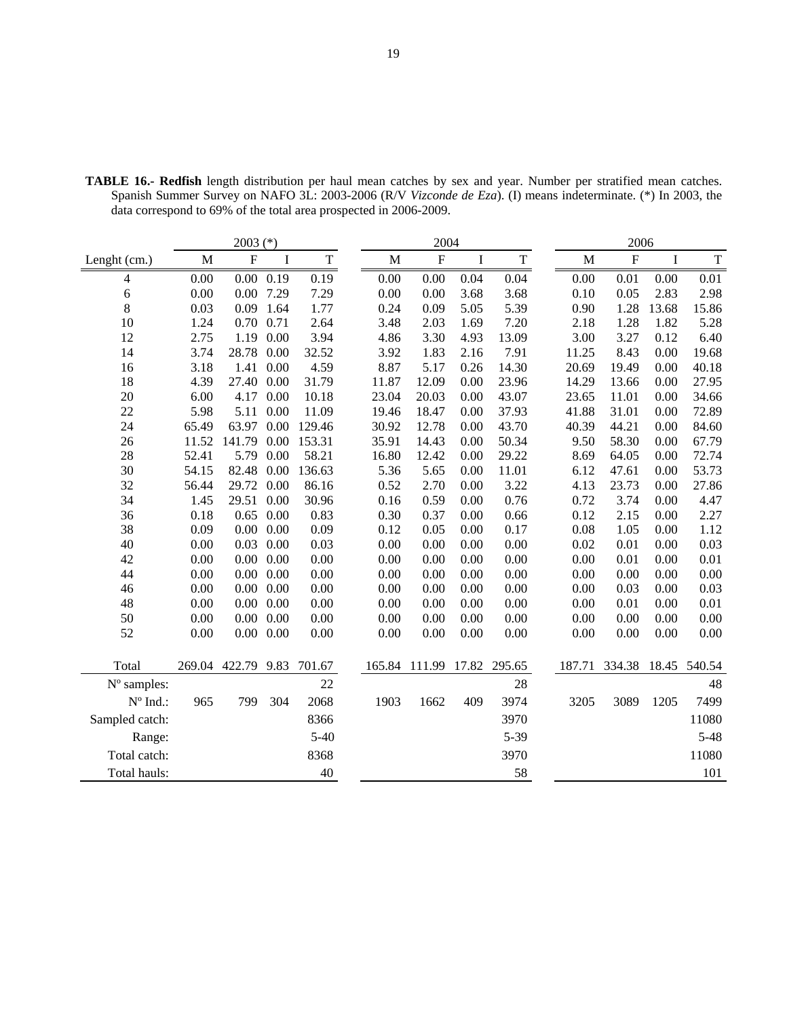| $2003$ (*)                      |        |             |                   |             | 2004        |           |         |             | 2006 |             |                           |          |             |
|---------------------------------|--------|-------------|-------------------|-------------|-------------|-----------|---------|-------------|------|-------------|---------------------------|----------|-------------|
| Lenght (cm.)                    | M      | $\mathbf F$ | $\rm I$           | $\mathbf T$ | $\mathbf M$ | ${\bf F}$ | $\bf I$ | $\mathbf T$ |      | $\mathbf M$ | $\boldsymbol{\mathrm{F}}$ | $\bf{I}$ | $\mathbf T$ |
| 4                               | 0.00   |             | $0.00 \quad 0.19$ | 0.19        | 0.00        | 0.00      | 0.04    | 0.04        |      | 0.00        | 0.01                      | 0.00     | 0.01        |
| 6                               | 0.00   |             | 0.00 7.29         | 7.29        | 0.00        | 0.00      | 3.68    | 3.68        |      | 0.10        | 0.05                      | 2.83     | 2.98        |
| 8                               | 0.03   |             | 0.09 1.64         | 1.77        | 0.24        | 0.09      | 5.05    | 5.39        |      | 0.90        | 1.28                      | 13.68    | 15.86       |
| 10                              | 1.24   | 0.70 0.71   |                   | 2.64        | 3.48        | 2.03      | 1.69    | 7.20        |      | 2.18        | 1.28                      | 1.82     | 5.28        |
| 12                              | 2.75   |             | 1.19 0.00         | 3.94        | 4.86        | 3.30      | 4.93    | 13.09       |      | 3.00        | 3.27                      | 0.12     | 6.40        |
| 14                              | 3.74   | 28.78 0.00  |                   | 32.52       | 3.92        | 1.83      | 2.16    | 7.91        |      | 11.25       | 8.43                      | 0.00     | 19.68       |
| 16                              | 3.18   | 1.41        | 0.00              | 4.59        | 8.87        | 5.17      | 0.26    | 14.30       |      | 20.69       | 19.49                     | 0.00     | 40.18       |
| 18                              | 4.39   | 27.40 0.00  |                   | 31.79       | 11.87       | 12.09     | 0.00    | 23.96       |      | 14.29       | 13.66                     | 0.00     | 27.95       |
| 20                              | 6.00   | 4.17        | 0.00              | 10.18       | 23.04       | 20.03     | 0.00    | 43.07       |      | 23.65       | 11.01                     | 0.00     | 34.66       |
| 22                              | 5.98   | 5.11        | 0.00              | 11.09       | 19.46       | 18.47     | 0.00    | 37.93       |      | 41.88       | 31.01                     | 0.00     | 72.89       |
| 24                              | 65.49  | 63.97       | 0.00              | 129.46      | 30.92       | 12.78     | 0.00    | 43.70       |      | 40.39       | 44.21                     | 0.00     | 84.60       |
| 26                              | 11.52  | 141.79      | 0.00              | 153.31      | 35.91       | 14.43     | 0.00    | 50.34       |      | 9.50        | 58.30                     | 0.00     | 67.79       |
| 28                              | 52.41  | 5.79        | 0.00              | 58.21       | 16.80       | 12.42     | 0.00    | 29.22       |      | 8.69        | 64.05                     | 0.00     | 72.74       |
| 30                              | 54.15  | 82.48       | 0.00              | 136.63      | 5.36        | 5.65      | 0.00    | 11.01       |      | 6.12        | 47.61                     | 0.00     | 53.73       |
| 32                              | 56.44  | 29.72       | 0.00              | 86.16       | 0.52        | 2.70      | 0.00    | 3.22        |      | 4.13        | 23.73                     | 0.00     | 27.86       |
| 34                              | 1.45   | 29.51       | 0.00              | 30.96       | 0.16        | 0.59      | 0.00    | 0.76        |      | 0.72        | 3.74                      | 0.00     | 4.47        |
| 36                              | 0.18   | 0.65        | 0.00              | 0.83        | 0.30        | 0.37      | 0.00    | 0.66        |      | 0.12        | 2.15                      | 0.00     | 2.27        |
| 38                              | 0.09   |             | $0.00\ 0.00$      | 0.09        | 0.12        | 0.05      | 0.00    | 0.17        |      | 0.08        | 1.05                      | 0.00     | 1.12        |
| 40                              | 0.00   | 0.03        | 0.00              | 0.03        | 0.00        | 0.00      | 0.00    | 0.00        |      | 0.02        | 0.01                      | 0.00     | 0.03        |
| 42                              | 0.00   |             | $0.00\ 0.00$      | 0.00        | 0.00        | 0.00      | 0.00    | 0.00        |      | 0.00        | 0.01                      | 0.00     | 0.01        |
| 44                              | 0.00   |             | $0.00\ 0.00$      | 0.00        | 0.00        | 0.00      | 0.00    | 0.00        |      | 0.00        | 0.00                      | 0.00     | 0.00        |
| 46                              | 0.00   |             | $0.00\ 0.00$      | 0.00        | 0.00        | 0.00      | 0.00    | 0.00        |      | 0.00        | 0.03                      | 0.00     | 0.03        |
| 48                              | 0.00   |             | $0.00\ 0.00$      | 0.00        | 0.00        | 0.00      | 0.00    | 0.00        |      | 0.00        | 0.01                      | 0.00     | 0.01        |
| 50                              | 0.00   |             | $0.00\ 0.00$      | 0.00        | 0.00        | 0.00      | 0.00    | 0.00        |      | 0.00        | 0.00                      | 0.00     | 0.00        |
| 52                              | 0.00   |             | $0.00\ 0.00$      | 0.00        | 0.00        | 0.00      | 0.00    | 0.00        |      | 0.00        | 0.00                      | 0.00     | 0.00        |
|                                 |        |             |                   |             |             |           |         |             |      |             |                           |          |             |
| Total                           | 269.04 | 422.79 9.83 |                   | 701.67      | 165.84      | 111.99    | 17.82   | 295.65      |      | 187.71      | 334.38                    | 18.45    | 540.54      |
| N° samples:                     |        |             |                   | 22          |             |           |         | 28          |      |             |                           |          | 48          |
| $\mathrm{N}^{\mathrm{o}}$ Ind.: | 965    | 799         | 304               | 2068        | 1903        | 1662      | 409     | 3974        |      | 3205        | 3089                      | 1205     | 7499        |
| Sampled catch:                  |        |             |                   | 8366        |             |           |         | 3970        |      |             |                           |          | 11080       |
| Range:                          |        |             |                   | $5-40$      |             |           |         | 5-39        |      |             |                           |          | $5 - 48$    |
| Total catch:                    |        |             |                   | 8368        |             |           |         | 3970        |      |             |                           |          | 11080       |
| Total hauls:                    |        |             |                   | 40          |             |           |         | 58          |      |             |                           |          | 101         |

**TABLE 16.- Redfish** length distribution per haul mean catches by sex and year. Number per stratified mean catches. Spanish Summer Survey on NAFO 3L: 2003-2006 (R/V *Vizconde de Eza*). (I) means indeterminate. (\*) In 2003, the data correspond to 69% of the total area prospected in 2006-2009.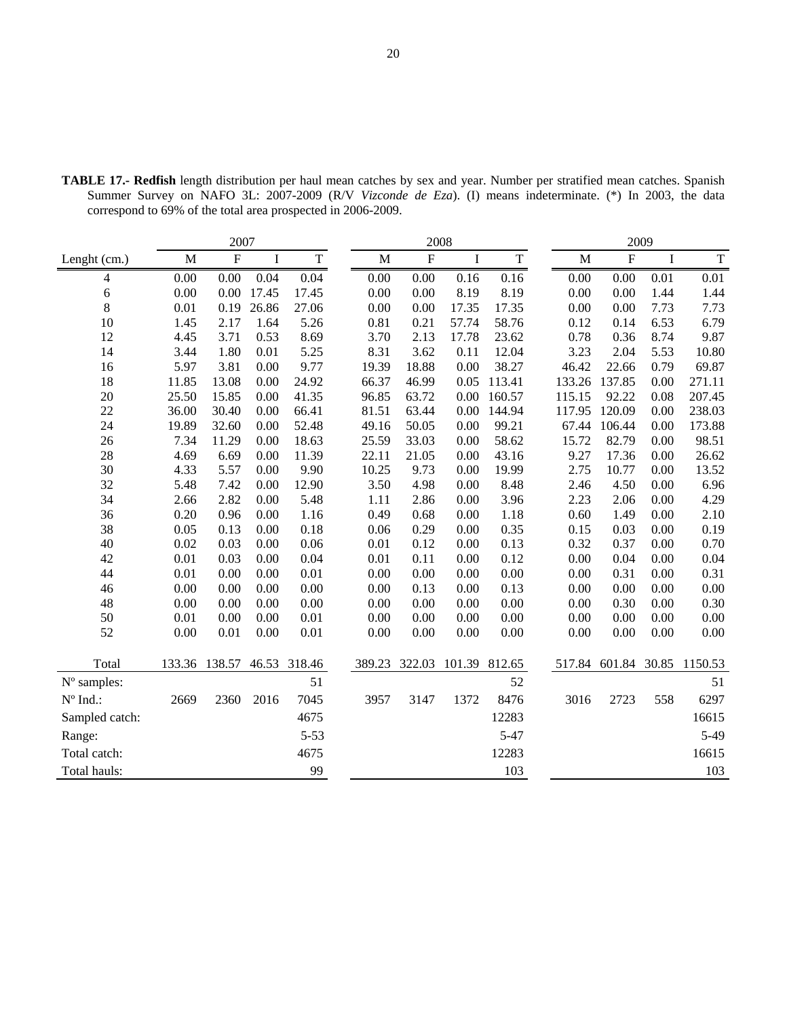| 2007              |             |           |         | 2008         |             |               |             | 2009          |             |              |             |             |
|-------------------|-------------|-----------|---------|--------------|-------------|---------------|-------------|---------------|-------------|--------------|-------------|-------------|
| Lenght (cm.)      | $\mathbf M$ | ${\bf F}$ | $\bf I$ | $\mathbf T$  | $\mathbf M$ | $\mathbf F$   | $\mathbf I$ | $\mathbf T$   | $\mathbf M$ | ${\bf F}$    | $\mathbf I$ | $\mathbf T$ |
| 4                 | 0.00        | 0.00      | 0.04    | 0.04         | 0.00        | 0.00          | 0.16        | 0.16          | 0.00        | 0.00         | 0.01        | 0.01        |
| 6                 | 0.00        | 0.00      | 17.45   | 17.45        | 0.00        | 0.00          | 8.19        | 8.19          | 0.00        | 0.00         | 1.44        | 1.44        |
| 8                 | 0.01        | 0.19      | 26.86   | 27.06        | 0.00        | 0.00          | 17.35       | 17.35         | 0.00        | 0.00         | 7.73        | 7.73        |
| 10                | 1.45        | 2.17      | 1.64    | 5.26         | 0.81        | 0.21          | 57.74       | 58.76         | 0.12        | 0.14         | 6.53        | 6.79        |
| 12                | 4.45        | 3.71      | 0.53    | 8.69         | 3.70        | 2.13          | 17.78       | 23.62         | 0.78        | 0.36         | 8.74        | 9.87        |
| 14                | 3.44        | 1.80      | 0.01    | 5.25         | 8.31        | 3.62          | 0.11        | 12.04         | 3.23        | 2.04         | 5.53        | 10.80       |
| 16                | 5.97        | 3.81      | 0.00    | 9.77         | 19.39       | 18.88         | 0.00        | 38.27         | 46.42       | 22.66        | 0.79        | 69.87       |
| 18                | 11.85       | 13.08     | 0.00    | 24.92        | 66.37       | 46.99         | 0.05        | 113.41        | 133.26      | 137.85       | 0.00        | 271.11      |
| 20                | 25.50       | 15.85     | 0.00    | 41.35        | 96.85       | 63.72         | 0.00        | 160.57        | 115.15      | 92.22        | 0.08        | 207.45      |
| 22                | 36.00       | 30.40     | 0.00    | 66.41        | 81.51       | 63.44         | 0.00        | 144.94        | 117.95      | 120.09       | 0.00        | 238.03      |
| 24                | 19.89       | 32.60     | 0.00    | 52.48        | 49.16       | 50.05         | 0.00        | 99.21         | 67.44       | 106.44       | 0.00        | 173.88      |
| 26                | 7.34        | 11.29     | 0.00    | 18.63        | 25.59       | 33.03         | 0.00        | 58.62         | 15.72       | 82.79        | 0.00        | 98.51       |
| 28                | 4.69        | 6.69      | 0.00    | 11.39        | 22.11       | 21.05         | 0.00        | 43.16         | 9.27        | 17.36        | 0.00        | 26.62       |
| 30                | 4.33        | 5.57      | 0.00    | 9.90         | 10.25       | 9.73          | 0.00        | 19.99         | 2.75        | 10.77        | 0.00        | 13.52       |
| 32                | 5.48        | 7.42      | 0.00    | 12.90        | 3.50        | 4.98          | 0.00        | 8.48          | 2.46        | 4.50         | 0.00        | 6.96        |
| 34                | 2.66        | 2.82      | 0.00    | 5.48         | 1.11        | 2.86          | 0.00        | 3.96          | 2.23        | 2.06         | 0.00        | 4.29        |
| 36                | 0.20        | 0.96      | 0.00    | 1.16         | 0.49        | 0.68          | 0.00        | 1.18          | 0.60        | 1.49         | 0.00        | 2.10        |
| 38                | 0.05        | 0.13      | 0.00    | 0.18         | 0.06        | 0.29          | 0.00        | 0.35          | 0.15        | 0.03         | 0.00        | 0.19        |
| 40                | 0.02        | 0.03      | 0.00    | 0.06         | 0.01        | 0.12          | 0.00        | 0.13          | 0.32        | 0.37         | 0.00        | 0.70        |
| 42                | 0.01        | 0.03      | 0.00    | 0.04         | 0.01        | 0.11          | 0.00        | 0.12          | 0.00        | 0.04         | 0.00        | 0.04        |
| 44                | 0.01        | 0.00      | 0.00    | 0.01         | 0.00        | 0.00          | 0.00        | 0.00          | 0.00        | 0.31         | 0.00        | 0.31        |
| 46                | 0.00        | 0.00      | 0.00    | 0.00         | 0.00        | 0.13          | 0.00        | 0.13          | 0.00        | 0.00         | 0.00        | 0.00        |
| 48                | 0.00        | 0.00      | 0.00    | 0.00         | 0.00        | 0.00          | 0.00        | 0.00          | 0.00        | 0.30         | 0.00        | 0.30        |
| 50                | 0.01        | 0.00      | 0.00    | 0.01         | 0.00        | 0.00          | 0.00        | 0.00          | 0.00        | 0.00         | 0.00        | 0.00        |
| 52                | $0.00\,$    | 0.01      | 0.00    | 0.01         | 0.00        | 0.00          | 0.00        | 0.00          | 0.00        | 0.00         | 0.00        | 0.00        |
| Total             | 133.36      | 138.57    |         | 46.53 318.46 |             | 389.23 322.03 |             | 101.39 812.65 | 517.84      | 601.84 30.85 |             | 1150.53     |
| N° samples:       |             |           |         | 51           |             |               |             | 52            |             |              |             | 51          |
| $N^{\circ}$ Ind.: | 2669        | 2360      | 2016    | 7045         | 3957        | 3147          | 1372        | 8476          | 3016        | 2723         | 558         | 6297        |
| Sampled catch:    |             |           |         | 4675         |             |               |             | 12283         |             |              |             | 16615       |
| Range:            |             |           |         | $5 - 53$     |             |               |             | $5 - 47$      |             |              |             | $5-49$      |
| Total catch:      |             |           |         | 4675         |             |               |             | 12283         |             |              |             | 16615       |
|                   |             |           |         |              |             |               |             |               |             |              |             |             |
| Total hauls:      |             |           |         | 99           |             |               |             | 103           |             |              |             | 103         |

**TABLE 17.- Redfish** length distribution per haul mean catches by sex and year. Number per stratified mean catches. Spanish Summer Survey on NAFO 3L: 2007-2009 (R/V *Vizconde de Eza*). (I) means indeterminate. (\*) In 2003, the data correspond to 69% of the total area prospected in 2006-2009.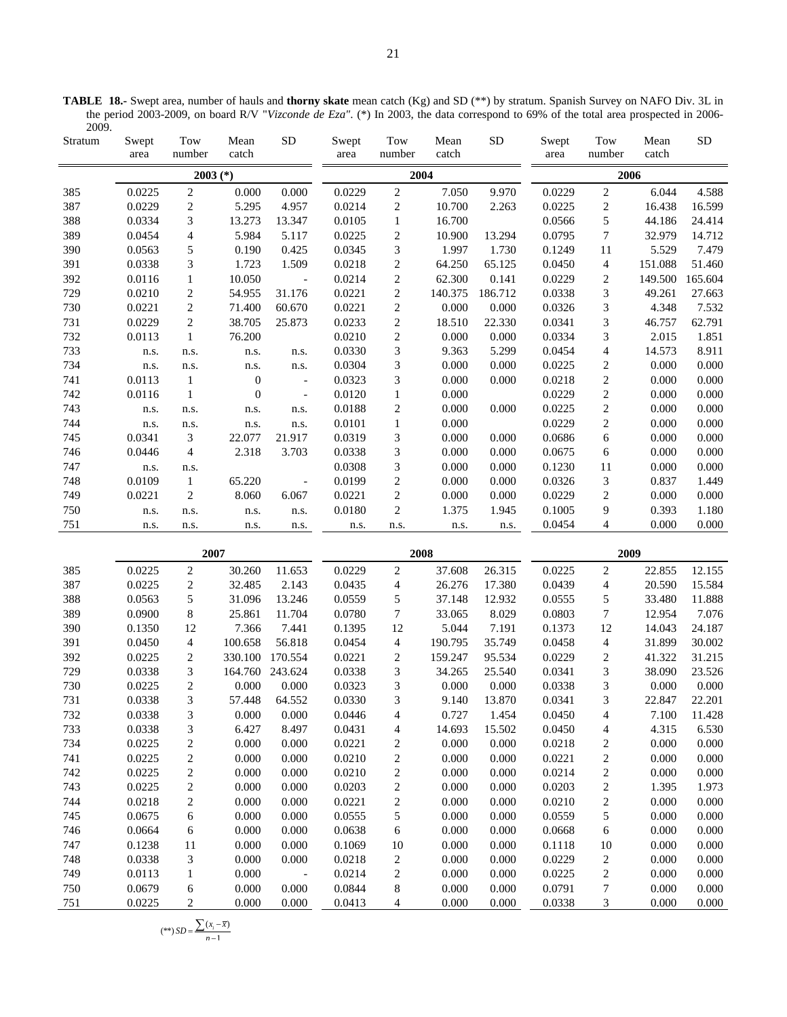**TABLE 18.-** Swept area, number of hauls and **thorny skate** mean catch (Kg) and SD (\*\*) by stratum. Spanish Survey on NAFO Div. 3L in the period 2003-2009, on board R/V "*Vizconde de Eza"*. (\*) In 2003, the data correspond to 69% of the total area prospected in 2006- 2009.

| Stratum | Swept<br>area | Tow<br>number            | Mean<br>catch    | ${\rm SD}$               | Swept<br>area | Tow<br>number            | Mean<br>catch | <b>SD</b> | Swept<br>area | Tow<br>number           | Mean<br>catch | <b>SD</b> |  |  |
|---------|---------------|--------------------------|------------------|--------------------------|---------------|--------------------------|---------------|-----------|---------------|-------------------------|---------------|-----------|--|--|
|         |               |                          | $2003$ (*)       |                          |               | 2004                     |               |           | 2006          |                         |               |           |  |  |
| 385     | 0.0225        | $\sqrt{2}$               | 0.000            | $0.000\,$                | 0.0229        | $\sqrt{2}$               | 7.050         | 9.970     | 0.0229        | $\sqrt{2}$              | 6.044         | 4.588     |  |  |
| 387     | 0.0229        | $\overline{c}$           | 5.295            | 4.957                    | 0.0214        | $\sqrt{2}$               | 10.700        | 2.263     | 0.0225        | $\overline{c}$          | 16.438        | 16.599    |  |  |
| 388     | 0.0334        | 3                        | 13.273           | 13.347                   | 0.0105        | $\,1$                    | 16.700        |           | 0.0566        | 5                       | 44.186        | 24.414    |  |  |
| 389     | 0.0454        | $\overline{\mathcal{A}}$ | 5.984            | 5.117                    | 0.0225        | $\boldsymbol{2}$         | 10.900        | 13.294    | 0.0795        | $\tau$                  | 32.979        | 14.712    |  |  |
| 390     | 0.0563        | 5                        | 0.190            | 0.425                    | 0.0345        | 3                        | 1.997         | 1.730     | 0.1249        | 11                      | 5.529         | 7.479     |  |  |
| 391     | 0.0338        | 3                        | 1.723            | 1.509                    | 0.0218        | $\overline{c}$           | 64.250        | 65.125    | 0.0450        | $\overline{4}$          | 151.088       | 51.460    |  |  |
| 392     | 0.0116        | $\mathbf{1}$             | 10.050           | $\overline{\phantom{a}}$ | 0.0214        | $\sqrt{2}$               | 62.300        | 0.141     | 0.0229        | $\sqrt{2}$              | 149.500       | 165.604   |  |  |
| 729     | 0.0210        | $\boldsymbol{2}$         | 54.955           | 31.176                   | 0.0221        | $\overline{c}$           | 140.375       | 186.712   | 0.0338        | 3                       | 49.261        | 27.663    |  |  |
| 730     | 0.0221        | $\overline{c}$           | 71.400           | 60.670                   | 0.0221        | $\overline{c}$           | 0.000         | 0.000     | 0.0326        | 3                       | 4.348         | 7.532     |  |  |
| 731     | 0.0229        | $\sqrt{2}$               | 38.705           | 25.873                   | 0.0233        | $\overline{c}$           | 18.510        | 22.330    | 0.0341        | 3                       | 46.757        | 62.791    |  |  |
| 732     | 0.0113        | $\,1$                    | 76.200           |                          | 0.0210        | $\sqrt{2}$               | 0.000         | 0.000     | 0.0334        | 3                       | 2.015         | 1.851     |  |  |
| 733     | n.s.          | n.s.                     | n.s.             | n.s.                     | 0.0330        | 3                        | 9.363         | 5.299     | 0.0454        | $\overline{\mathbf{4}}$ | 14.573        | 8.911     |  |  |
| 734     | n.s.          | n.s.                     | n.s.             | n.s.                     | 0.0304        | 3                        | 0.000         | 0.000     | 0.0225        | $\overline{c}$          | 0.000         | 0.000     |  |  |
| 741     | 0.0113        | $\,1\,$                  | $\boldsymbol{0}$ | $\overline{\phantom{a}}$ | 0.0323        | $\mathfrak{Z}$           | 0.000         | 0.000     | 0.0218        | $\overline{c}$          | 0.000         | 0.000     |  |  |
| 742     | 0.0116        | $\,1\,$                  | $\boldsymbol{0}$ | $\sim$                   | 0.0120        | $\mathbf{1}$             | 0.000         |           | 0.0229        | $\overline{c}$          | 0.000         | 0.000     |  |  |
| 743     | n.s.          | n.s.                     | n.s.             | n.s.                     | 0.0188        | $\boldsymbol{2}$         | 0.000         | 0.000     | 0.0225        | $\overline{c}$          | 0.000         | 0.000     |  |  |
| 744     | n.s.          | n.s.                     | n.s.             | n.s.                     | 0.0101        | $\,1$                    | 0.000         |           | 0.0229        | $\overline{c}$          | 0.000         | 0.000     |  |  |
| 745     | 0.0341        | 3                        | 22.077           | 21.917                   | 0.0319        | $\mathfrak{Z}$           | 0.000         | 0.000     | 0.0686        | $\sqrt{6}$              | 0.000         | 0.000     |  |  |
| 746     | 0.0446        | $\overline{\mathcal{A}}$ | 2.318            | 3.703                    | 0.0338        | 3                        | 0.000         | 0.000     | 0.0675        | 6                       | 0.000         | 0.000     |  |  |
| 747     | n.s.          | n.s.                     |                  |                          | 0.0308        | 3                        | 0.000         | 0.000     | 0.1230        | $11\,$                  | 0.000         | 0.000     |  |  |
| 748     | 0.0109        | $\mathbf{1}$             | 65.220           | $\blacksquare$           | 0.0199        | $\overline{c}$           | 0.000         | 0.000     | 0.0326        | 3                       | 0.837         | 1.449     |  |  |
| 749     | 0.0221        | $\sqrt{2}$               | 8.060            | 6.067                    | 0.0221        | $\overline{c}$           | 0.000         | 0.000     | 0.0229        | $\overline{c}$          | 0.000         | 0.000     |  |  |
| 750     | n.s.          | n.s.                     | n.s.             | n.s.                     | 0.0180        | $\overline{c}$           | 1.375         | 1.945     | 0.1005        | $\boldsymbol{9}$        | 0.393         | 1.180     |  |  |
| 751     | n.s.          | n.s.                     | n.s.             | n.s.                     | n.s.          | n.s.                     | n.s.          | n.s.      | 0.0454        | $\overline{4}$          | 0.000         | 0.000     |  |  |
|         |               |                          |                  |                          |               |                          |               |           |               |                         |               |           |  |  |
|         |               |                          | 2007             |                          |               | 2008                     |               |           |               | 2009                    |               |           |  |  |
| 385     | 0.0225        | $\sqrt{2}$               | 30.260           | 11.653                   | 0.0229        | $\sqrt{2}$               | 37.608        | 26.315    | 0.0225        | $\sqrt{2}$              | 22.855        | 12.155    |  |  |
| 387     | 0.0225        | $\boldsymbol{2}$         | 32.485           | 2.143                    | 0.0435        | $\overline{\mathcal{A}}$ | 26.276        | 17.380    | 0.0439        | $\overline{\mathbf{4}}$ | 20.590        | 15.584    |  |  |
| 388     | 0.0563        | 5                        | 31.096           | 13.246                   | 0.0559        | 5                        | 37.148        | 12.932    | 0.0555        | 5                       | 33.480        | 11.888    |  |  |
| 389     | 0.0900        | $\,$ 8 $\,$              | 25.861           | 11.704                   | 0.0780        | $\boldsymbol{7}$         | 33.065        | 8.029     | 0.0803        | $\boldsymbol{7}$        | 12.954        | 7.076     |  |  |
| 390     | 0.1350        | 12                       | 7.366            | 7.441                    | 0.1395        | 12                       | 5.044         | 7.191     | 0.1373        | 12                      | 14.043        | 24.187    |  |  |
| 391     | 0.0450        | $\overline{\mathcal{A}}$ | 100.658          | 56.818                   | 0.0454        | $\overline{\mathbf{4}}$  | 190.795       | 35.749    | 0.0458        | $\overline{\mathbf{4}}$ | 31.899        | 30.002    |  |  |
| 392     | 0.0225        | $\boldsymbol{2}$         | 330.100          | 170.554                  | 0.0221        | $\sqrt{2}$               | 159.247       | 95.534    | 0.0229        | $\sqrt{2}$              | 41.322        | 31.215    |  |  |
| 729     | 0.0338        | 3                        |                  | 164.760 243.624          | 0.0338        | 3                        | 34.265        | 25.540    | 0.0341        | 3                       | 38.090        | 23.526    |  |  |
| 730     | 0.0225        | $\boldsymbol{2}$         | 0.000            | 0.000                    | 0.0323        | 3                        | 0.000         | 0.000     | 0.0338        | 3                       | 0.000         | 0.000     |  |  |
| 731     | 0.0338        | 3                        | 57.448           | 64.552                   | 0.0330        | 3                        | 9.140         | 13.870    | 0.0341        | 3                       | 22.847        | 22.201    |  |  |
| 732     | 0.0338        | 3                        | 0.000            | 0.000                    | 0.0446        | 4                        | 0.727         | 1.454     | 0.0450        | 4                       | 7.100         | 11.428    |  |  |
| 733     | 0.0338        | 3                        | 6.427            | 8.497                    | 0.0431        | 4                        | 14.693        | 15.502    | 0.0450        | 4                       | 4.315         | 6.530     |  |  |
| 734     | 0.0225        | 2                        | 0.000            | 0.000                    | 0.0221        | $\overline{c}$           | 0.000         | 0.000     | 0.0218        | $\overline{\mathbf{c}}$ | 0.000         | 0.000     |  |  |
| 741     | 0.0225        | $\boldsymbol{2}$         | 0.000            | 0.000                    | 0.0210        | $\overline{c}$           | 0.000         | 0.000     | 0.0221        | $\sqrt{2}$              | 0.000         | 0.000     |  |  |
| 742     | 0.0225        | $\boldsymbol{2}$         | 0.000            | 0.000                    | 0.0210        | $\boldsymbol{2}$         | 0.000         | 0.000     | 0.0214        | $\boldsymbol{2}$        | 0.000         | 0.000     |  |  |
| 743     | 0.0225        | $\boldsymbol{2}$         | 0.000            | 0.000                    | 0.0203        | $\boldsymbol{2}$         | 0.000         | 0.000     | 0.0203        | $\boldsymbol{2}$        | 1.395         | 1.973     |  |  |
| 744     | 0.0218        | $\boldsymbol{2}$         | 0.000            | 0.000                    | 0.0221        | $\overline{c}$           | 0.000         | 0.000     | 0.0210        | $\boldsymbol{2}$        | 0.000         | 0.000     |  |  |
| 745     | 0.0675        | 6                        | 0.000            | 0.000                    | 0.0555        | 5                        | 0.000         | 0.000     | 0.0559        | 5                       | 0.000         | 0.000     |  |  |
| 746     | 0.0664        | 6                        | 0.000            | 0.000                    | 0.0638        | 6                        | 0.000         | 0.000     | 0.0668        | 6                       | 0.000         | 0.000     |  |  |
| 747     | 0.1238        | 11                       | 0.000            | 0.000                    | 0.1069        | 10                       | 0.000         | 0.000     | 0.1118        | 10                      | 0.000         | 0.000     |  |  |
| 748     | 0.0338        | 3                        | 0.000            | 0.000                    | 0.0218        | $\boldsymbol{2}$         | 0.000         | 0.000     | 0.0229        | 2                       | 0.000         | 0.000     |  |  |
| 749     | 0.0113        | $\mathbf{1}$             | 0.000            |                          | 0.0214        | $\boldsymbol{2}$         | 0.000         | 0.000     | 0.0225        | $\boldsymbol{2}$        | 0.000         | 0.000     |  |  |
| 750     | 0.0679        | 6                        | 0.000            | 0.000                    | 0.0844        | 8                        | 0.000         | 0.000     | 0.0791        | 7                       | 0.000         | 0.000     |  |  |
| 751     | 0.0225        | 2                        | 0.000            | 0.000                    | 0.0413        | 4                        | 0.000         | 0.000     | 0.0338        | 3                       | 0.000         | 0.000     |  |  |

$$
(**) SD = \frac{\sum (x_i - \overline{x})}{n-1}
$$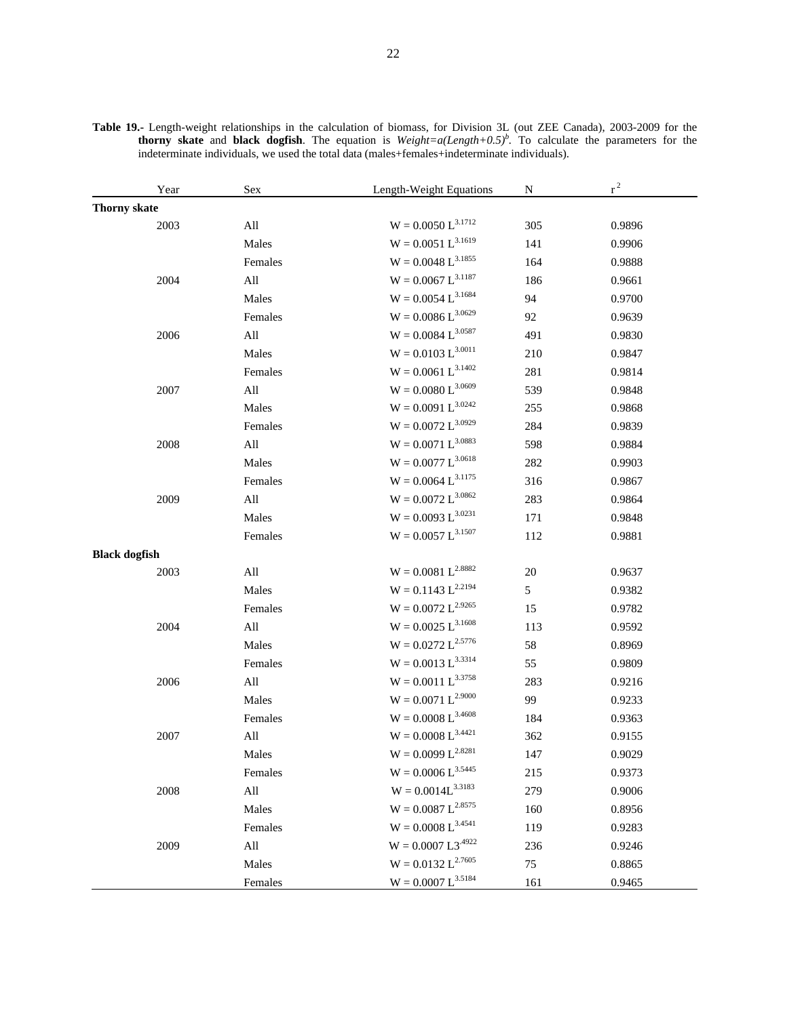| Year                 | Sex            | Length-Weight Equations   | N   | $r^2$  |
|----------------------|----------------|---------------------------|-----|--------|
| <b>Thorny skate</b>  |                |                           |     |        |
| 2003                 | $\mathbf{All}$ | $\rm W=0.0050~L^{3.1712}$ | 305 | 0.9896 |
|                      | Males          | $W = 0.0051 L^{3.1619}$   | 141 | 0.9906 |
|                      | Females        | $W = 0.0048 L^{3.1855}$   | 164 | 0.9888 |
| 2004                 | $\mathbf{All}$ | $W = 0.0067~L^{3.1187}$   | 186 | 0.9661 |
|                      | Males          | $W = 0.0054 L^{3.1684}$   | 94  | 0.9700 |
|                      | Females        | $W = 0.0086 L^{3.0629}$   | 92  | 0.9639 |
| 2006                 | $\mathbf{All}$ | $W = 0.0084 L^{3.0587}$   | 491 | 0.9830 |
|                      | Males          | $W = 0.0103 L^{3.0011}$   | 210 | 0.9847 |
|                      | Females        | $W = 0.0061 L^{3.1402}$   | 281 | 0.9814 |
| 2007                 | $\mathbf{All}$ | $W = 0.0080 L^{3.0609}$   | 539 | 0.9848 |
|                      | Males          | $W = 0.0091 L^{3.0242}$   | 255 | 0.9868 |
|                      | Females        | $W = 0.0072 L^{3.0929}$   | 284 | 0.9839 |
| 2008                 | $\mathbf{All}$ | $W = 0.0071~L^{3.0883}$   | 598 | 0.9884 |
|                      | Males          | $W = 0.0077 L^{3.0618}$   | 282 | 0.9903 |
|                      | Females        | $W = 0.0064 L^{3.1175}$   | 316 | 0.9867 |
| 2009                 | All            | $W = 0.0072 L^{3.0862}$   | 283 | 0.9864 |
|                      | Males          | $W = 0.0093 L^{3.0231}$   | 171 | 0.9848 |
|                      | Females        | $W = 0.0057 L^{3.1507}$   | 112 | 0.9881 |
| <b>Black dogfish</b> |                |                           |     |        |
| 2003                 | $\mathbf{All}$ | $W = 0.0081 L^{2.8882}$   | 20  | 0.9637 |
|                      | Males          | $W = 0.1143 L^{2.2194}$   | 5   | 0.9382 |
|                      | Females        | $W = 0.0072 L^{2.9265}$   | 15  | 0.9782 |
| 2004                 | $\mathbf{All}$ | $W = 0.0025 L^{3.1608}$   | 113 | 0.9592 |
|                      | Males          | $W = 0.0272 L^{2.5776}$   | 58  | 0.8969 |
|                      | Females        | $W = 0.0013 L^{3.3314}$   | 55  | 0.9809 |
| 2006                 | $\mathbf{All}$ | $W = 0.0011 L^{3.3758}$   | 283 | 0.9216 |
|                      | Males          | $W = 0.0071 L^{2.9000}$   | 99  | 0.9233 |
|                      | Females        | $W = 0.0008 L^{3.4608}$   | 184 | 0.9363 |
| 2007                 | $\mathbf{All}$ | $W = 0.0008 L^{3.4421}$   | 362 | 0.9155 |
|                      | Males          | $W = 0.0099 L^{2.8281}$   | 147 | 0.9029 |
|                      | Females        | $W = 0.0006 \ L^{3.5445}$ | 215 | 0.9373 |
| 2008                 | All            | $\rm W=0.0014L^{3.3183}$  | 279 | 0.9006 |
|                      | Males          | $W = 0.0087 L^{2.8575}$   | 160 | 0.8956 |
|                      | Females        | $W = 0.0008 L^{3.4541}$   | 119 | 0.9283 |
| 2009                 | $\mathbf{All}$ | $W = 0.0007 L3^{.4922}$   | 236 | 0.9246 |
|                      | Males          | $W = 0.0132 L^{2.7605}$   | 75  | 0.8865 |
|                      | Females        | $W = 0.0007 L^{3.5184}$   | 161 | 0.9465 |

**Table 19.-** Length-weight relationships in the calculation of biomass, for Division 3L (out ZEE Canada), 2003-2009 for the **thorny skate** and **black dogfish**. The equation is  $Weight=a(Length+0.5)^b$ . To calculate the parameters for the indeterminate individuals, we used the total data (males+females+indeterminate individuals).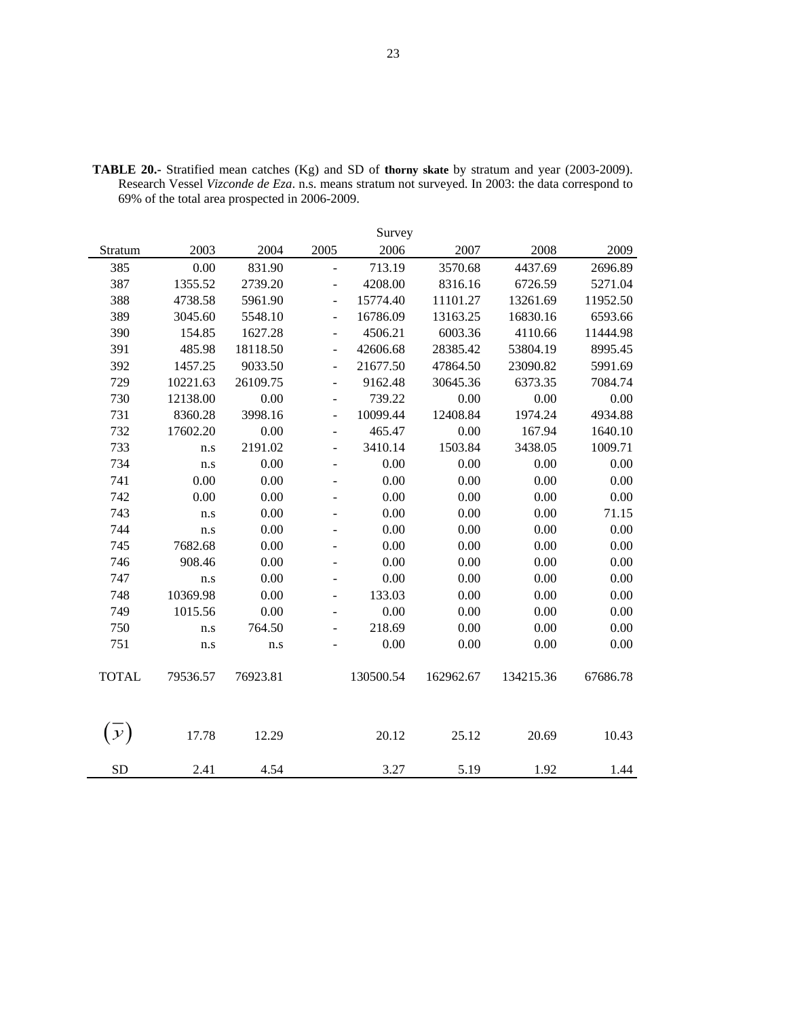|               |          |          |                          | Survey    |           |           |          |
|---------------|----------|----------|--------------------------|-----------|-----------|-----------|----------|
| Stratum       | 2003     | 2004     | 2005                     | 2006      | 2007      | 2008      | 2009     |
| 385           | 0.00     | 831.90   | $\overline{a}$           | 713.19    | 3570.68   | 4437.69   | 2696.89  |
| 387           | 1355.52  | 2739.20  | $\overline{\phantom{0}}$ | 4208.00   | 8316.16   | 6726.59   | 5271.04  |
| 388           | 4738.58  | 5961.90  | $\overline{a}$           | 15774.40  | 11101.27  | 13261.69  | 11952.50 |
| 389           | 3045.60  | 5548.10  | $\overline{a}$           | 16786.09  | 13163.25  | 16830.16  | 6593.66  |
| 390           | 154.85   | 1627.28  | $\overline{\phantom{0}}$ | 4506.21   | 6003.36   | 4110.66   | 11444.98 |
| 391           | 485.98   | 18118.50 | $\overline{\phantom{0}}$ | 42606.68  | 28385.42  | 53804.19  | 8995.45  |
| 392           | 1457.25  | 9033.50  | $\overline{\phantom{0}}$ | 21677.50  | 47864.50  | 23090.82  | 5991.69  |
| 729           | 10221.63 | 26109.75 | $\overline{\phantom{a}}$ | 9162.48   | 30645.36  | 6373.35   | 7084.74  |
| 730           | 12138.00 | 0.00     | $\overline{a}$           | 739.22    | 0.00      | 0.00      | 0.00     |
| 731           | 8360.28  | 3998.16  | ÷,                       | 10099.44  | 12408.84  | 1974.24   | 4934.88  |
| 732           | 17602.20 | 0.00     | $\overline{a}$           | 465.47    | 0.00      | 167.94    | 1640.10  |
| 733           | n.s      | 2191.02  | ÷,                       | 3410.14   | 1503.84   | 3438.05   | 1009.71  |
| 734           | n.s      | 0.00     | $\overline{\phantom{0}}$ | 0.00      | 0.00      | 0.00      | 0.00     |
| 741           | 0.00     | 0.00     | ÷,                       | 0.00      | 0.00      | 0.00      | 0.00     |
| 742           | 0.00     | 0.00     | ä,                       | 0.00      | 0.00      | 0.00      | 0.00     |
| 743           | n.s      | 0.00     |                          | 0.00      | 0.00      | 0.00      | 71.15    |
| 744           | n.s      | 0.00     |                          | 0.00      | 0.00      | 0.00      | 0.00     |
| 745           | 7682.68  | 0.00     |                          | 0.00      | 0.00      | 0.00      | 0.00     |
| 746           | 908.46   | 0.00     | ÷,                       | 0.00      | 0.00      | 0.00      | 0.00     |
| 747           | n.s      | 0.00     | ÷                        | 0.00      | 0.00      | 0.00      | 0.00     |
| 748           | 10369.98 | 0.00     | $\overline{a}$           | 133.03    | 0.00      | 0.00      | 0.00     |
| 749           | 1015.56  | 0.00     |                          | 0.00      | 0.00      | 0.00      | 0.00     |
| 750           | n.s      | 764.50   | ÷,                       | 218.69    | 0.00      | 0.00      | 0.00     |
| 751           | n.s      | n.s      |                          | 0.00      | 0.00      | 0.00      | 0.00     |
|               |          |          |                          |           |           |           |          |
| <b>TOTAL</b>  | 79536.57 | 76923.81 |                          | 130500.54 | 162962.67 | 134215.36 | 67686.78 |
|               |          |          |                          |           |           |           |          |
|               |          |          |                          |           |           |           |          |
| $\mathcal{Y}$ | 17.78    | 12.29    |                          | 20.12     | 25.12     | 20.69     | 10.43    |
|               |          |          |                          |           |           |           |          |
| <b>SD</b>     | 2.41     | 4.54     |                          | 3.27      | 5.19      | 1.92      | 1.44     |

**TABLE 20.-** Stratified mean catches (Kg) and SD of **thorny skate** by stratum and year (2003-2009). Research Vessel *Vizconde de Eza*. n.s. means stratum not surveyed. In 2003: the data correspond to 69% of the total area prospected in 2006-2009.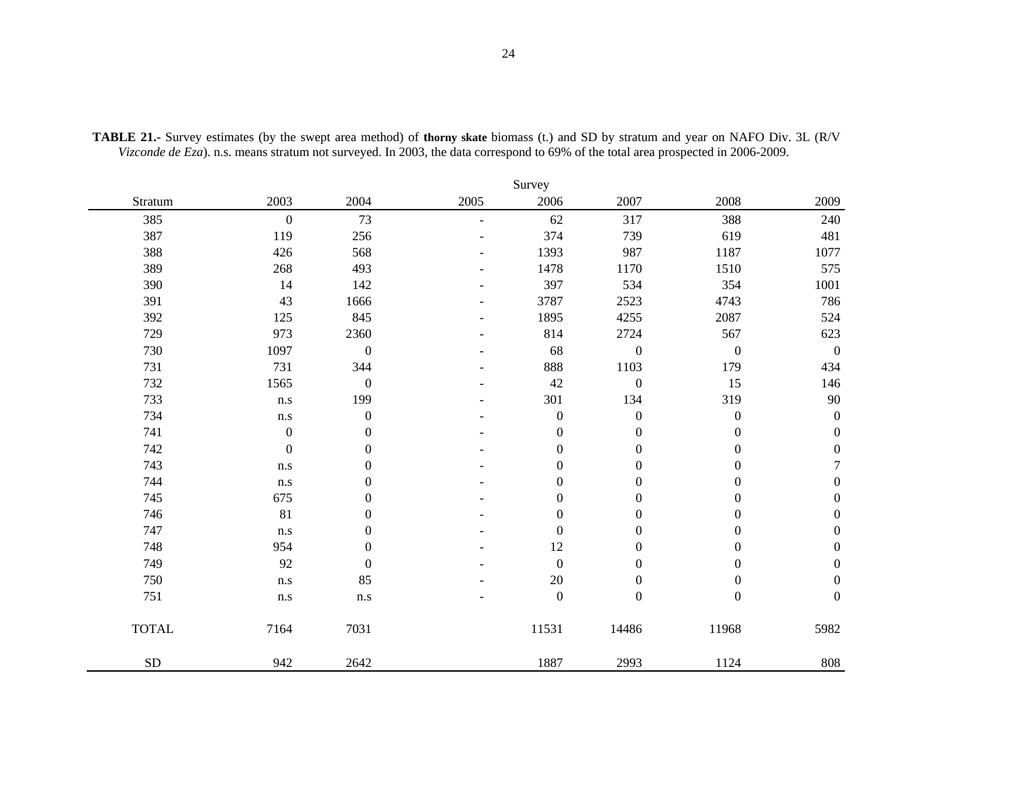|              |                  |                  |      | Survey           |                  |                  |                  |
|--------------|------------------|------------------|------|------------------|------------------|------------------|------------------|
| Stratum      | 2003             | 2004             | 2005 | 2006             | 2007             | 2008             | 2009             |
| 385          | $\boldsymbol{0}$ | 73               | ÷    | 62               | 317              | 388              | 240              |
| 387          | 119              | 256              |      | 374              | 739              | 619              | 481              |
| 388          | 426              | 568              |      | 1393             | 987              | 1187             | 1077             |
| 389          | 268              | 493              |      | 1478             | 1170             | 1510             | 575              |
| 390          | 14               | 142              |      | 397              | 534              | 354              | $1001\,$         |
| 391          | 43               | 1666             |      | 3787             | 2523             | 4743             | 786              |
| 392          | 125              | 845              |      | 1895             | 4255             | 2087             | 524              |
| 729          | 973              | 2360             |      | 814              | 2724             | 567              | 623              |
| 730          | 1097             | $\boldsymbol{0}$ |      | 68               | $\boldsymbol{0}$ | $\boldsymbol{0}$ | $\boldsymbol{0}$ |
| 731          | 731              | 344              |      | 888              | 1103             | 179              | 434              |
| 732          | 1565             | $\boldsymbol{0}$ |      | 42               | $\boldsymbol{0}$ | 15               | 146              |
| 733          | n.s              | 199              |      | 301              | 134              | 319              | $90\,$           |
| 734          | n.s              | $\boldsymbol{0}$ |      | $\boldsymbol{0}$ | $\boldsymbol{0}$ | $\boldsymbol{0}$ | $\boldsymbol{0}$ |
| 741          | $\boldsymbol{0}$ | $\mathbf{0}$     |      | $\boldsymbol{0}$ | $\boldsymbol{0}$ | $\boldsymbol{0}$ | $\boldsymbol{0}$ |
| 742          | $\boldsymbol{0}$ | $\boldsymbol{0}$ |      | $\boldsymbol{0}$ | $\boldsymbol{0}$ | $\boldsymbol{0}$ | $\boldsymbol{0}$ |
| 743          | n.s              | $\boldsymbol{0}$ |      | $\boldsymbol{0}$ | $\boldsymbol{0}$ | $\boldsymbol{0}$ | $\boldsymbol{7}$ |
| 744          | n.s              | $\boldsymbol{0}$ |      | $\boldsymbol{0}$ | $\boldsymbol{0}$ | $\boldsymbol{0}$ | $\boldsymbol{0}$ |
| 745          | 675              | $\boldsymbol{0}$ |      | $\boldsymbol{0}$ | $\boldsymbol{0}$ | $\boldsymbol{0}$ | $\boldsymbol{0}$ |
| 746          | 81               | $\boldsymbol{0}$ |      | $\boldsymbol{0}$ | $\boldsymbol{0}$ | $\boldsymbol{0}$ | $\boldsymbol{0}$ |
| 747          | n.s              | $\mathbf{0}$     |      | $\boldsymbol{0}$ | $\boldsymbol{0}$ | $\boldsymbol{0}$ | $\boldsymbol{0}$ |
| 748          | 954              | $\boldsymbol{0}$ |      | 12               | $\boldsymbol{0}$ | $\boldsymbol{0}$ | $\boldsymbol{0}$ |
| 749          | 92               | $\boldsymbol{0}$ |      | $\boldsymbol{0}$ | $\boldsymbol{0}$ | $\boldsymbol{0}$ | $\boldsymbol{0}$ |
| 750          | n.s              | 85               |      | 20               | $\boldsymbol{0}$ | $\boldsymbol{0}$ | $\boldsymbol{0}$ |
| 751          | n.s              | $\rm n.s$        |      | $\boldsymbol{0}$ | $\boldsymbol{0}$ | $\boldsymbol{0}$ | $\boldsymbol{0}$ |
| <b>TOTAL</b> | 7164             | 7031             |      | 11531            | 14486            | 11968            | 5982             |
| <b>SD</b>    | 942              | 2642             |      | 1887             | 2993             | 1124             | 808              |

**TABLE 21.-** Survey estimates (by the swept area method) of **thorny skate** biomass (t.) and SD by stratum and year on NAFO Div. 3L (R/V *Vizconde de Eza*). n.s. means stratum not surveyed. In 2003, the data correspond to 69% of the total area prospected in 2006-2009.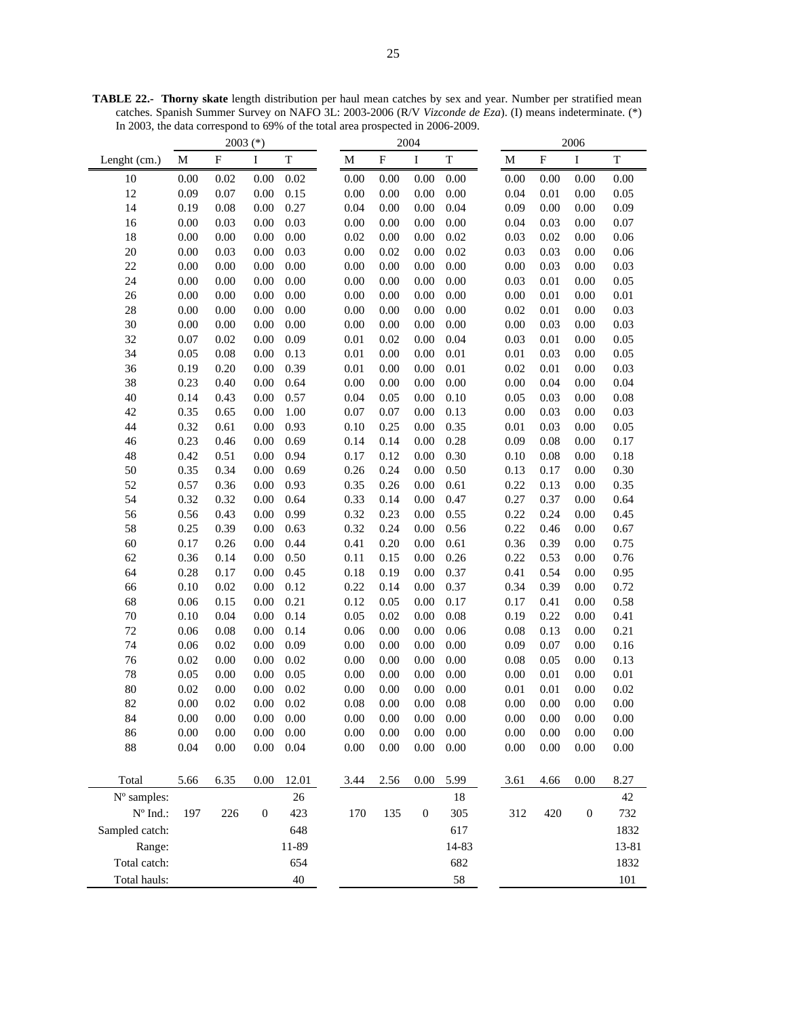2003 (\*) 2004 2006 Lenght (cm.) M F I T M F I T T M F I T 10 0.00 0.02 0.00 0.02 0.00 0.00 0.00 0.00 0.00 0.00 0.00 0.00 12 0.09 0.07 0.00 0.15 0.00 0.00 0.00 0.00 0.04 0.01 0.00 0.05 14 0.19 0.08 0.00 0.27 0.04 0.00 0.00 0.04 0.09 0.00 0.00 0.09 16 0.00 0.03 0.00 0.03 0.00 0.00 0.00 0.00 0.04 0.03 0.00 0.07 18 0.00 0.00 0.00 0.00 0.02 0.00 0.00 0.02 0.03 0.02 0.00 0.06 20 0.00 0.03 0.00 0.03 0.00 0.02 0.00 0.02 0.03 0.03 0.00 0.06 22 0.00 0.00 0.00 0.00 0.00 0.00 0.00 0.00 0.00 0.03 0.00 0.03 24 0.00 0.00 0.00 0.00 0.00 0.00 0.00 0.00 0.03 0.01 0.00 0.05 26 0.00 0.00 0.00 0.00 0.00 0.00 0.00 0.00 0.00 0.01 0.00 0.01 28 0.00 0.00 0.00 0.00 0.00 0.00 0.00 0.00 0.02 0.01 0.00 0.03 30 0.00 0.00 0.00 0.00 0.00 0.00 0.00 0.00 0.00 0.03 0.00 0.03 32 0.07 0.02 0.00 0.09 0.01 0.02 0.00 0.04 0.03 0.01 0.00 0.05 34 0.05 0.08 0.00 0.13 0.01 0.00 0.00 0.01 0.01 0.03 0.00 0.05 36 0.19 0.20 0.00 0.39 0.01 0.00 0.00 0.01 0.02 0.01 0.00 0.03 38 0.23 0.40 0.00 0.64 0.00 0.00 0.00 0.00 0.00 0.04 0.00 0.04 40 0.14 0.43 0.00 0.57 0.04 0.05 0.00 0.10 0.05 0.03 0.00 0.08 42 0.35 0.65 0.00 1.00 0.07 0.07 0.00 0.13 0.00 0.03 0.00 0.03 44 0.32 0.61 0.00 0.93 0.10 0.25 0.00 0.35 0.01 0.03 0.00 0.05 46 0.23 0.46 0.00 0.69 0.14 0.14 0.00 0.28 0.09 0.08 0.00 0.17 48 0.42 0.51 0.00 0.94 0.17 0.12 0.00 0.30 0.10 0.08 0.00 0.18 50 0.35 0.34 0.00 0.69 0.26 0.24 0.00 0.50 0.13 0.17 0.00 0.30 52 0.57 0.36 0.00 0.93 0.35 0.26 0.00 0.61 0.22 0.13 0.00 0.35 54 0.32 0.32 0.00 0.64 0.33 0.14 0.00 0.47 0.27 0.37 0.00 0.64 56 0.56 0.43 0.00 0.99 0.32 0.23 0.00 0.55 0.22 0.24 0.00 0.45 58 0.25 0.39 0.00 0.63 0.32 0.24 0.00 0.56 0.22 0.46 0.00 0.67 60 0.17 0.26 0.00 0.44 0.41 0.20 0.00 0.61 0.36 0.39 0.00 0.75 62 0.36 0.14 0.00 0.50 0.11 0.15 0.00 0.26 0.22 0.53 0.00 0.76 64 0.28 0.17 0.00 0.45 0.18 0.19 0.00 0.37 0.41 0.54 0.00 0.95 66 0.10 0.02 0.00 0.12 0.22 0.14 0.00 0.37 0.34 0.39 0.00 0.72 68 0.06 0.15 0.00 0.21 0.12 0.05 0.00 0.17 0.17 0.41 0.00 0.58 70 0.10 0.04 0.00 0.14 0.05 0.02 0.00 0.08 0.19 0.22 0.00 0.41 72 0.06 0.08 0.00 0.14 0.06 0.00 0.00 0.06 0.08 0.13 0.00 0.21 74 0.06 0.02 0.00 0.09 0.00 0.00 0.00 0.00 0.09 0.07 0.00 0.16 76 0.02 0.00 0.00 0.02 0.00 0.00 0.00 0.00 0.08 0.05 0.00 0.13 78 0.05 0.00 0.00 0.05 0.00 0.00 0.00 0.00 0.00 0.01 0.00 0.01 80 0.02 0.00 0.00 0.02 0.00 0.00 0.00 0.00 0.01 0.01 0.00 0.02 82 0.00 0.02 0.00 0.02 0.08 0.00 0.00 0.08 0.00 0.00 0.00 0.00 84 0.00 0.00 0.00 0.00 0.00 0.00 0.00 0.00 0.00 0.00 0.00 0.00 86 0.00 0.00 0.00 0.00 0.00 0.00 0.00 0.00 0.00 0.00 0.00 0.00 88 0.04 0.00 0.00 0.04 0.00 0.00 0.00 0.00 0.00 0.00 0.00 0.00 Total 5.66 6.35 0.00 12.01 3.44 2.56 0.00 5.99 3.61 4.66 0.00 8.27  $N^{\circ}$  samples: 26 26 18 42 Nº Ind.: 197 226 0 423 170 135 0 305 312 420 0 732 Sampled catch: 648 617 1832 Range: 11-89 13-81 13-81 Total catch: 654 682 1832 Total hauls:  $40 \t\t 40 \t\t 58 \t\t 101$ 

**TABLE 22.- Thorny skate** length distribution per haul mean catches by sex and year. Number per stratified mean catches. Spanish Summer Survey on NAFO 3L: 2003-2006 (R/V *Vizconde de Eza*). (I) means indeterminate. (\*) In 2003, the data correspond to 69% of the total area prospected in 2006-2009.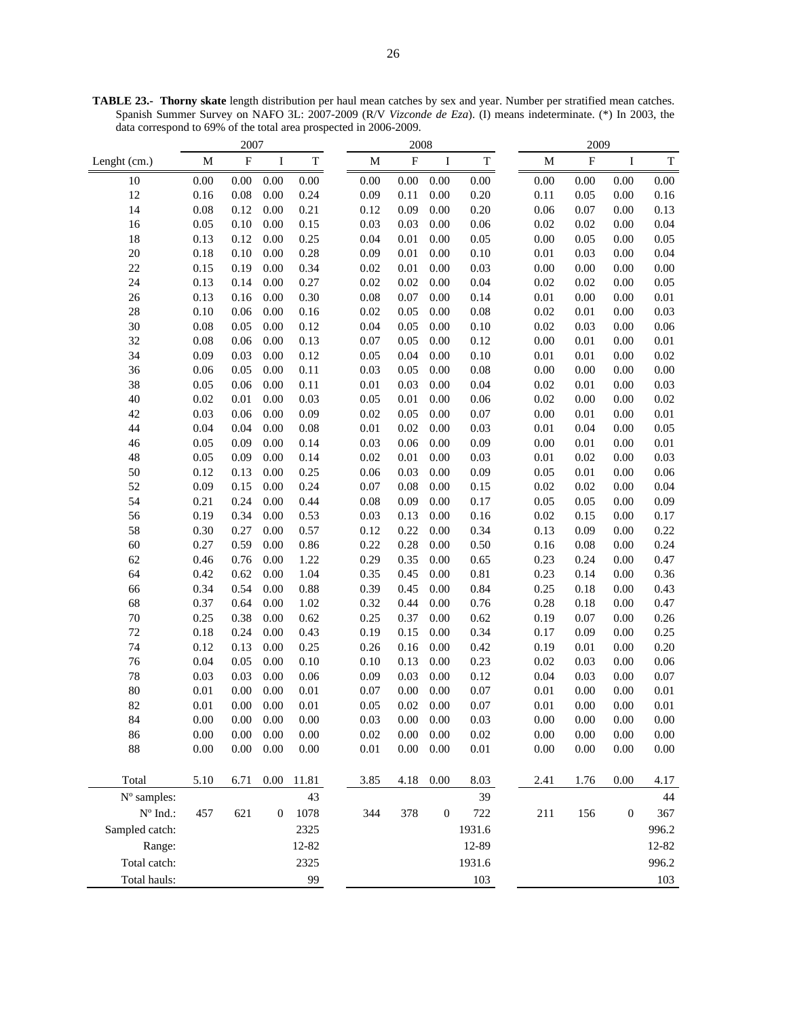2007 2008 2009 Lenght (cm.) M F I T M F I T M F I T 10 0.00 0.00 0.00 0.00 0.00 0.00 0.00 0.00 0.00 0.00 0.00 0.00 12 0.16 0.08 0.00 0.24 0.09 0.11 0.00 0.20 0.11 0.05 0.00 0.16 14 0.08 0.12 0.00 0.21 0.12 0.09 0.00 0.20 0.06 0.07 0.00 0.13 16 0.05 0.10 0.00 0.15 0.03 0.03 0.00 0.06 0.02 0.02 0.00 0.04 18 0.13 0.12 0.00 0.25 0.04 0.01 0.00 0.05 0.00 0.05 0.00 0.05 20 0.18 0.10 0.00 0.28 0.09 0.01 0.00 0.10 0.01 0.03 0.00 0.04 22 0.15 0.19 0.00 0.34 0.02 0.01 0.00 0.03 0.00 0.00 0.00 0.00 24 0.13 0.14 0.00 0.27 0.02 0.02 0.00 0.04 0.02 0.02 0.00 0.05 26 0.13 0.16 0.00 0.30 0.08 0.07 0.00 0.14 0.01 0.00 0.00 0.01 28 0.10 0.06 0.00 0.16 0.02 0.05 0.00 0.08 0.02 0.01 0.00 0.03 30 0.08 0.05 0.00 0.12 0.04 0.05 0.00 0.10 0.02 0.03 0.00 0.06 32 0.08 0.06 0.00 0.13 0.07 0.05 0.00 0.12 0.00 0.01 0.00 0.01 34 0.09 0.03 0.00 0.12 0.05 0.04 0.00 0.10 0.01 0.01 0.00 0.02 36 0.06 0.05 0.00 0.11 0.03 0.05 0.00 0.08 0.00 0.00 0.00 0.00 38 0.05 0.06 0.00 0.11 0.01 0.03 0.00 0.04 0.02 0.01 0.00 0.03 40 0.02 0.01 0.00 0.03 0.05 0.01 0.00 0.06 0.02 0.00 0.00 0.02 42 0.03 0.06 0.00 0.09 0.02 0.05 0.00 0.07 0.00 0.01 0.00 0.01 44 0.04 0.04 0.00 0.08 0.01 0.02 0.00 0.03 0.01 0.04 0.00 0.05 46 0.05 0.09 0.00 0.14 0.03 0.06 0.00 0.09 0.00 0.01 0.00 0.01 48 0.05 0.09 0.00 0.14 0.02 0.01 0.00 0.03 0.01 0.02 0.00 0.03 50 0.12 0.13 0.00 0.25 0.06 0.03 0.00 0.09 0.05 0.01 0.00 0.06 52 0.09 0.15 0.00 0.24 0.07 0.08 0.00 0.15 0.02 0.02 0.00 0.04 54 0.21 0.24 0.00 0.44 0.08 0.09 0.00 0.17 0.05 0.05 0.00 0.09 56 0.19 0.34 0.00 0.53 0.03 0.13 0.00 0.16 0.02 0.15 0.00 0.17 58 0.30 0.27 0.00 0.57 0.12 0.22 0.00 0.34 0.13 0.09 0.00 0.22 60 0.27 0.59 0.00 0.86 0.22 0.28 0.00 0.50 0.16 0.08 0.00 0.24 62 0.46 0.76 0.00 1.22 0.29 0.35 0.00 0.65 0.23 0.24 0.00 0.47 64 0.42 0.62 0.00 1.04 0.35 0.45 0.00 0.81 0.23 0.14 0.00 0.36 66 0.34 0.54 0.00 0.88 0.39 0.45 0.00 0.84 0.25 0.18 0.00 0.43 68 0.37 0.64 0.00 1.02 0.32 0.44 0.00 0.76 0.28 0.18 0.00 0.47 70 0.25 0.38 0.00 0.62 0.25 0.37 0.00 0.62 0.19 0.07 0.00 0.26 72 0.18 0.24 0.00 0.43 0.19 0.15 0.00 0.34 0.17 0.09 0.00 0.25 74 0.12 0.13 0.00 0.25 0.26 0.16 0.00 0.42 0.19 0.01 0.00 0.20 76 0.04 0.05 0.00 0.10 0.10 0.13 0.00 0.23 0.02 0.03 0.00 0.06 78 0.03 0.03 0.00 0.06 0.09 0.03 0.00 0.12 0.04 0.03 0.00 0.07 80 0.01 0.00 0.00 0.01 0.07 0.00 0.00 0.07 0.01 0.00 0.00 0.01 82 0.01 0.00 0.00 0.01 0.05 0.02 0.00 0.07 0.01 0.00 0.00 0.01 84 0.00 0.00 0.00 0.00 0.03 0.00 0.00 0.03 0.00 0.00 0.00 0.00 86 0.00 0.00 0.00 0.00 0.02 0.00 0.00 0.02 0.00 0.00 0.00 0.00 88 0.00 0.00 0.00 0.00 0.01 0.00 0.00 0.01 0.00 0.00 0.00 0.00 Total 5.10 6.71 0.00 11.81 3.85 4.18 0.00 8.03 2.41 1.76 0.00 4.17  $N^{\circ}$  samples:  $43$   $43$   $39$   $44$ Nº Ind.: 457 621 0 1078 344 378 0 722 211 156 0 367 Sampled catch: 2325 2325 1931.6 996.2 Range: 12-82 12-89 12-89 12-82 Total catch: 2325 2325 1931.6 996.2 Total hauls: 99 103 103

**TABLE 23.- Thorny skate** length distribution per haul mean catches by sex and year. Number per stratified mean catches. Spanish Summer Survey on NAFO 3L: 2007-2009 (R/V *Vizconde de Eza*). (I) means indeterminate. (\*) In 2003, the data correspond to 69% of the total area prospected in 2006-2009.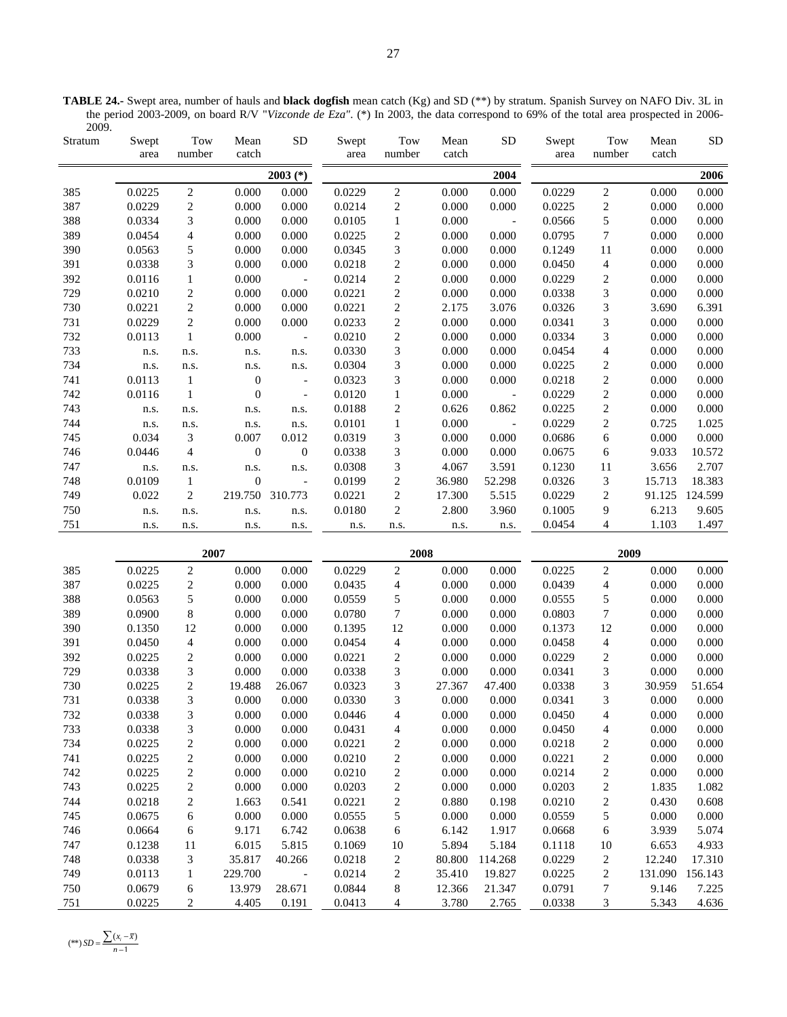**TABLE 24.-** Swept area, number of hauls and **black dogfish** mean catch (Kg) and SD (\*\*) by stratum. Spanish Survey on NAFO Div. 3L in the period 2003-2009, on board R/V "*Vizconde de Eza"*. (\*) In 2003, the data correspond to 69% of the total area prospected in 2006- 2009.

| Stratum    | Swept<br>area    | Tow<br>number            | Mean<br>catch     | ${\rm SD}$               | Swept<br>area    | Tow<br>number             | Mean<br>catch    | ${\rm SD}$                  | Swept<br>area    | Tow<br>number           | Mean<br>catch    | ${\rm SD}$       |
|------------|------------------|--------------------------|-------------------|--------------------------|------------------|---------------------------|------------------|-----------------------------|------------------|-------------------------|------------------|------------------|
|            |                  |                          |                   | $2003$ (*)               |                  |                           |                  | 2004                        |                  |                         |                  | 2006             |
| 385        | 0.0225           | $\sqrt{2}$               | 0.000             | 0.000                    | 0.0229           | $\sqrt{2}$                | 0.000            | 0.000                       | 0.0229           | $\overline{c}$          | 0.000            | 0.000            |
| 387        | 0.0229           | $\overline{c}$           | 0.000             | 0.000                    | 0.0214           | $\sqrt{2}$                | 0.000            | 0.000                       | 0.0225           | $\overline{c}$          | 0.000            | 0.000            |
| 388        | 0.0334           | 3                        | 0.000             | 0.000                    | 0.0105           | $\,1$                     | 0.000            | $\mathcal{L}_{\mathcal{A}}$ | 0.0566           | 5                       | 0.000            | 0.000            |
| 389        | 0.0454           | $\overline{\mathcal{A}}$ | 0.000             | 0.000                    | 0.0225           | $\boldsymbol{2}$          | 0.000            | 0.000                       | 0.0795           | $\boldsymbol{7}$        | 0.000            | 0.000            |
| 390        | 0.0563           | 5                        | 0.000             | 0.000                    | 0.0345           | $\overline{3}$            | 0.000            | 0.000                       | 0.1249           | $1\,1$                  | 0.000            | 0.000            |
| 391        | 0.0338           | $\mathfrak{Z}$           | 0.000             | 0.000                    | 0.0218           | $\overline{c}$            | 0.000            | 0.000                       | 0.0450           | $\overline{4}$          | 0.000            | 0.000            |
| 392        | 0.0116           | $\,1$                    | 0.000             | $\overline{\phantom{a}}$ | 0.0214           | $\,2$                     | 0.000            | 0.000                       | 0.0229           | $\overline{c}$          | 0.000            | 0.000            |
| 729        | 0.0210           | $\overline{\mathbf{c}}$  | 0.000             | 0.000                    | 0.0221           | $\sqrt{2}$                | 0.000            | 0.000                       | 0.0338           | 3                       | 0.000            | 0.000            |
| 730        | 0.0221           | $\overline{c}$           | 0.000             | 0.000                    | 0.0221           | $\sqrt{2}$                | 2.175            | 3.076                       | 0.0326           | 3                       | 3.690            | 6.391            |
| 731        | 0.0229           | $\overline{c}$           | 0.000             | 0.000                    | 0.0233           | $\sqrt{2}$                | 0.000            | 0.000                       | 0.0341           | 3                       | 0.000            | 0.000            |
| 732        | 0.0113           | $\,1$                    | 0.000             | $\overline{\phantom{a}}$ | 0.0210           | $\sqrt{2}$                | 0.000            | 0.000                       | 0.0334           | 3                       | 0.000            | 0.000            |
| 733        | n.s.             | n.s.                     | n.s.              | n.s.                     | 0.0330           | $\overline{3}$            | 0.000            | 0.000                       | 0.0454           | $\overline{4}$          | 0.000            | 0.000            |
| 734        | n.s.             | n.s.                     | n.s.              | n.s.                     | 0.0304           | $\overline{3}$            | 0.000            | 0.000                       | 0.0225           | $\overline{c}$          | 0.000            | 0.000            |
| 741        | 0.0113           | $\mathbf{1}$             | $\boldsymbol{0}$  | $\overline{\phantom{a}}$ | 0.0323           | 3                         | 0.000            | 0.000                       | 0.0218           | $\overline{c}$          | 0.000            | 0.000            |
| 742        | 0.0116           | $\,1\,$                  | $\boldsymbol{0}$  | $\overline{\phantom{a}}$ | 0.0120           | $\mathbf{1}$              | 0.000            | $\overline{\phantom{a}}$    | 0.0229           | $\overline{c}$          | 0.000            | 0.000            |
| 743        | n.s.             | n.s.                     | n.s.              | n.s.                     | 0.0188           | $\sqrt{2}$                | 0.626            | 0.862                       | 0.0225           | $\overline{c}$          | 0.000            | 0.000            |
| 744        | n.s.             | n.s.                     | n.s.              | n.s.                     | 0.0101           | $\mathbf{1}$              | 0.000            | $\bar{\phantom{a}}$         | 0.0229           | $\overline{c}$          | 0.725            | 1.025            |
| 745        | 0.034            | 3                        | 0.007             | 0.012                    | 0.0319           | $\mathfrak{Z}$            | 0.000            | 0.000                       | 0.0686           | 6                       | 0.000            | 0.000            |
| 746        | 0.0446           | $\overline{\mathbf{4}}$  | $\boldsymbol{0}$  | $\boldsymbol{0}$         | 0.0338           | 3                         | 0.000            | 0.000                       | 0.0675           | 6                       | 9.033            | 10.572           |
| 747        | n.s.             | n.s.                     | n.s.              | n.s.                     | 0.0308           | 3                         | 4.067            | 3.591                       | 0.1230           | $11\,$                  | 3.656            | 2.707            |
| 748        | 0.0109           | $\mathbf{1}$             | $\boldsymbol{0}$  | $\overline{\phantom{a}}$ | 0.0199           | $\overline{c}$            | 36.980           | 52.298                      | 0.0326           | 3                       | 15.713           | 18.383           |
| 749        | 0.022            | $\overline{c}$           | 219.750           | 310.773                  | 0.0221           | $\overline{c}$            | 17.300           | 5.515                       | 0.0229           | $\overline{c}$          | 91.125           | 124.599          |
| 750        | n.s.             | n.s.                     | n.s.              | n.s.                     | 0.0180           | $\overline{c}$            | 2.800            | 3.960                       | 0.1005           | 9                       | 6.213            | 9.605            |
| 751        | n.s.             | n.s.                     | n.s.              | n.s.                     | n.s.             | n.s.                      | n.s.             | n.s.                        | 0.0454           | $\overline{4}$          | 1.103            | 1.497            |
|            |                  |                          |                   |                          |                  |                           |                  |                             |                  |                         |                  |                  |
|            |                  | 2007                     |                   |                          |                  | 2008                      |                  |                             |                  | 2009                    |                  |                  |
| 385        | 0.0225           | $\sqrt{2}$               | 0.000             | 0.000                    | 0.0229           | $\sqrt{2}$                | 0.000            | 0.000                       | 0.0225           | $\sqrt{2}$              | 0.000            | 0.000            |
| 387        | 0.0225           | $\overline{c}$           | 0.000             | 0.000                    | 0.0435           | $\overline{4}$            | 0.000            | 0.000                       | 0.0439           | $\overline{\mathbf{4}}$ | 0.000            | 0.000            |
| 388        | 0.0563           | 5                        | 0.000             | 0.000                    | 0.0559           | 5                         | 0.000            | 0.000                       | 0.0555           | 5<br>$\overline{7}$     | 0.000            | 0.000            |
| 389<br>390 | 0.0900<br>0.1350 | 8<br>12                  | 0.000<br>0.000    | 0.000<br>0.000           | 0.0780<br>0.1395 | $\boldsymbol{7}$<br>12    | 0.000<br>0.000   | 0.000<br>0.000              | 0.0803<br>0.1373 | 12                      | 0.000<br>0.000   | 0.000<br>0.000   |
| 391        | 0.0450           | $\overline{\mathbf{4}}$  | 0.000             | 0.000                    | 0.0454           | $\overline{\mathbf{4}}$   | 0.000            | 0.000                       | 0.0458           | $\overline{4}$          | 0.000            | 0.000            |
| 392        | 0.0225           | $\overline{c}$           | 0.000             | 0.000                    | 0.0221           | $\sqrt{2}$                | 0.000            | 0.000                       | 0.0229           | $\overline{c}$          | 0.000            | 0.000            |
| 729        | 0.0338           | $\mathfrak{Z}$           | 0.000             | 0.000                    | 0.0338           | 3                         | 0.000            | 0.000                       | 0.0341           | 3                       | $0.000\,$        | 0.000            |
| 730        | 0.0225           | $\overline{c}$           | 19.488            | 26.067                   | 0.0323           | 3                         | 27.367           | 47.400                      | 0.0338           | 3                       | 30.959           | 51.654           |
| 731        | 0.0338           | 3                        | 0.000             | 0.000                    | 0.0330           | 3                         | 0.000            | 0.000                       | 0.0341           | 3                       | 0.000            | 0.000            |
| 732        | 0.0338           | 3                        | 0.000             | 0.000                    | 0.0446           | 4                         | 0.000            | 0.000                       | 0.0450           | 4                       | 0.000            | 0.000            |
| 733        | 0.0338           | 3                        | 0.000             | 0.000                    | 0.0431           | 4                         | 0.000            | 0.000                       | 0.0450           | 4                       | 0.000            | 0.000            |
| 734        | 0.0225           | 2                        | 0.000             | 0.000                    | 0.0221           | $\overline{c}$            | 0.000            | 0.000                       | 0.0218           | $\overline{\mathbf{c}}$ | 0.000            | 0.000            |
| 741        | 0.0225           | $\boldsymbol{2}$         | 0.000             | 0.000                    | 0.0210           | $\overline{c}$            | 0.000            | 0.000                       | 0.0221           | $\overline{c}$          | 0.000            | 0.000            |
| 742        | 0.0225           | $\overline{c}$           | 0.000             | 0.000                    | 0.0210           | $\overline{c}$            | 0.000            | 0.000                       | 0.0214           | $\overline{c}$          | 0.000            | 0.000            |
| 743        | 0.0225           | $\overline{c}$           | 0.000             | 0.000                    | 0.0203           | $\overline{c}$            | 0.000            | 0.000                       | 0.0203           | $\overline{c}$          | 1.835            | 1.082            |
| 744        | 0.0218           | 2                        | 1.663             | 0.541                    | 0.0221           | $\overline{c}$            | 0.880            | 0.198                       | 0.0210           | $\overline{\mathbf{c}}$ | 0.430            | 0.608            |
| 745        | 0.0675           | 6                        | 0.000             | 0.000                    | 0.0555           | 5                         | 0.000            | 0.000                       | 0.0559           | 5                       | 0.000            | 0.000            |
| 746        | 0.0664           | 6                        | 9.171             | 6.742                    | 0.0638           | 6                         | 6.142            | 1.917                       | 0.0668           | 6                       | 3.939            | 5.074            |
| 747        | 0.1238           | 11                       | 6.015             | 5.815                    | 0.1069           | 10                        | 5.894            | 5.184                       | 0.1118           | 10                      | 6.653            | 4.933            |
| 748        | 0.0338           | 3                        | 35.817            | 40.266                   | 0.0218           | 2                         | 80.800           | 114.268                     | 0.0229           | 2                       | 12.240           | 17.310           |
|            |                  |                          |                   |                          |                  |                           |                  |                             |                  |                         |                  |                  |
|            |                  |                          |                   |                          |                  |                           |                  |                             |                  |                         |                  |                  |
| 749<br>750 | 0.0113<br>0.0679 | 1<br>6                   | 229.700<br>13.979 | 28.671                   | 0.0214<br>0.0844 | $\overline{c}$<br>$\bf 8$ | 35.410<br>12.366 | 19.827<br>21.347            | 0.0225<br>0.0791 | 2<br>7                  | 131.090<br>9.146 | 156.143<br>7.225 |

 $(**)$  *SD* =  $\frac{\sum (x_i - \bar{x})}{n-1}$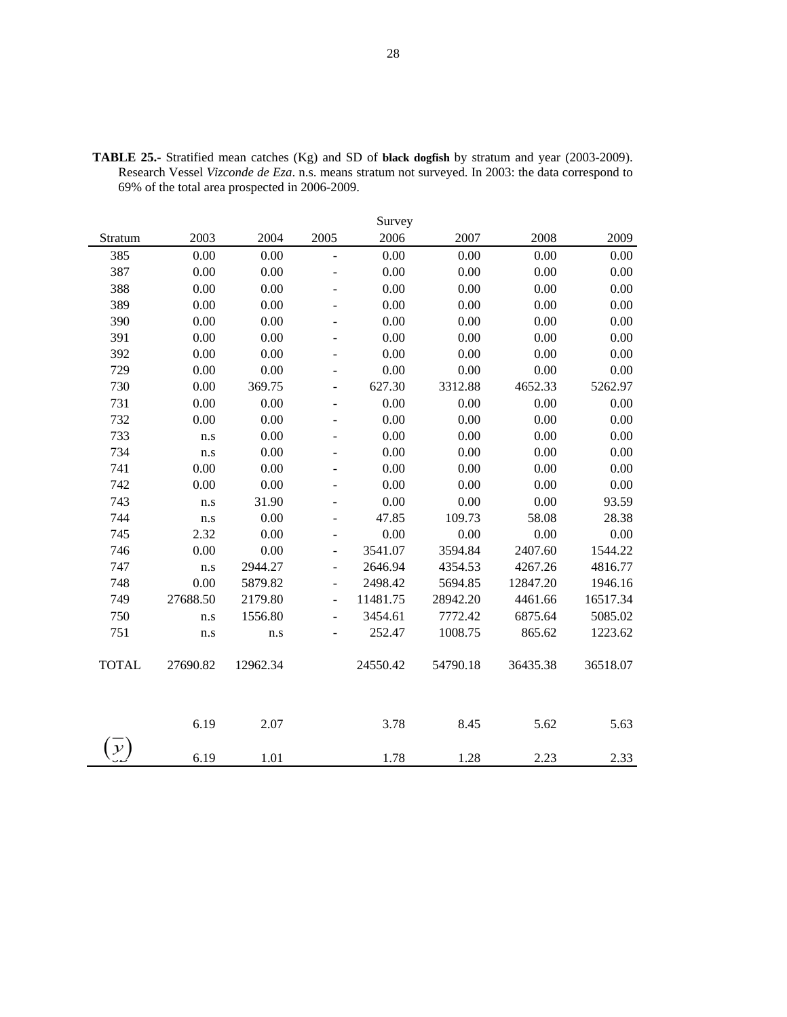|              |          |          |                          | Survey   |          |          |          |
|--------------|----------|----------|--------------------------|----------|----------|----------|----------|
| Stratum      | 2003     | 2004     | 2005                     | 2006     | 2007     | 2008     | 2009     |
| 385          | 0.00     | 0.00     | $\frac{1}{2}$            | 0.00     | 0.00     | 0.00     | 0.00     |
| 387          | 0.00     | 0.00     | $\overline{\phantom{m}}$ | 0.00     | 0.00     | 0.00     | 0.00     |
| 388          | 0.00     | 0.00     | $\overline{\phantom{a}}$ | 0.00     | 0.00     | 0.00     | 0.00     |
| 389          | 0.00     | 0.00     | $\blacksquare$           | 0.00     | 0.00     | 0.00     | 0.00     |
| 390          | 0.00     | 0.00     | $\overline{\phantom{a}}$ | 0.00     | 0.00     | 0.00     | 0.00     |
| 391          | 0.00     | 0.00     | $\overline{\phantom{a}}$ | 0.00     | 0.00     | 0.00     | 0.00     |
| 392          | 0.00     | 0.00     |                          | 0.00     | 0.00     | 0.00     | 0.00     |
| 729          | 0.00     | 0.00     | $\overline{a}$           | 0.00     | 0.00     | 0.00     | 0.00     |
| 730          | 0.00     | 369.75   |                          | 627.30   | 3312.88  | 4652.33  | 5262.97  |
| 731          | 0.00     | 0.00     | $\overline{\phantom{a}}$ | 0.00     | 0.00     | 0.00     | 0.00     |
| 732          | 0.00     | 0.00     | $\overline{\phantom{a}}$ | 0.00     | 0.00     | 0.00     | 0.00     |
| 733          | n.s      | 0.00     | $\overline{\phantom{a}}$ | 0.00     | 0.00     | 0.00     | 0.00     |
| 734          | n.s      | 0.00     | $\overline{a}$           | 0.00     | 0.00     | 0.00     | 0.00     |
| 741          | 0.00     | 0.00     | $\blacksquare$           | 0.00     | 0.00     | 0.00     | 0.00     |
| 742          | 0.00     | 0.00     | $\overline{a}$           | 0.00     | 0.00     | 0.00     | 0.00     |
| 743          | n.s      | 31.90    | $\overline{a}$           | 0.00     | 0.00     | 0.00     | 93.59    |
| 744          | n.s      | 0.00     | $\blacksquare$           | 47.85    | 109.73   | 58.08    | 28.38    |
| 745          | 2.32     | 0.00     | $\blacksquare$           | 0.00     | 0.00     | 0.00     | 0.00     |
| 746          | 0.00     | 0.00     | $\overline{\phantom{m}}$ | 3541.07  | 3594.84  | 2407.60  | 1544.22  |
| 747          | n.s      | 2944.27  | $\overline{a}$           | 2646.94  | 4354.53  | 4267.26  | 4816.77  |
| 748          | 0.00     | 5879.82  | $\overline{\phantom{a}}$ | 2498.42  | 5694.85  | 12847.20 | 1946.16  |
| 749          | 27688.50 | 2179.80  | $\frac{1}{2}$            | 11481.75 | 28942.20 | 4461.66  | 16517.34 |
| 750          | n.s      | 1556.80  | $\overline{\phantom{a}}$ | 3454.61  | 7772.42  | 6875.64  | 5085.02  |
| 751          | n.s      | n.s      | ٠                        | 252.47   | 1008.75  | 865.62   | 1223.62  |
| <b>TOTAL</b> | 27690.82 | 12962.34 |                          | 24550.42 | 54790.18 | 36435.38 | 36518.07 |
|              | 6.19     | 2.07     |                          | 3.78     | 8.45     | 5.62     | 5.63     |
|              | 6.19     | 1.01     |                          | 1.78     | 1.28     | 2.23     | 2.33     |

**TABLE 25.-** Stratified mean catches (Kg) and SD of **black dogfish** by stratum and year (2003-2009). Research Vessel *Vizconde de Eza*. n.s. means stratum not surveyed. In 2003: the data correspond to 69% of the total area prospected in 2006-2009.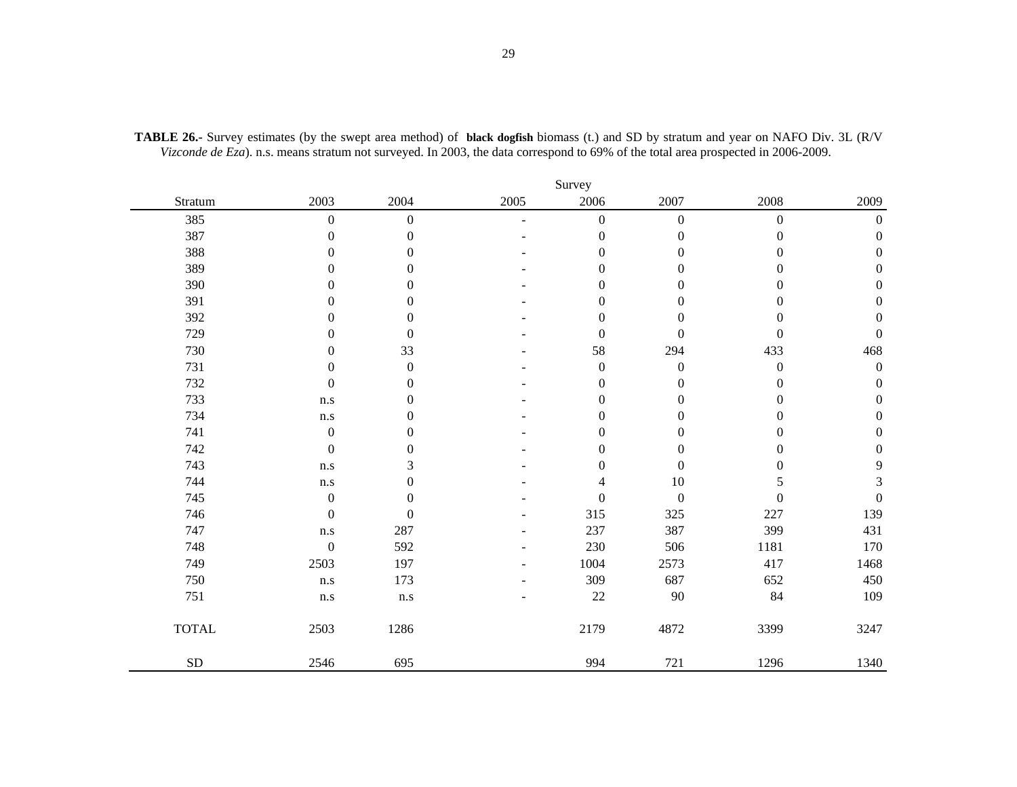|              |                  | Survey           |      |                  |                  |                  |                  |  |  |  |
|--------------|------------------|------------------|------|------------------|------------------|------------------|------------------|--|--|--|
| Stratum      | 2003             | 2004             | 2005 | 2006             | 2007             | 2008             | 2009             |  |  |  |
| 385          | $\boldsymbol{0}$ | $\boldsymbol{0}$ | L.   | $\boldsymbol{0}$ | $\boldsymbol{0}$ | $\boldsymbol{0}$ | $\boldsymbol{0}$ |  |  |  |
| 387          | $\boldsymbol{0}$ | $\boldsymbol{0}$ |      | $\boldsymbol{0}$ | $\boldsymbol{0}$ | $\boldsymbol{0}$ | $\boldsymbol{0}$ |  |  |  |
| 388          | $\boldsymbol{0}$ | $\boldsymbol{0}$ |      | $\boldsymbol{0}$ | $\boldsymbol{0}$ | $\boldsymbol{0}$ | $\boldsymbol{0}$ |  |  |  |
| 389          | $\boldsymbol{0}$ | $\boldsymbol{0}$ |      | $\mathbf{0}$     | $\boldsymbol{0}$ | $\boldsymbol{0}$ | $\mathbf{0}$     |  |  |  |
| 390          | $\boldsymbol{0}$ | $\boldsymbol{0}$ |      | $\boldsymbol{0}$ | $\boldsymbol{0}$ | $\boldsymbol{0}$ | $\boldsymbol{0}$ |  |  |  |
| 391          | $\boldsymbol{0}$ | $\boldsymbol{0}$ |      | $\boldsymbol{0}$ | $\boldsymbol{0}$ | $\boldsymbol{0}$ | $\boldsymbol{0}$ |  |  |  |
| 392          | $\boldsymbol{0}$ | $\boldsymbol{0}$ |      | $\boldsymbol{0}$ | $\boldsymbol{0}$ | $\boldsymbol{0}$ | $\boldsymbol{0}$ |  |  |  |
| 729          | $\mathbf{0}$     | $\mathbf{0}$     |      | $\boldsymbol{0}$ | $\boldsymbol{0}$ | $\boldsymbol{0}$ | $\mathbf{0}$     |  |  |  |
| 730          | $\boldsymbol{0}$ | 33               |      | 58               | 294              | 433              | 468              |  |  |  |
| 731          | $\boldsymbol{0}$ | $\boldsymbol{0}$ |      | $\boldsymbol{0}$ | $\boldsymbol{0}$ | $\boldsymbol{0}$ | $\boldsymbol{0}$ |  |  |  |
| 732          | $\boldsymbol{0}$ | $\boldsymbol{0}$ |      | $\boldsymbol{0}$ | $\boldsymbol{0}$ | $\boldsymbol{0}$ | $\boldsymbol{0}$ |  |  |  |
| 733          | n.s              | $\boldsymbol{0}$ |      | $\mathbf{0}$     | $\boldsymbol{0}$ | $\boldsymbol{0}$ | $\boldsymbol{0}$ |  |  |  |
| 734          | n.s              | $\boldsymbol{0}$ |      | $\mathbf{0}$     | $\boldsymbol{0}$ | $\boldsymbol{0}$ | $\boldsymbol{0}$ |  |  |  |
| 741          | $\boldsymbol{0}$ | $\overline{0}$   |      | $\theta$         | $\mathbf{0}$     | $\mathbf{0}$     | $\boldsymbol{0}$ |  |  |  |
| 742          | $\boldsymbol{0}$ | $\boldsymbol{0}$ |      | $\theta$         | $\boldsymbol{0}$ | 0                | $\boldsymbol{0}$ |  |  |  |
| 743          | n.s              | 3                |      | $\boldsymbol{0}$ | $\boldsymbol{0}$ | 0                | $\overline{9}$   |  |  |  |
| 744          | n.s              | $\boldsymbol{0}$ |      | $\overline{4}$   | $10\,$           | 5                | $\mathfrak{Z}$   |  |  |  |
| 745          | $\boldsymbol{0}$ | $\overline{0}$   |      | $\mathbf{0}$     | $\boldsymbol{0}$ | $\mathbf{0}$     | $\boldsymbol{0}$ |  |  |  |
| 746          | $\boldsymbol{0}$ | $\mathbf{0}$     |      | 315              | 325              | 227              | 139              |  |  |  |
| 747          | n.s              | 287              |      | 237              | 387              | 399              | 431              |  |  |  |
| 748          | $\boldsymbol{0}$ | 592              |      | 230              | 506              | 1181             | 170              |  |  |  |
| 749          | 2503             | 197              |      | 1004             | 2573             | 417              | 1468             |  |  |  |
| 750          | n.s              | 173              |      | 309              | 687              | 652              | 450              |  |  |  |
| 751          | n.s              | n.s              |      | 22               | $90\,$           | 84               | 109              |  |  |  |
| <b>TOTAL</b> | 2503             | 1286             |      | 2179             | 4872             | 3399             | 3247             |  |  |  |
| ${\rm SD}$   | 2546             | 695              |      | 994              | 721              | 1296             | 1340             |  |  |  |

**TABLE 26.-** Survey estimates (by the swept area method) of **black dogfish** biomass (t.) and SD by stratum and year on NAFO Div. 3L (R/V *Vizconde de Eza*). n.s. means stratum not surveyed. In 2003, the data correspond to 69% of the total area prospected in 2006-2009.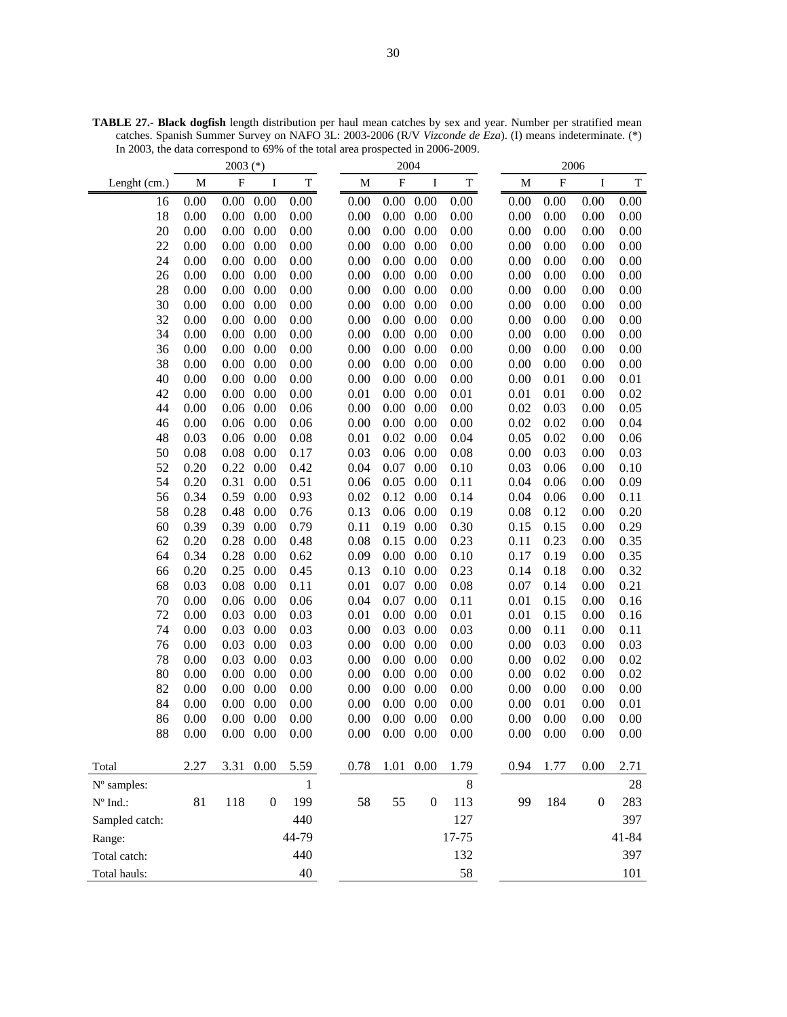**TABLE 27.- Black dogfish** length distribution per haul mean catches by sex and year. Number per stratified mean catches. Spanish Summer Survey on NAFO 3L: 2003-2006 (R/V *Vizconde de Eza*). (I) means indeterminate. (\*) In 2003, the data correspond to 69% of the total area prospected in 2006-2009.

|                                 | $2003$ (*)   |                           |                  | 2004         |          |                           |                  |             | 2006 |      |                           |                  |       |
|---------------------------------|--------------|---------------------------|------------------|--------------|----------|---------------------------|------------------|-------------|------|------|---------------------------|------------------|-------|
| Lenght (cm.)                    | M            | $\boldsymbol{\mathrm{F}}$ | I                | $\mathbf T$  | M        | $\boldsymbol{\mathrm{F}}$ | I                | $\mathbf T$ |      | M    | $\boldsymbol{\mathrm{F}}$ | $\bf I$          | T     |
| 16                              | 0.00         | 0.00                      | 0.00             | 0.00         | 0.00     | 0.00                      | 0.00             | 0.00        |      | 0.00 | 0.00                      | 0.00             | 0.00  |
| 18                              | 0.00         | 0.00                      | 0.00             | 0.00         | 0.00     | 0.00                      | 0.00             | 0.00        |      | 0.00 | 0.00                      | 0.00             | 0.00  |
| 20                              | 0.00         | 0.00                      | 0.00             | 0.00         | 0.00     |                           | $0.00\ 0.00$     | 0.00        |      | 0.00 | 0.00                      | 0.00             | 0.00  |
| 22                              | 0.00         | 0.00                      | 0.00             | 0.00         | 0.00     | $0.00\,$                  | 0.00             | 0.00        |      | 0.00 | 0.00                      | 0.00             | 0.00  |
| 24                              | 0.00         | 0.00                      | 0.00             | 0.00         | 0.00     | $0.00\,$                  | 0.00             | 0.00        |      | 0.00 | 0.00                      | 0.00             | 0.00  |
| 26                              | 0.00         | 0.00                      | 0.00             | 0.00         | 0.00     |                           | $0.00\ 0.00$     | 0.00        |      | 0.00 | 0.00                      | 0.00             | 0.00  |
| 28                              | 0.00         | 0.00                      | 0.00             | 0.00         | 0.00     |                           | $0.00\ 0.00$     | 0.00        |      | 0.00 | 0.00                      | 0.00             | 0.00  |
| 30                              | 0.00         | 0.00                      | 0.00             | 0.00         | 0.00     | $0.00\,$                  | 0.00             | 0.00        |      | 0.00 | 0.00                      | 0.00             | 0.00  |
| 32                              | 0.00         | 0.00                      | 0.00             | 0.00         | 0.00     | $0.00\,$                  | 0.00             | 0.00        |      | 0.00 | 0.00                      | 0.00             | 0.00  |
| 34                              | 0.00         | 0.00                      | 0.00             | 0.00         | 0.00     | 0.00                      | 0.00             | 0.00        |      | 0.00 | 0.00                      | 0.00             | 0.00  |
| 36                              | 0.00         | 0.00                      | 0.00             | 0.00         | 0.00     | 0.00                      | 0.00             | 0.00        |      | 0.00 | 0.00                      | 0.00             | 0.00  |
| 38                              | 0.00         | 0.00                      | 0.00             | 0.00         | 0.00     | 0.00                      | 0.00             | 0.00        |      | 0.00 | 0.00                      | 0.00             | 0.00  |
| 40                              | 0.00         | 0.00                      | 0.00             | 0.00         | 0.00     | $0.00\ 0.00$              |                  | 0.00        |      | 0.00 | 0.01                      | 0.00             | 0.01  |
| 42                              | 0.00         | 0.00                      | 0.00             | 0.00         | 0.01     | $0.00\ 0.00$              |                  | 0.01        |      | 0.01 | 0.01                      | 0.00             | 0.02  |
| 44                              | 0.00         | 0.06                      | 0.00             | 0.06         | 0.00     | $0.00\ 0.00$              |                  | 0.00        |      | 0.02 | 0.03                      | 0.00             | 0.05  |
| 46                              | 0.00         | 0.06                      | 0.00             | 0.06         | 0.00     | $0.00\,$                  | 0.00             | 0.00        |      | 0.02 | 0.02                      | 0.00             | 0.04  |
| 48                              | 0.03         | 0.06                      | 0.00             | 0.08         | 0.01     | 0.02                      | 0.00             | 0.04        |      | 0.05 | 0.02                      | 0.00             | 0.06  |
| 50                              | 0.08         | 0.08                      | 0.00             | 0.17         | 0.03     | 0.06                      | 0.00             | 0.08        |      | 0.00 | 0.03                      | 0.00             | 0.03  |
| 52                              | 0.20         | 0.22                      | 0.00             | 0.42         | 0.04     | 0.07                      | 0.00             | 0.10        |      | 0.03 | 0.06                      | 0.00             | 0.10  |
| 54                              | 0.20         | 0.31                      | 0.00             | 0.51         | 0.06     | 0.05                      | 0.00             | 0.11        |      | 0.04 | 0.06                      | 0.00             | 0.09  |
| 56                              | 0.34         | 0.59                      | 0.00             | 0.93         | 0.02     |                           | $0.12\ 0.00$     | 0.14        |      | 0.04 | 0.06                      | 0.00             | 0.11  |
| 58                              | 0.28         | 0.48                      | 0.00             | 0.76         | 0.13     |                           | $0.06$ 0.00      | 0.19        |      | 0.08 | 0.12                      | 0.00             | 0.20  |
| 60                              | 0.39         | 0.39                      | 0.00             | 0.79         | 0.11     |                           | 0.19 0.00        | 0.30        |      | 0.15 | 0.15                      | 0.00             | 0.29  |
| 62                              | 0.20         | 0.28                      | 0.00             | 0.48         | 0.08     |                           | $0.15$ 0.00      | 0.23        |      | 0.11 | 0.23                      | 0.00             | 0.35  |
| 64                              | 0.34         | 0.28                      | 0.00             | 0.62         | 0.09     | $0.00\ 0.00$              |                  | 0.10        |      | 0.17 | 0.19                      | 0.00             | 0.35  |
| 66                              | 0.20         | 0.25                      | 0.00             | 0.45         | 0.13     | $0.10\ 0.00$              |                  | 0.23        |      | 0.14 | 0.18                      | 0.00             | 0.32  |
| 68                              | 0.03         | 0.08                      | 0.00             | 0.11         | 0.01     | 0.07                      | 0.00             | 0.08        |      | 0.07 | 0.14                      | 0.00             | 0.21  |
| 70                              | 0.00         | 0.06                      | 0.00             | 0.06         | 0.04     | 0.07                      | 0.00             | 0.11        |      | 0.01 | 0.15                      | 0.00             | 0.16  |
| 72                              | 0.00         | 0.03                      | 0.00             | 0.03         | 0.01     | 0.00                      | 0.00             | 0.01        |      | 0.01 | 0.15                      | 0.00             | 0.16  |
| 74                              | 0.00         | 0.03                      | 0.00             | 0.03         | 0.00     | 0.03                      | 0.00             | 0.03        |      | 0.00 | 0.11                      | 0.00             | 0.11  |
| 76                              | 0.00         | 0.03                      | 0.00             | 0.03         | 0.00     | $0.00\,$                  | 0.00             | 0.00        |      | 0.00 | 0.03                      | 0.00             | 0.03  |
| 78                              | 0.00         | 0.03                      | 0.00             | 0.03         | 0.00     | 0.00                      | 0.00             | 0.00        |      | 0.00 | 0.02                      | 0.00             | 0.02  |
| 80                              | 0.00         | 0.00                      | 0.00             | 0.00         | 0.00     | $0.00\,$                  | 0.00             | 0.00        |      | 0.00 | 0.02                      | 0.00             | 0.02  |
| 82                              | 0.00         | 0.00                      | 0.00             | 0.00         | 0.00     | 0.00                      | 0.00             | 0.00        |      | 0.00 | 0.00                      | 0.00             | 0.00  |
| 84                              | 0.00<br>0.00 | 0.00                      | 0.00             | 0.00         | 0.00     | 0.00                      | 0.00             | 0.00        |      | 0.00 | 0.01                      | 0.00             | 0.01  |
| 86                              |              | 0.00                      | 0.00             | 0.00         | 0.00     |                           | $0.00\ 0.00$     | 0.00        |      | 0.00 | 0.00                      | 0.00             | 0.00  |
| 88                              | 0.00         |                           | $0.00\ 0.00$     | 0.00         | $0.00\,$ |                           | $0.00\ 0.00$     | 0.00        |      | 0.00 | 0.00                      | 0.00             | 0.00  |
| Total                           | 2.27         |                           | 3.31 0.00        | 5.59         | 0.78     |                           | 1.01 0.00        | 1.79        |      | 0.94 | 1.77                      | 0.00             | 2.71  |
| N° samples:                     |              |                           |                  | $\mathbf{1}$ |          |                           |                  | 8           |      |      |                           |                  | 28    |
| $\mathrm{N}^{\mathrm{o}}$ Ind.: | 81           | 118                       | $\boldsymbol{0}$ | 199          | 58       | 55                        | $\boldsymbol{0}$ | 113         |      | 99   | 184                       | $\boldsymbol{0}$ | 283   |
| Sampled catch:                  |              |                           |                  | 440          |          |                           |                  | 127         |      |      |                           |                  | 397   |
| Range:                          |              |                           |                  | 44-79        |          |                           |                  | 17-75       |      |      |                           |                  | 41-84 |
| Total catch:                    |              |                           |                  | 440          |          |                           |                  | 132         |      |      |                           |                  | 397   |
| Total hauls:                    |              |                           |                  | 40           |          |                           |                  | 58          |      |      |                           |                  | 101   |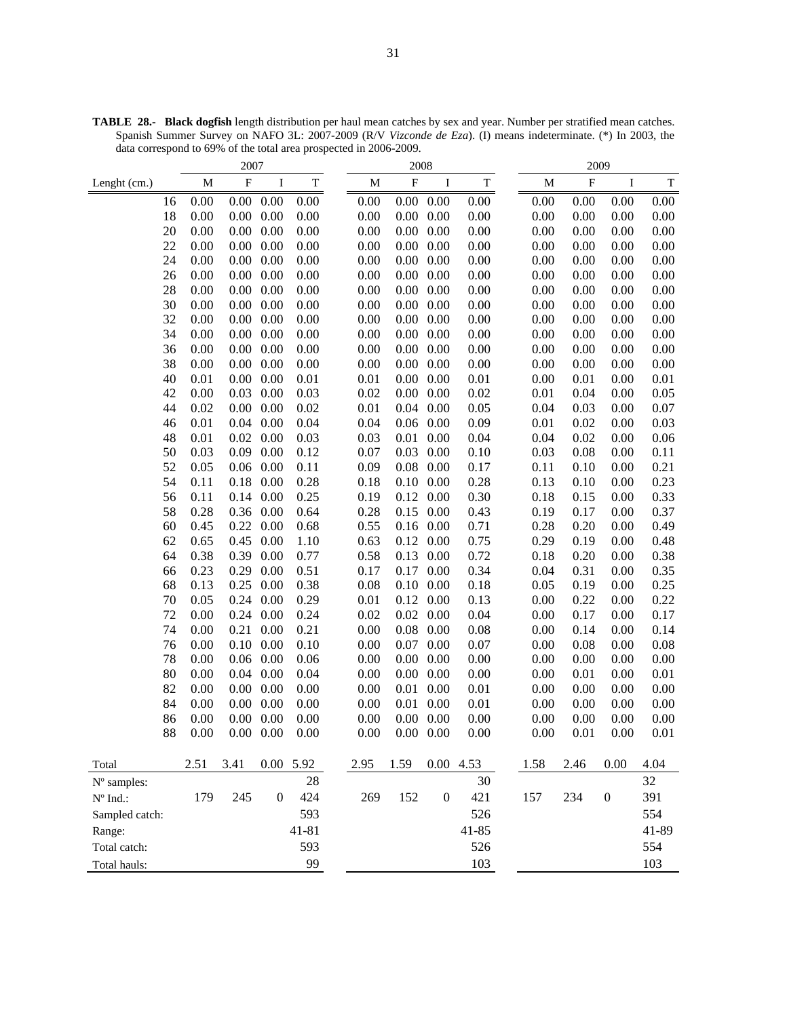| 2007              |              |           |                      |              |              | 2008         |                  |                  | 2009         |                           |                  |              |
|-------------------|--------------|-----------|----------------------|--------------|--------------|--------------|------------------|------------------|--------------|---------------------------|------------------|--------------|
| Lenght (cm.)      | M            | ${\bf F}$ | $\bf{I}$             | $\mathbf T$  | M            | ${\bf F}$    | I                | $\mathbf T$      | M            | $\boldsymbol{\mathrm{F}}$ | Ι                | $\mathbf T$  |
| 16                | 0.00         | $0.00\,$  | 0.00                 | 0.00         | 0.00         | 0.00         | 0.00             | 0.00             | 0.00         | 0.00                      | 0.00             | 0.00         |
| 18                | 0.00         | 0.00      | 0.00                 | 0.00         | 0.00         | 0.00         | 0.00             | 0.00             | 0.00         | 0.00                      | 0.00             | 0.00         |
| 20                | 0.00         | 0.00      | 0.00                 | 0.00         | 0.00         | 0.00         | 0.00             | 0.00             | 0.00         | 0.00                      | 0.00             | 0.00         |
| 22                | 0.00         | 0.00      | 0.00                 | 0.00         | 0.00         | 0.00         | 0.00             | $0.00\,$         | 0.00         | 0.00                      | 0.00             | 0.00         |
| 24                | 0.00         | 0.00      | 0.00                 | 0.00         | 0.00         | 0.00         | 0.00             | $0.00\,$         | 0.00         | 0.00                      | 0.00             | 0.00         |
| 26                | 0.00         | 0.00      | 0.00                 | 0.00         | 0.00         | 0.00         | 0.00             | 0.00             | 0.00         | 0.00                      | 0.00             | 0.00         |
| 28                | 0.00         | 0.00      | 0.00                 | 0.00         | 0.00         | 0.00         | 0.00             | 0.00             | 0.00         | 0.00                      | 0.00             | 0.00         |
| 30                | 0.00         | 0.00      | 0.00                 | 0.00         | 0.00         | 0.00         | 0.00             | $0.00\,$         | 0.00         | 0.00                      | 0.00             | 0.00         |
| 32                | 0.00         | 0.00      | 0.00                 | 0.00         | 0.00         | 0.00         | 0.00             | 0.00             | 0.00         | 0.00                      | 0.00             | 0.00         |
| 34                | 0.00         | 0.00      | 0.00                 | 0.00         | 0.00         | 0.00         | 0.00             | 0.00             | 0.00         | 0.00                      | 0.00             | 0.00         |
| 36                | 0.00         | 0.00      | 0.00                 | 0.00         | 0.00         | 0.00         | 0.00             | 0.00             | 0.00         | 0.00                      | 0.00             | 0.00         |
| 38                | 0.00         | 0.00      | 0.00                 | 0.00         | 0.00         | 0.00         | 0.00             | 0.00             | 0.00         | 0.00                      | 0.00             | 0.00         |
| 40                | 0.01         | 0.00      | 0.00                 | 0.01         | 0.01         | 0.00         | 0.00             | $0.01\,$         | 0.00         | 0.01                      | 0.00             | 0.01         |
| 42<br>44          | 0.00         | 0.03      | 0.00                 | 0.03         | 0.02         | 0.00<br>0.04 | 0.00             | 0.02             | 0.01         | 0.04                      | 0.00             | 0.05         |
|                   | 0.02         | 0.00      | 0.00                 | 0.02         | 0.01         |              | 0.00             | 0.05             | 0.04         | 0.03                      | 0.00             | $0.07\,$     |
| 46<br>48          | 0.01<br>0.01 | 0.04      | 0.00<br>$0.02\ 0.00$ | 0.04<br>0.03 | 0.04<br>0.03 | 0.06<br>0.01 | 0.00<br>0.00     | 0.09<br>$0.04\,$ | 0.01<br>0.04 | 0.02<br>0.02              | 0.00<br>0.00     | 0.03         |
| 50                | 0.03         | 0.09      | 0.00                 | 0.12         | 0.07         | 0.03         | 0.00             | 0.10             | 0.03         | 0.08                      | 0.00             | 0.06<br>0.11 |
| 52                | 0.05         |           | $0.06$ 0.00          | 0.11         | 0.09         | 0.08         | 0.00             | 0.17             | 0.11         | 0.10                      | 0.00             | 0.21         |
| 54                | 0.11         | 0.18      | 0.00                 | 0.28         | 0.18         | 0.10         | 0.00             | 0.28             | 0.13         | 0.10                      | 0.00             | 0.23         |
| 56                | 0.11         |           | 0.14 0.00            | 0.25         | 0.19         | 0.12         | 0.00             | 0.30             | 0.18         | 0.15                      | 0.00             | 0.33         |
| 58                | 0.28         |           | 0.36 0.00            | 0.64         | 0.28         | 0.15         | 0.00             | 0.43             | 0.19         | 0.17                      | 0.00             | 0.37         |
| 60                | 0.45         |           | 0.22 0.00            | 0.68         | 0.55         |              | $0.16$ 0.00      | 0.71             | 0.28         | 0.20                      | 0.00             | 0.49         |
| 62                | 0.65         | 0.45      | 0.00                 | 1.10         | 0.63         |              | $0.12$ 0.00      | 0.75             | 0.29         | 0.19                      | 0.00             | 0.48         |
| 64                | 0.38         | 0.39      | 0.00                 | 0.77         | 0.58         | 0.13         | 0.00             | 0.72             | 0.18         | 0.20                      | 0.00             | 0.38         |
| 66                | 0.23         | 0.29      | 0.00                 | 0.51         | 0.17         | 0.17         | 0.00             | 0.34             | 0.04         | 0.31                      | 0.00             | 0.35         |
| 68                | 0.13         | 0.25      | 0.00                 | 0.38         | 0.08         | 0.10         | 0.00             | 0.18             | 0.05         | 0.19                      | 0.00             | 0.25         |
| 70                | 0.05         | 0.24      | 0.00                 | 0.29         | 0.01         | 0.12         | 0.00             | 0.13             | 0.00         | 0.22                      | 0.00             | 0.22         |
| 72                | 0.00         |           | 0.24 0.00            | 0.24         | 0.02         | 0.02         | 0.00             | 0.04             | 0.00         | 0.17                      | 0.00             | 0.17         |
| 74                | 0.00         | 0.21      | 0.00                 | 0.21         | 0.00         | 0.08         | 0.00             | 0.08             | 0.00         | 0.14                      | 0.00             | 0.14         |
| 76                | 0.00         |           | $0.10\ 0.00$         | 0.10         | 0.00         | 0.07         | 0.00             | 0.07             | 0.00         | 0.08                      | 0.00             | 0.08         |
| 78                | 0.00         |           | $0.06$ 0.00          | 0.06         | 0.00         | 0.00         | 0.00             | 0.00             | 0.00         | 0.00                      | 0.00             | 0.00         |
| 80                | 0.00         | 0.04      | 0.00                 | 0.04         | 0.00         | 0.00         | 0.00             | 0.00             | 0.00         | 0.01                      | 0.00             | 0.01         |
| 82                | 0.00         | 0.00      | 0.00                 | 0.00         | 0.00         | 0.01         | 0.00             | 0.01             | 0.00         | 0.00                      | 0.00             | 0.00         |
| 84                | 0.00         | 0.00      | 0.00                 | 0.00         | 0.00         | 0.01         | 0.00             | $0.01\,$         | 0.00         | 0.00                      | 0.00             | 0.00         |
| 86                | 0.00         |           | $0.00\ 0.00$         | 0.00         | 0.00         |              | $0.00\ 0.00$     | 0.00             | 0.00         | 0.00                      | 0.00             | 0.00         |
| 88                | 0.00         |           | $0.00\ 0.00$         | 0.00         | 0.00         |              | $0.00\ 0.00$     | 0.00             | 0.00         | 0.01                      | 0.00             | 0.01         |
| Total             | 2.51         | 3.41      |                      | 0.00 5.92    | 2.95         | 1.59         |                  | $0.00$ 4.53      | 1.58         | 2.46                      | 0.00             | 4.04         |
| N° samples:       |              |           |                      | 28           |              |              |                  | 30               |              |                           |                  | 32           |
| $N^{\circ}$ Ind.: | 179          | 245       | $\boldsymbol{0}$     | 424          | 269          | 152          | $\boldsymbol{0}$ | 421              | 157          | 234                       | $\boldsymbol{0}$ | 391          |
| Sampled catch:    |              |           |                      | 593          |              |              |                  | 526              |              |                           |                  | 554          |
| Range:            |              |           |                      | $41 - 81$    |              |              |                  | $41 - 85$        |              |                           |                  | 41-89        |
|                   |              |           |                      |              |              |              |                  |                  |              |                           |                  |              |
| Total catch:      |              |           |                      | 593          |              |              |                  | 526              |              |                           |                  | 554          |
| Total hauls:      |              |           |                      | 99           |              |              |                  | 103              |              |                           |                  | 103          |

**TABLE 28.- Black dogfish** length distribution per haul mean catches by sex and year. Number per stratified mean catches. Spanish Summer Survey on NAFO 3L: 2007-2009 (R/V *Vizconde de Eza*). (I) means indeterminate. (\*) In 2003, the data correspond to 69% of the total area prospected in 2006-2009.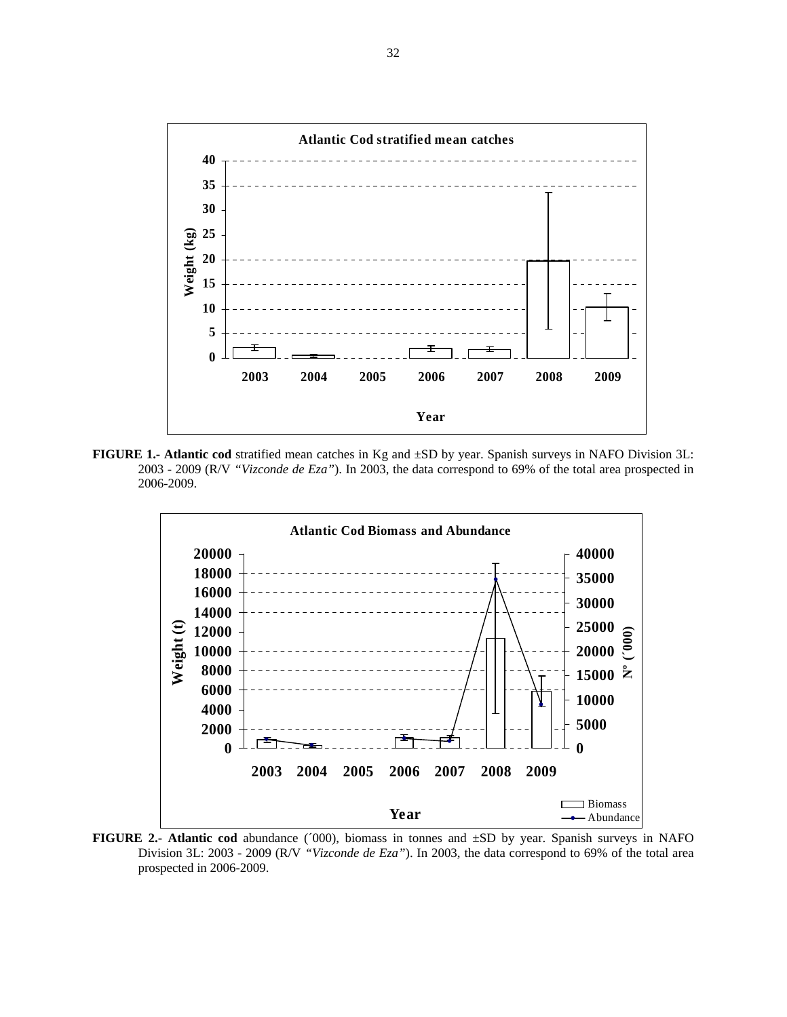

**FIGURE 1.- Atlantic cod** stratified mean catches in Kg and ±SD by year. Spanish surveys in NAFO Division 3L: 2003 - 2009 (R/V *"Vizconde de Eza"*). In 2003, the data correspond to 69% of the total area prospected in 2006-2009.



**FIGURE 2.- Atlantic cod** abundance (´000), biomass in tonnes and ±SD by year. Spanish surveys in NAFO Division 3L: 2003 - 2009 (R/V *"Vizconde de Eza"*). In 2003, the data correspond to 69% of the total area prospected in 2006-2009.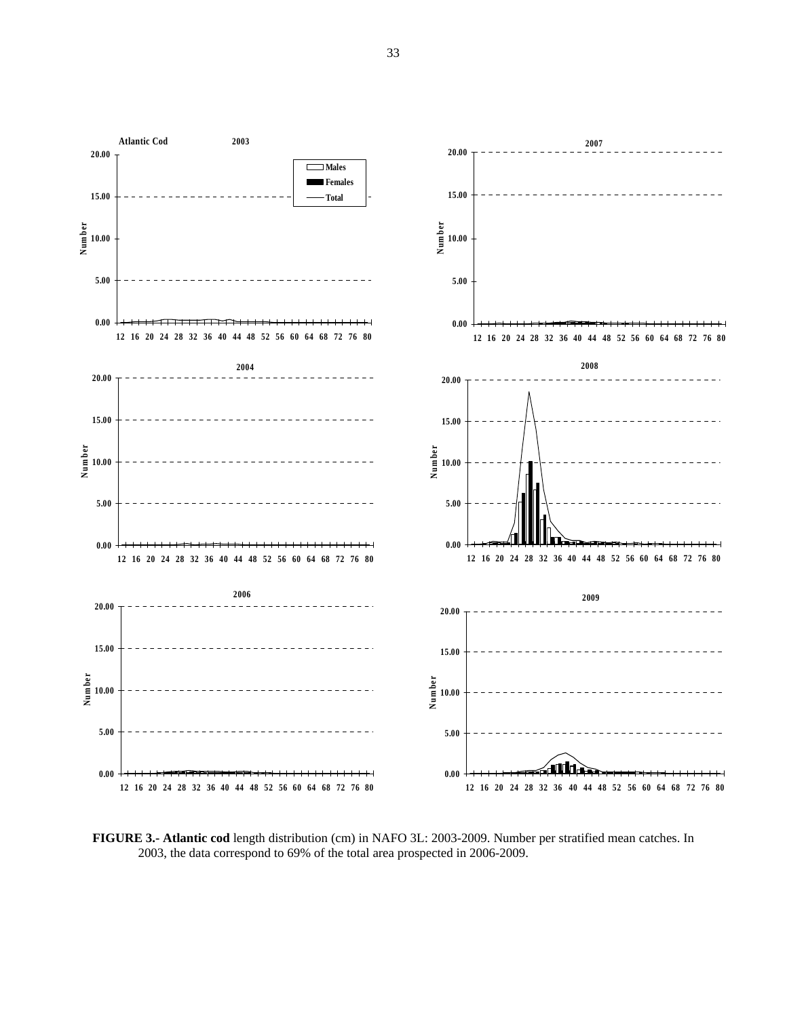

**FIGURE 3.- Atlantic cod** length distribution (cm) in NAFO 3L: 2003-2009. Number per stratified mean catches. In 2003, the data correspond to 69% of the total area prospected in 2006-2009.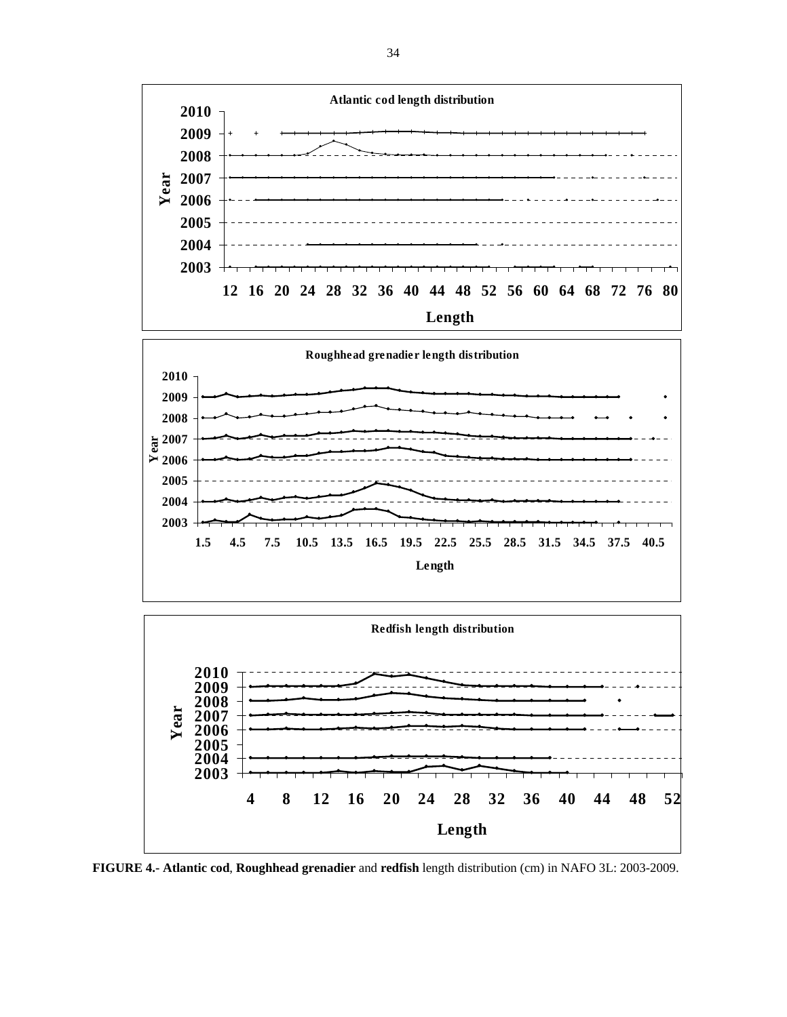

**FIGURE 4.- Atlantic cod**, **Roughhead grenadier** and **redfish** length distribution (cm) in NAFO 3L: 2003-2009.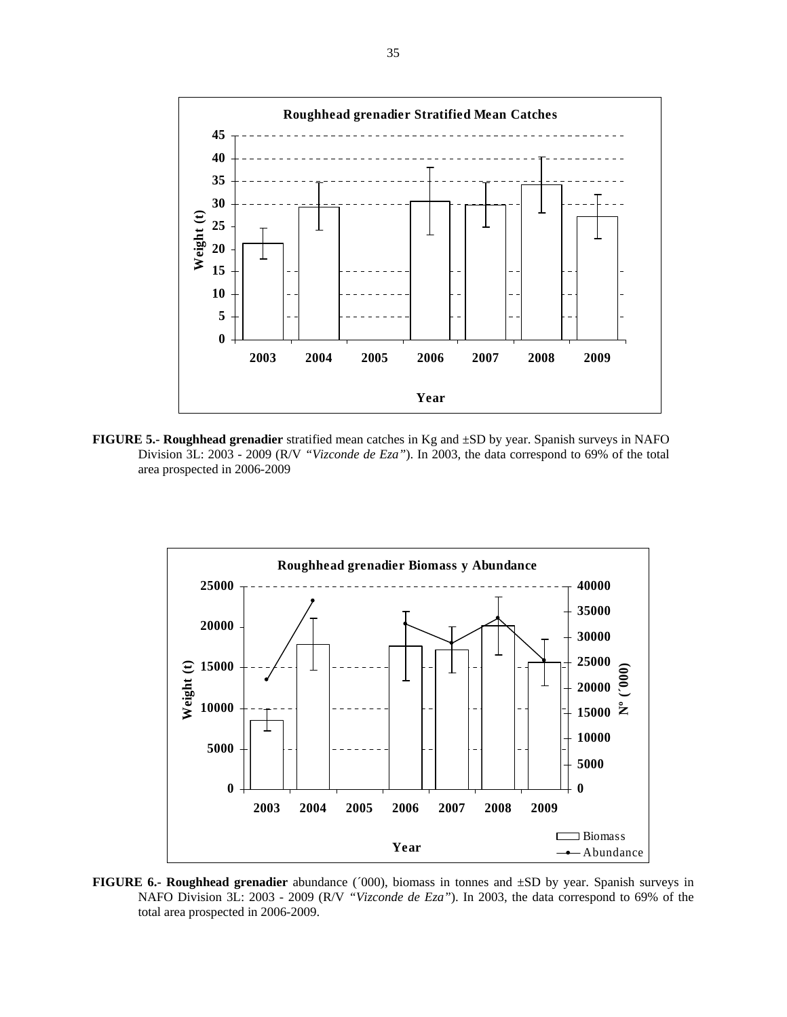

**FIGURE 5.- Roughhead grenadier** stratified mean catches in Kg and ±SD by year. Spanish surveys in NAFO Division 3L: 2003 - 2009 (R/V *"Vizconde de Eza"*). In 2003, the data correspond to 69% of the total area prospected in 2006-2009



**FIGURE 6.- Roughhead grenadier** abundance (´000), biomass in tonnes and ±SD by year. Spanish surveys in NAFO Division 3L: 2003 - 2009 (R/V *"Vizconde de Eza"*). In 2003, the data correspond to 69% of the total area prospected in 2006-2009.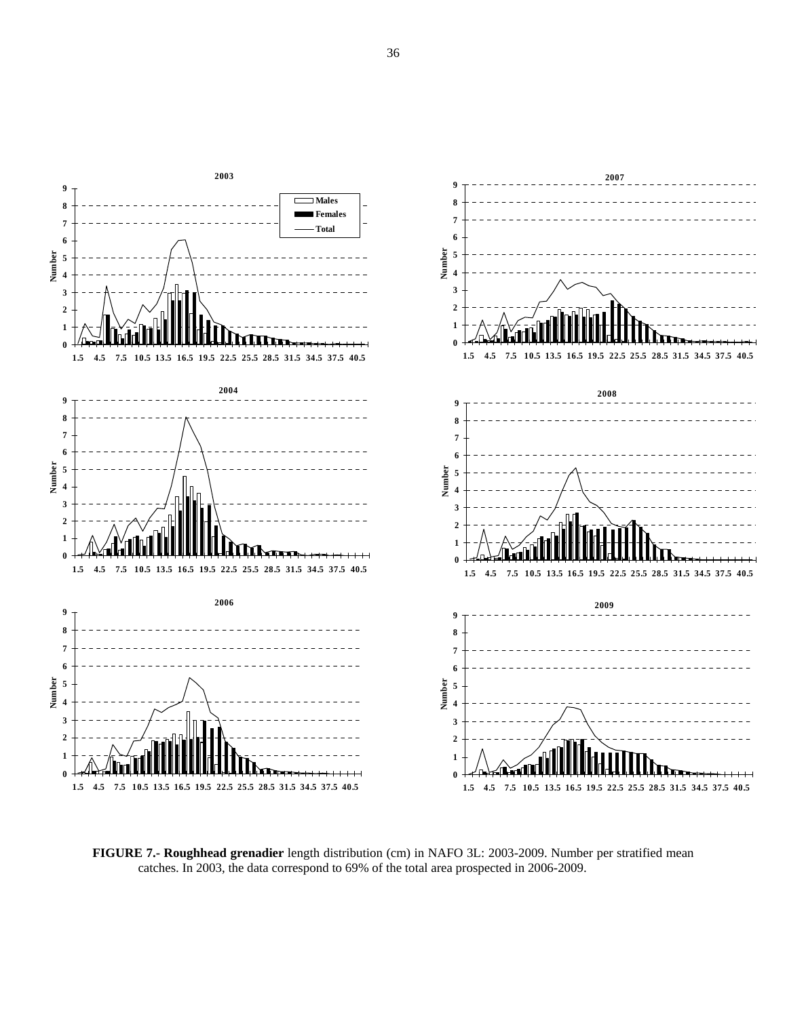

**FIGURE 7.- Roughhead grenadier** length distribution (cm) in NAFO 3L: 2003-2009. Number per stratified mean catches. In 2003, the data correspond to 69% of the total area prospected in 2006-2009.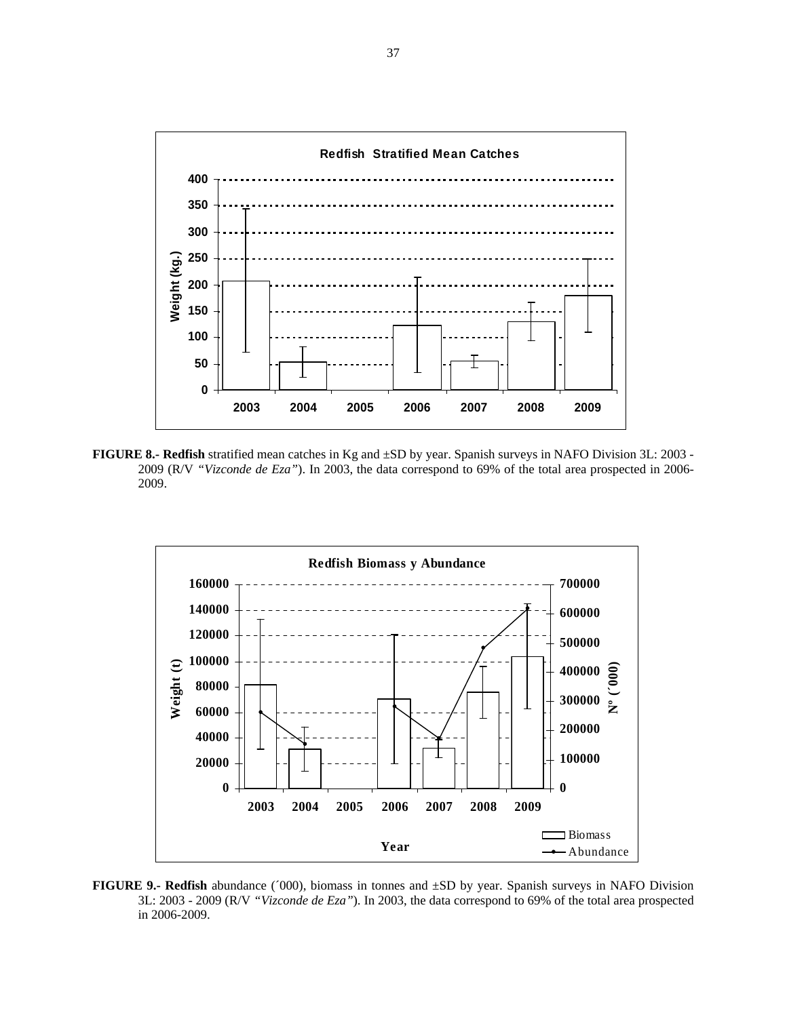

**FIGURE 8.- Redfish** stratified mean catches in Kg and ±SD by year. Spanish surveys in NAFO Division 3L: 2003 - 2009 (R/V *"Vizconde de Eza"*). In 2003, the data correspond to 69% of the total area prospected in 2006- 2009.



**FIGURE 9.- Redfish** abundance (´000), biomass in tonnes and ±SD by year. Spanish surveys in NAFO Division 3L: 2003 - 2009 (R/V *"Vizconde de Eza"*). In 2003, the data correspond to 69% of the total area prospected in 2006-2009.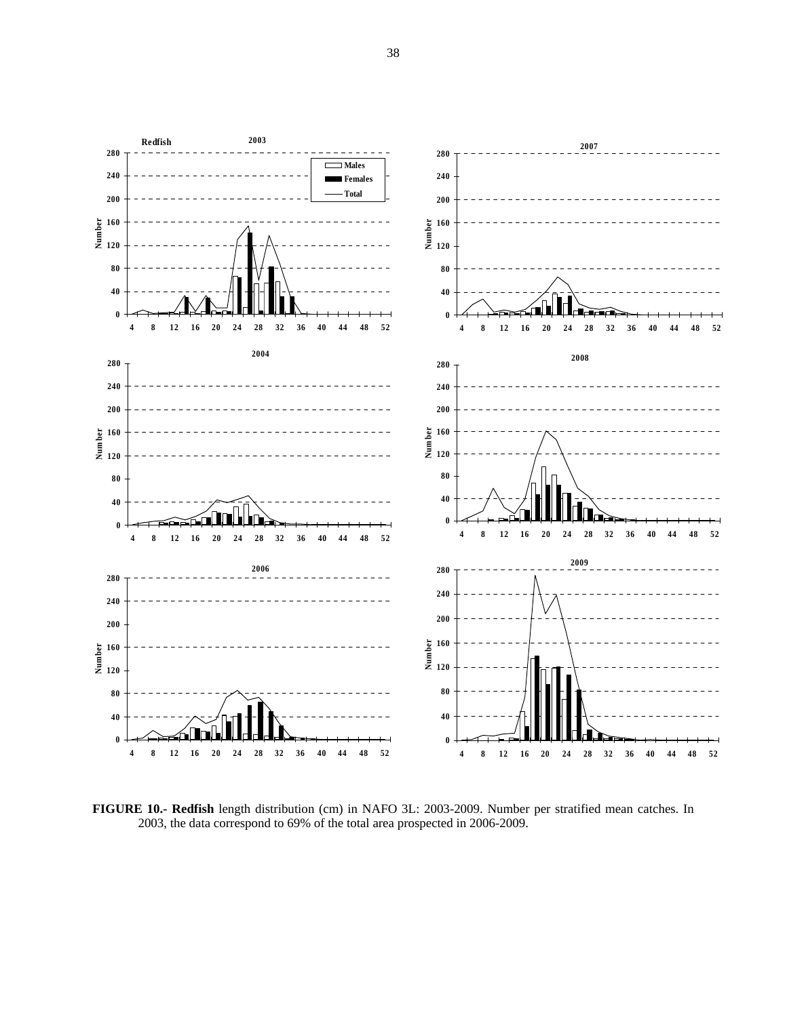

**FIGURE 10.- Redfish** length distribution (cm) in NAFO 3L: 2003-2009. Number per stratified mean catches. In 2003, the data correspond to 69% of the total area prospected in 2006-2009.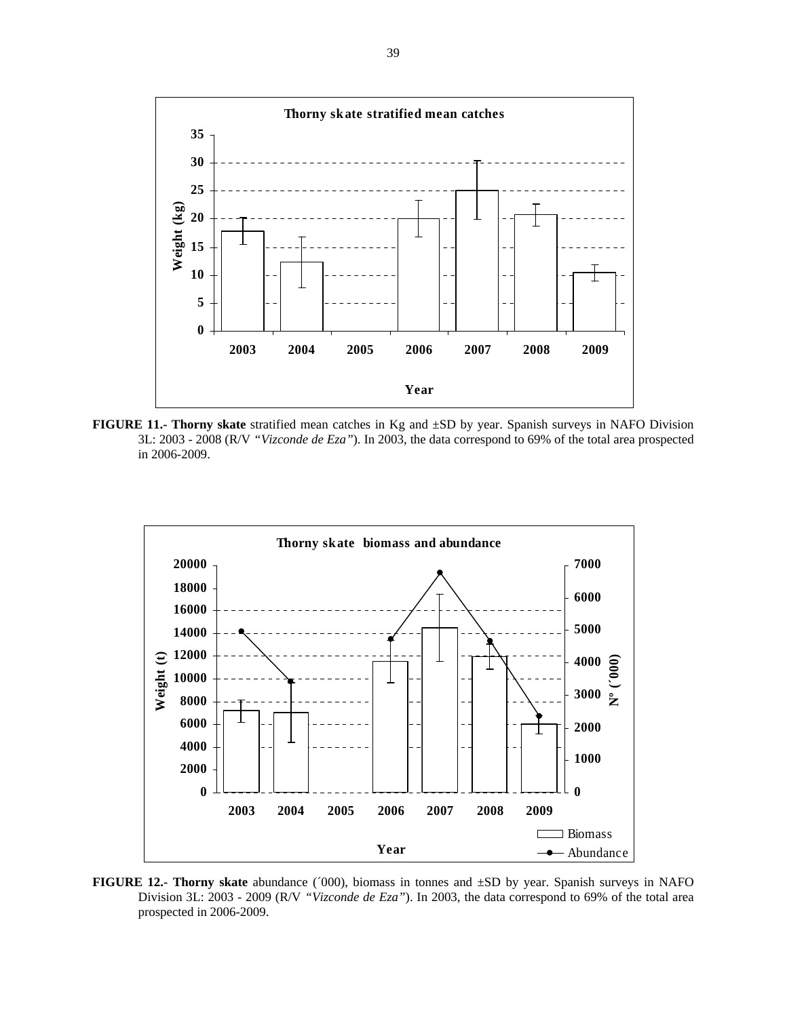

**FIGURE 11.- Thorny skate** stratified mean catches in Kg and ±SD by year. Spanish surveys in NAFO Division 3L: 2003 - 2008 (R/V *"Vizconde de Eza"*). In 2003, the data correspond to 69% of the total area prospected in 2006-2009.



**FIGURE 12.- Thorny skate** abundance (´000), biomass in tonnes and ±SD by year. Spanish surveys in NAFO Division 3L: 2003 - 2009 (R/V *"Vizconde de Eza"*). In 2003, the data correspond to 69% of the total area prospected in 2006-2009.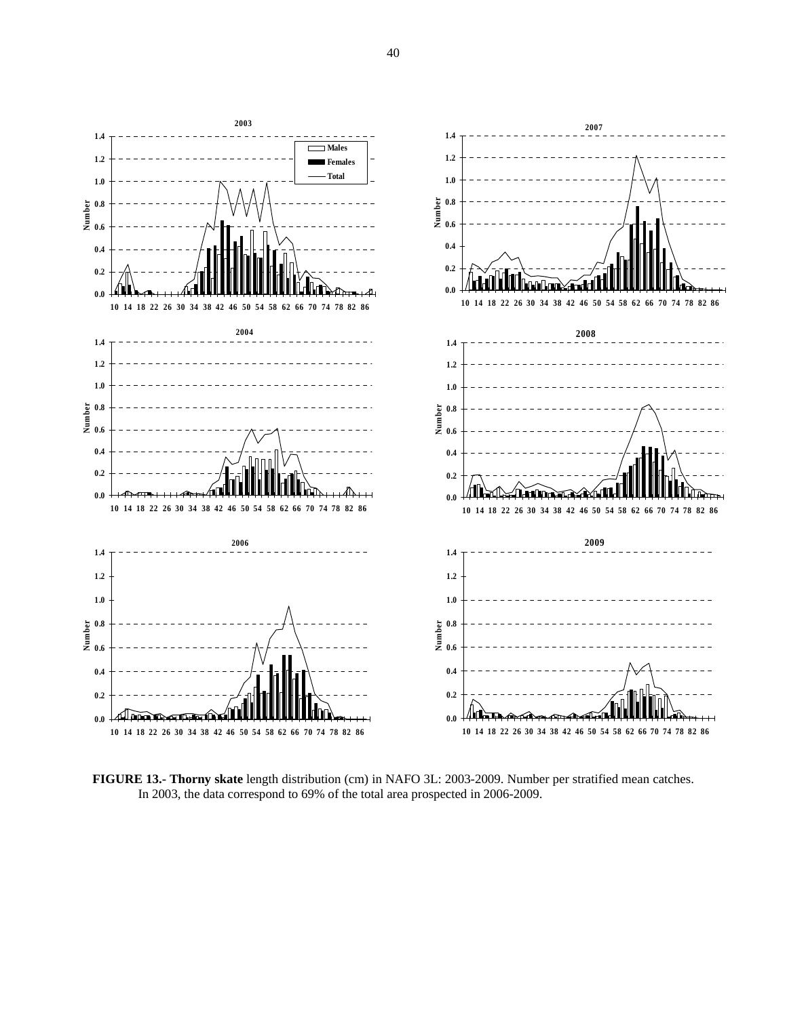

**FIGURE 13.- Thorny skate** length distribution (cm) in NAFO 3L: 2003-2009. Number per stratified mean catches. In 2003, the data correspond to 69% of the total area prospected in 2006-2009.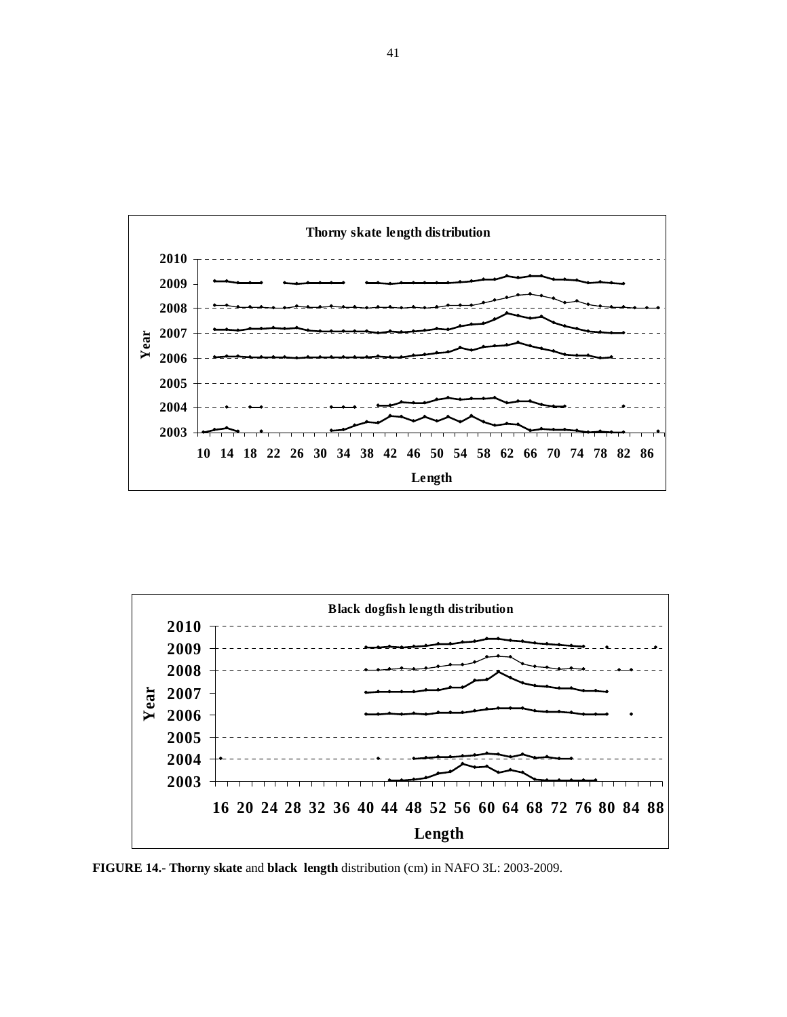



**FIGURE 14.- Thorny skate** and **black length** distribution (cm) in NAFO 3L: 2003-2009.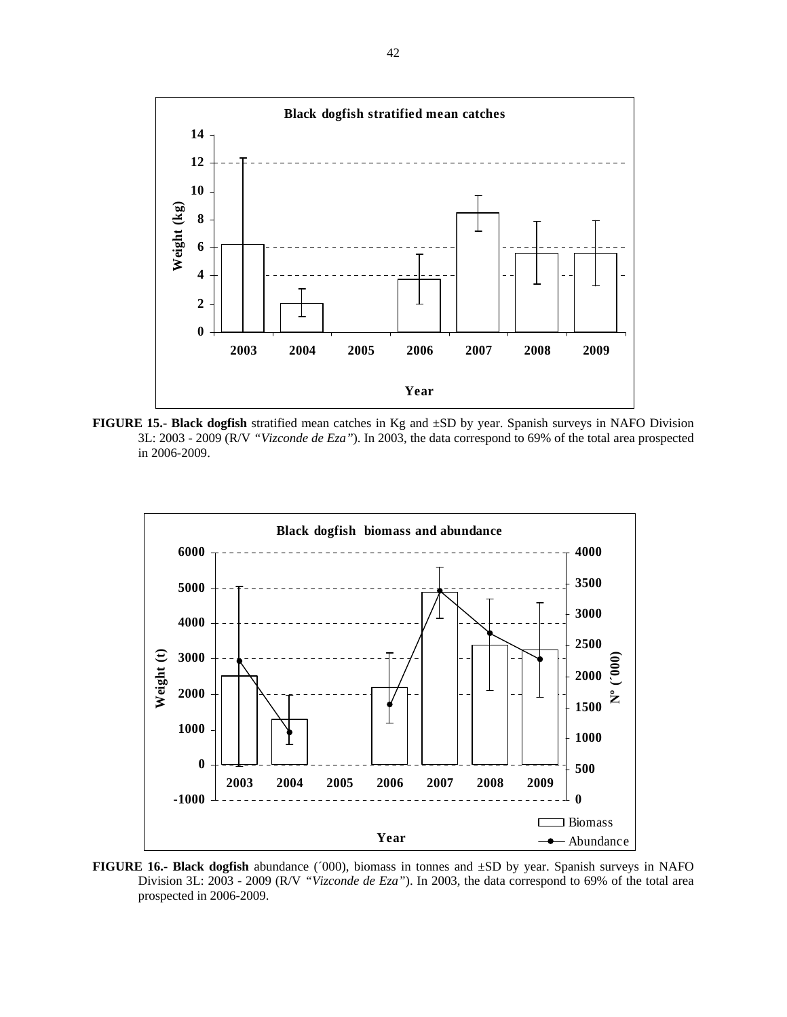

**FIGURE 15.- Black dogfish** stratified mean catches in Kg and ±SD by year. Spanish surveys in NAFO Division 3L: 2003 - 2009 (R/V *"Vizconde de Eza"*). In 2003, the data correspond to 69% of the total area prospected in 2006-2009.



**FIGURE 16.- Black dogfish** abundance (´000), biomass in tonnes and ±SD by year. Spanish surveys in NAFO Division 3L: 2003 - 2009 (R/V *"Vizconde de Eza"*). In 2003, the data correspond to 69% of the total area prospected in 2006-2009.